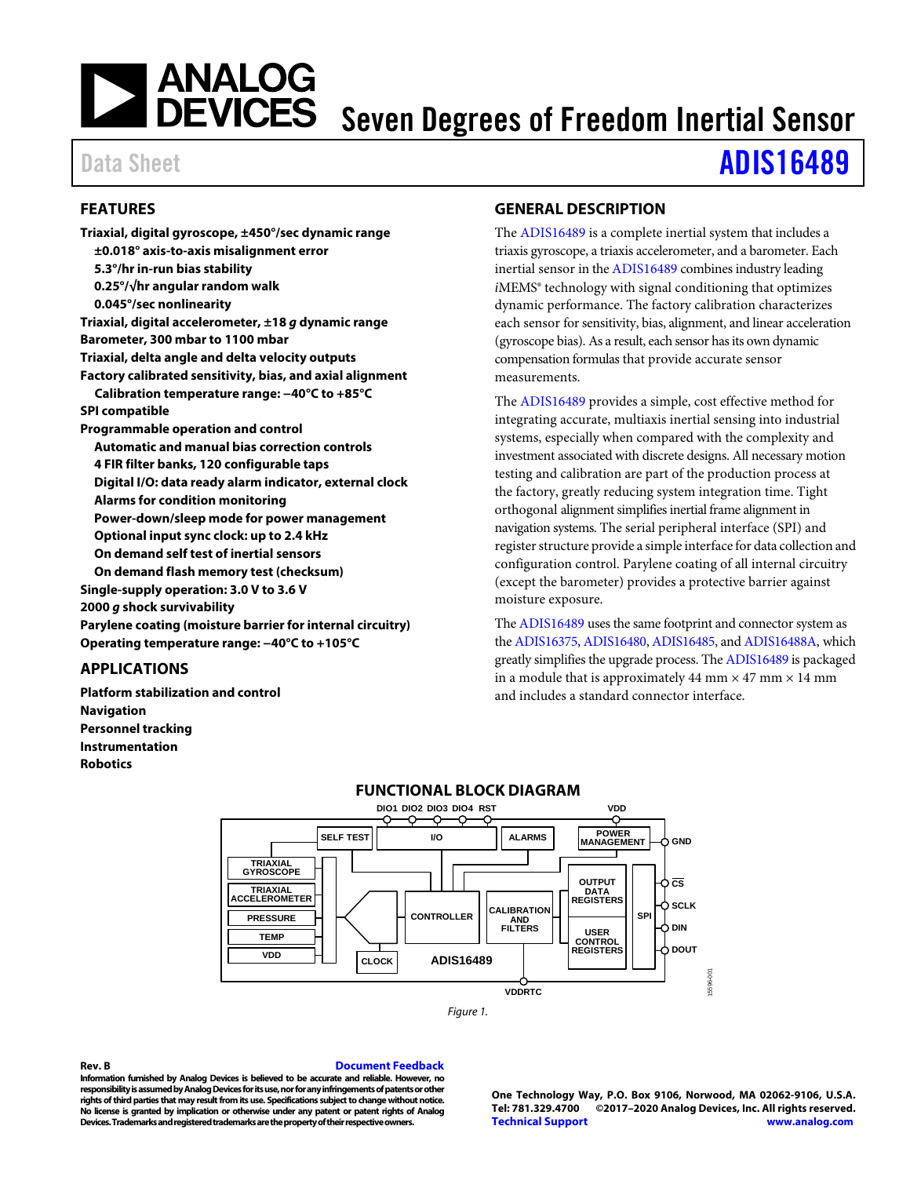# **NEXALOG**<br>DEVICES Seven Degrees of Freedom Inertial Sensor

# Data Sheet **[ADIS16489](http://www.analog.com/ADIS16489?doc=ADIS16489.pdf)**

# <span id="page-0-0"></span>**FEATURES**

**Triaxial, digital gyroscope, ±450°/sec dynamic range ±0.018° axis-to-axis misalignment error 5.3°/hr in-run bias stability 0.25°/√hr angular random walk 0.045°/sec nonlinearity Triaxial, digital accelerometer, ±18** *g* **dynamic range Barometer, 300 mbar to 1100 mbar Triaxial, delta angle and delta velocity outputs Factory calibrated sensitivity, bias, and axial alignment Calibration temperature range: −40°C to +85°C SPI compatible Programmable operation and control Automatic and manual bias correction controls 4 FIR filter banks, 120 configurable taps Digital I/O: data ready alarm indicator, external clock Alarms for condition monitoring Power-down/sleep mode for power management Optional input sync clock: up to 2.4 kHz On demand self test of inertial sensors On demand flash memory test (checksum) Single-supply operation: 3.0 V to 3.6 V 2000** *g* **shock survivability Parylene coating (moisture barrier for internal circuitry) Operating temperature range: −40°C to +105°C**

# <span id="page-0-1"></span>**APPLICATIONS**

<span id="page-0-3"></span>**Platform stabilization and control Navigation Personnel tracking Instrumentation Robotics**

# <span id="page-0-2"></span>**GENERAL DESCRIPTION**

The [ADIS16489](http://www.analog.com/ADIS16489?doc=ADIS16489.pdf) is a complete inertial system that includes a triaxis gyroscope, a triaxis accelerometer, and a barometer. Each inertial sensor in th[e ADIS16489](http://www.analog.com/ADIS16489?doc=ADIS16489.pdf) combines industry leading *i*MEMS® technology with signal conditioning that optimizes dynamic performance. The factory calibration characterizes each sensor for sensitivity, bias, alignment, and linear acceleration (gyroscope bias). As a result, each sensor has its own dynamic compensation formulas that provide accurate sensor measurements.

The [ADIS16489](http://www.analog.com/ADIS16489?doc=ADIS16489.pdf) provides a simple, cost effective method for integrating accurate, multiaxis inertial sensing into industrial systems, especially when compared with the complexity and investment associated with discrete designs. All necessary motion testing and calibration are part of the production process at the factory, greatly reducing system integration time. Tight orthogonal alignment simplifies inertial frame alignment in navigation systems. The serial peripheral interface (SPI) and register structure provide a simple interface for data collection and configuration control. Parylene coating of all internal circuitry (except the barometer) provides a protective barrier against moisture exposure.

Th[e ADIS16489](http://www.analog.com/ADIS16489?doc=ADIS16489.pdf) uses the same footprint and connector system as th[e ADIS16375,](http://www.analog.com/ADIS16375?doc=ADIS16489.pdf) [ADIS16480,](http://www.analog.com/ADIS16480?doc=ADIS16489.pdf) [ADIS16485,](http://www.analog.com/ADIS16485?doc=ADIS16489.pdf) an[d ADIS16488A,](http://www.analog.com/ADIS16488A?doc=ADIS16489.pdf) which greatly simplifies the upgrade process. Th[e ADIS16489](http://www.analog.com/ADIS16489?doc=ADIS16489.pdf) is packaged in a module that is approximately 44 mm  $\times$  47 mm  $\times$  14 mm and includes a standard connector interface.





**Rev. B [Document Feedback](https://form.analog.com/Form_Pages/feedback/documentfeedback.aspx?doc=ADIS16489.pdf&product=ADIS16489&rev=B) Information furnished by Analog Devices is believed to be accurate and reliable. However, no responsibility is assumed by Analog Devices for its use, nor for any infringements of patents or other rights of third parties that may result from its use. Specifications subject to change without notice. No license is granted by implication or otherwise under any patent or patent rights of Analog Devices. Trademarks and registered trademarks are the property of their respective owners.**

**One Technology Way, P.O. Box 9106, Norwood, MA 02062-9106, U.S.A. Tel: 781.329.4700 ©2017–2020 Analog Devices, Inc. All rights reserved. [Technical Support](http://www.analog.com/en/content/technical_support_page/fca.html) [www.analog.com](http://www.analog.com/)**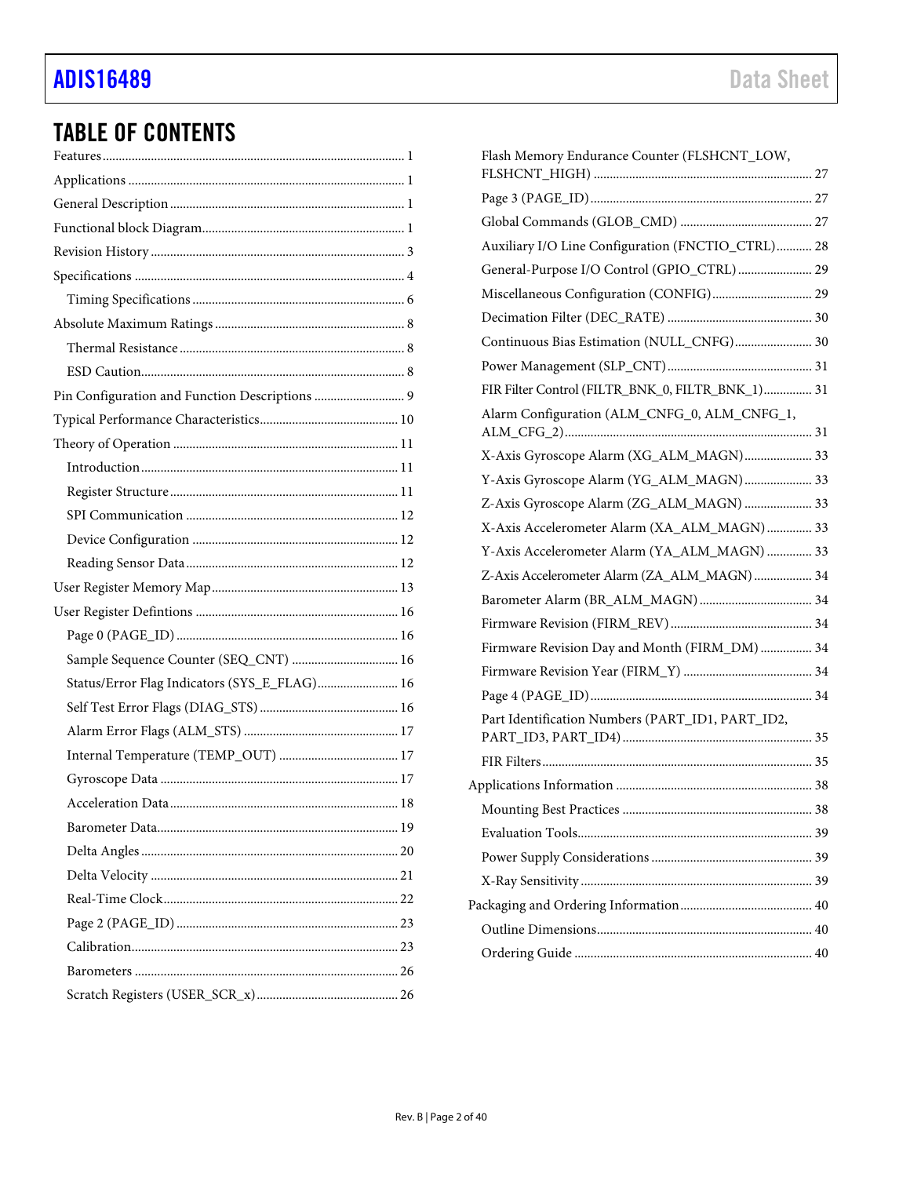# TABLE OF CONTENTS

| Sample Sequence Counter (SEQ_CNT)  16        |  |
|----------------------------------------------|--|
| Status/Error Flag Indicators (SYS_E_FLAG) 16 |  |
|                                              |  |
|                                              |  |
|                                              |  |
|                                              |  |
|                                              |  |
|                                              |  |
|                                              |  |
|                                              |  |
|                                              |  |
|                                              |  |
|                                              |  |
|                                              |  |
|                                              |  |

| Flash Memory Endurance Counter (FLSHCNT_LOW,      |  |
|---------------------------------------------------|--|
|                                                   |  |
|                                                   |  |
| Auxiliary I/O Line Configuration (FNCTIO_CTRL) 28 |  |
| General-Purpose I/O Control (GPIO_CTRL)  29       |  |
| Miscellaneous Configuration (CONFIG) 29           |  |
|                                                   |  |
| Continuous Bias Estimation (NULL_CNFG) 30         |  |
|                                                   |  |
| FIR Filter Control (FILTR_BNK_0, FILTR_BNK_1) 31  |  |
| Alarm Configuration (ALM_CNFG_0, ALM_CNFG_1,      |  |
| X-Axis Gyroscope Alarm (XG_ALM_MAGN) 33           |  |
| Y-Axis Gyroscope Alarm (YG_ALM_MAGN) 33           |  |
| Z-Axis Gyroscope Alarm (ZG_ALM_MAGN)  33          |  |
| X-Axis Accelerometer Alarm (XA_ALM_MAGN)  33      |  |
| Y-Axis Accelerometer Alarm (YA_ALM_MAGN)  33      |  |
| Z-Axis Accelerometer Alarm (ZA_ALM_MAGN)  34      |  |
|                                                   |  |
|                                                   |  |
| Firmware Revision Day and Month (FIRM_DM)  34     |  |
|                                                   |  |
|                                                   |  |
| Part Identification Numbers (PART_ID1, PART_ID2,  |  |
|                                                   |  |
|                                                   |  |
|                                                   |  |
|                                                   |  |
|                                                   |  |
|                                                   |  |
|                                                   |  |
|                                                   |  |
|                                                   |  |
|                                                   |  |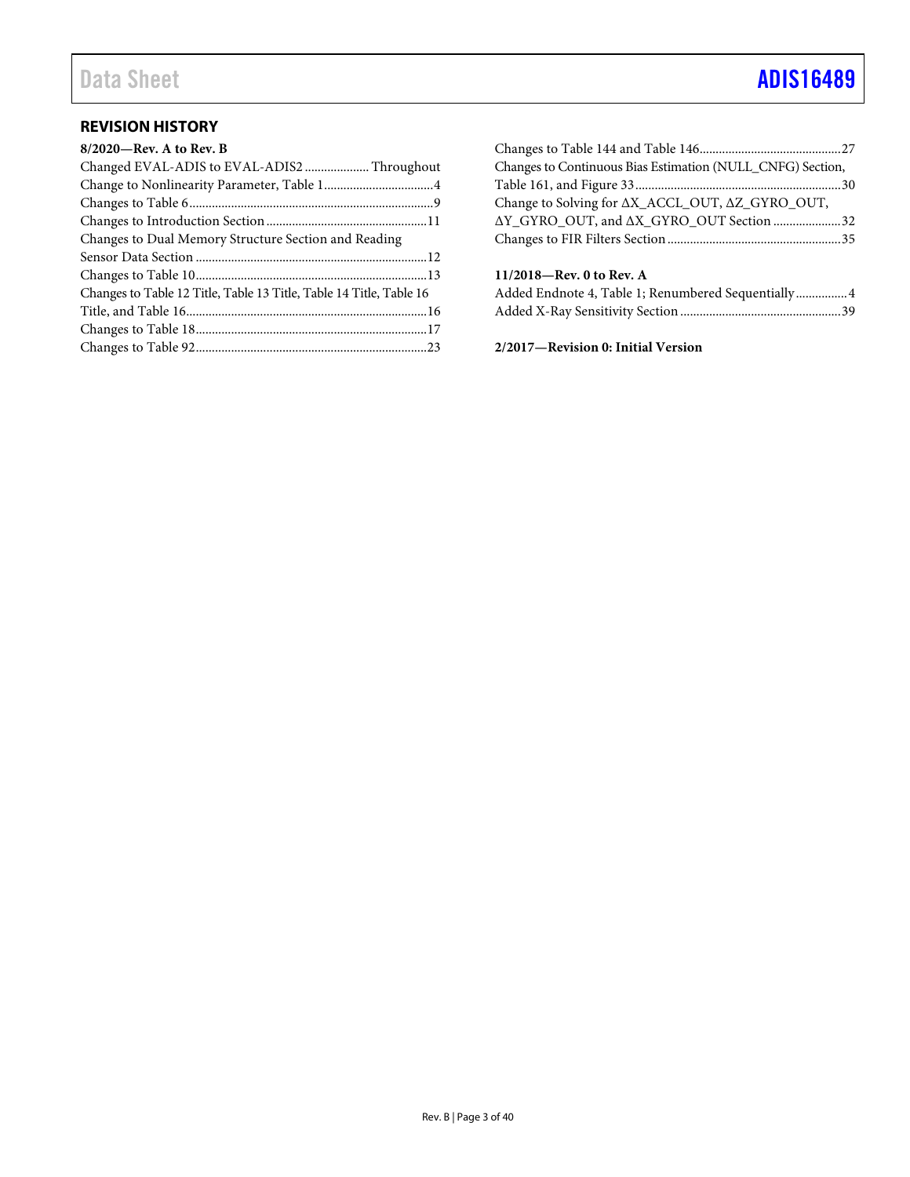# Data Sheet **[ADIS16489](https://www.analog.com/ADIS16489?doc=ADIS16489.pdf)**

# <span id="page-2-0"></span>**REVISION HISTORY**

| $8/2020$ —Rev. A to Rev. B                                          |  |
|---------------------------------------------------------------------|--|
| Changed EVAL-ADIS to EVAL-ADIS2  Throughout                         |  |
|                                                                     |  |
|                                                                     |  |
|                                                                     |  |
| Changes to Dual Memory Structure Section and Reading                |  |
|                                                                     |  |
|                                                                     |  |
| Changes to Table 12 Title, Table 13 Title, Table 14 Title, Table 16 |  |
|                                                                     |  |
|                                                                     |  |
|                                                                     |  |

| Changes to Continuous Bias Estimation (NULL_CNFG) Section,        |  |
|-------------------------------------------------------------------|--|
|                                                                   |  |
| Change to Solving for $\Delta X$ _ACCL_OUT, $\Delta Z$ _GYRO_OUT, |  |
| ΔY GYRO OUT, and ΔX GYRO OUT Section 32                           |  |
|                                                                   |  |
|                                                                   |  |
| 11/2018-Rev. 0 to Rev. A                                          |  |
| Added Endnote 4, Table 1; Renumbered Sequentially 4               |  |

Added X-Ray Sensitivity Section..................................................39

**2/2017—Revision 0: Initial Version**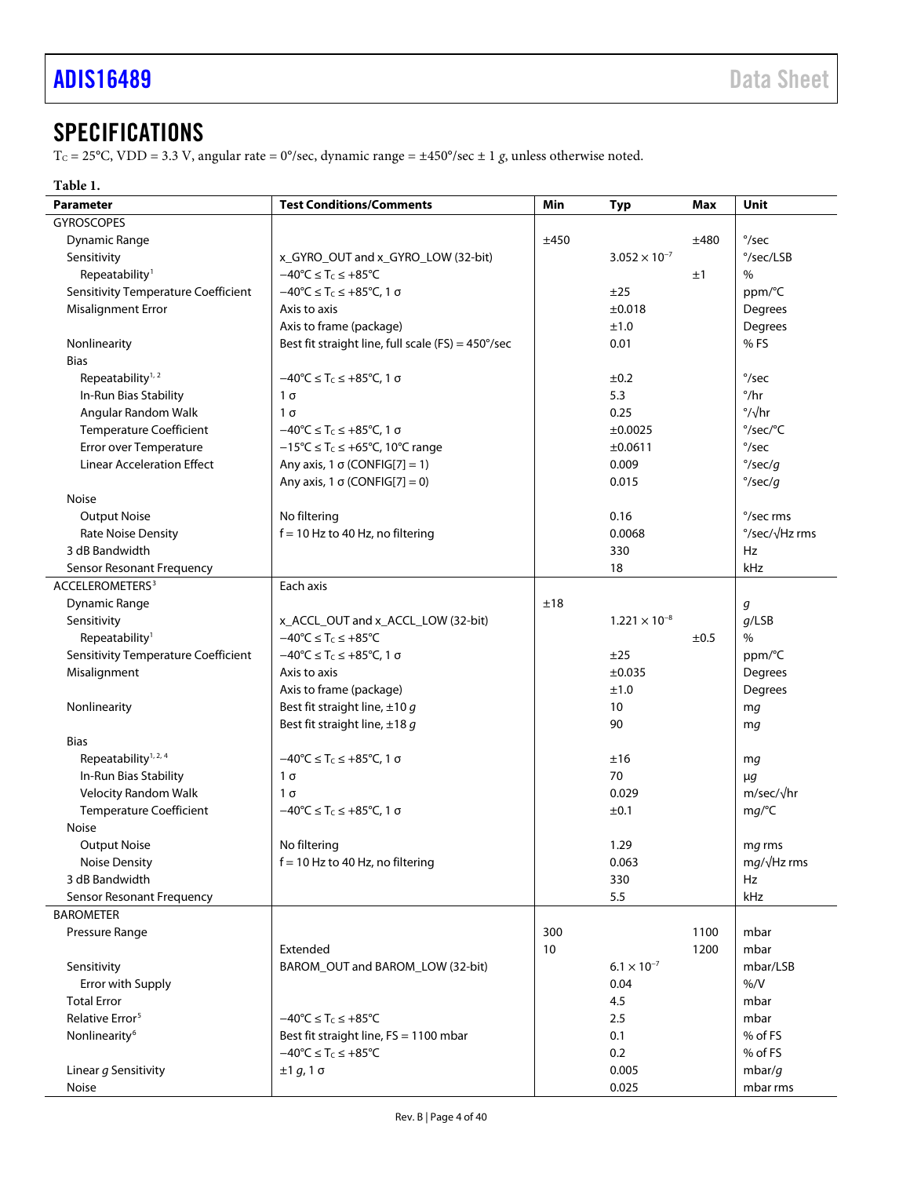# <span id="page-3-0"></span>**SPECIFICATIONS**

T<sub>C</sub> = 25°C, VDD = 3.3 V, angular rate = 0°/sec, dynamic range =  $\pm$ 450°/sec  $\pm$  1 *g*, unless otherwise noted.

# <span id="page-3-1"></span>**Table 1.**

| <b>Test Conditions/Comments</b><br><b>Parameter</b> |                                                                                      | Min                    | <b>Typ</b>             | Max    | Unit                        |
|-----------------------------------------------------|--------------------------------------------------------------------------------------|------------------------|------------------------|--------|-----------------------------|
| <b>GYROSCOPES</b>                                   |                                                                                      |                        |                        |        |                             |
| Dynamic Range                                       |                                                                                      | ±450                   |                        | ±480   | $\degree$ /sec              |
| Sensitivity<br>x_GYRO_OUT and x_GYRO_LOW (32-bit)   |                                                                                      | $3.052 \times 10^{-7}$ |                        |        | °/sec/LSB                   |
| Repeatability <sup>1</sup>                          | $-40^{\circ}C \leq T_C \leq +85^{\circ}C$                                            |                        | ±1                     |        | $\%$                        |
| <b>Sensitivity Temperature Coefficient</b>          | $-40^{\circ}C \le T_c \le +85^{\circ}C$ , 1 $\sigma$                                 | ±25                    |                        | ppm/°C |                             |
| <b>Misalignment Error</b>                           | Axis to axis                                                                         |                        | ±0.018                 |        | Degrees                     |
|                                                     | Axis to frame (package)                                                              |                        | ±1.0                   |        | Degrees                     |
| Nonlinearity                                        | Best fit straight line, full scale (FS) = 450°/sec                                   |                        | 0.01                   |        | %FS                         |
| <b>Bias</b>                                         |                                                                                      |                        |                        |        |                             |
| Repeatability <sup>1, 2</sup>                       | $-40^{\circ}C \leq T_c \leq +85^{\circ}C$ , 1 $\sigma$                               |                        | ±0.2                   |        | $\degree$ /sec              |
| In-Run Bias Stability                               | $1\sigma$                                                                            |                        | 5.3                    |        | $^{\circ}/\text{hr}$        |
| Angular Random Walk                                 | $1\sigma$                                                                            |                        | 0.25                   |        | $\frac{\circ}{\sqrt{hr}}$   |
| <b>Temperature Coefficient</b>                      | $-40^{\circ}$ C $\leq T_c \leq +85^{\circ}$ C, 1 $\sigma$                            |                        | ±0.0025                |        | $\degree$ /sec/ $\degree$ C |
| Error over Temperature                              | $-15^{\circ}$ C $\leq$ T <sub>c</sub> $\leq$ +65 $^{\circ}$ C, 10 $^{\circ}$ C range |                        | ±0.0611                |        | $\degree$ /sec              |
| <b>Linear Acceleration Effect</b>                   | Any axis, 1 $\sigma$ (CONFIG[7] = 1)                                                 |                        | 0.009                  |        | $\degree$ /sec/g            |
|                                                     | Any axis, 1 $\sigma$ (CONFIG[7] = 0)                                                 |                        | 0.015                  |        | $\degree$ /sec/g            |
| Noise                                               |                                                                                      |                        |                        |        |                             |
| <b>Output Noise</b>                                 | No filtering                                                                         |                        | 0.16                   |        | °/sec rms                   |
| Rate Noise Density                                  | $f = 10$ Hz to 40 Hz, no filtering                                                   |                        | 0.0068                 |        | °/sec/√Hz rms               |
| 3 dB Bandwidth                                      |                                                                                      |                        | 330                    |        | Hz                          |
| Sensor Resonant Frequency                           |                                                                                      |                        | 18                     |        | kHz                         |
| ACCELEROMETERS <sup>3</sup>                         | Each axis                                                                            |                        |                        |        |                             |
| <b>Dynamic Range</b>                                |                                                                                      | ±18                    |                        |        | g                           |
| Sensitivity                                         | x_ACCL_OUT and x_ACCL_LOW (32-bit)                                                   |                        | $1.221 \times 10^{-8}$ |        | $q$ /LSB                    |
| Repeatability <sup>1</sup>                          | $-40^{\circ}C \leq T_C \leq +85^{\circ}C$                                            |                        |                        | ±0.5   | $\%$                        |
| <b>Sensitivity Temperature Coefficient</b>          | $-40^{\circ}$ C $\leq T_c \leq +85^{\circ}$ C, 1 $\sigma$                            |                        | ±25                    |        | ppm/°C                      |
| Misalignment                                        | Axis to axis                                                                         |                        | ±0.035                 |        | Degrees                     |
|                                                     | Axis to frame (package)                                                              |                        | ±1.0                   |        | Degrees                     |
| Nonlinearity                                        | Best fit straight line, $\pm 10$ g                                                   |                        | 10                     |        | mg                          |
|                                                     | Best fit straight line, $\pm 18$ g                                                   |                        | 90                     |        | mg                          |
| <b>Bias</b>                                         |                                                                                      |                        |                        |        |                             |
| Repeatability <sup>1, 2, 4</sup>                    | $-40^{\circ}$ C $\leq$ T <sub>c</sub> $\leq$ +85 $^{\circ}$ C, 1 $\sigma$            |                        | ±16                    |        | mg                          |
| In-Run Bias Stability                               | $1\sigma$                                                                            |                        | 70                     |        | $\mu$ g                     |
| <b>Velocity Random Walk</b>                         | $1\sigma$                                                                            |                        | 0.029                  |        | $m/sec/\sqrt{hr}$           |
| <b>Temperature Coefficient</b>                      | $-40^{\circ}$ C $\leq T_c \leq +85^{\circ}$ C, 1 σ                                   |                        | ±0.1                   |        | mg/°C                       |
| Noise                                               |                                                                                      |                        |                        |        |                             |
| <b>Output Noise</b>                                 | No filtering                                                                         |                        | 1.29                   |        | mq rms                      |
| Noise Density                                       | $f = 10$ Hz to 40 Hz, no filtering                                                   |                        | 0.063                  |        | $mg/\sqrt{Hz}$ rms          |
| 3 dB Bandwidth                                      |                                                                                      |                        | 330                    |        | Hz                          |
| Sensor Resonant Frequency                           |                                                                                      |                        | 5.5                    |        | kHz                         |
| <b>BAROMETER</b>                                    |                                                                                      |                        |                        |        |                             |
| Pressure Range                                      |                                                                                      | 300                    |                        | 1100   | mbar                        |
|                                                     | Extended                                                                             | 10                     |                        | 1200   | mbar                        |
| Sensitivity                                         | BAROM OUT and BAROM LOW (32-bit)                                                     |                        | $6.1 \times 10^{-7}$   |        | mbar/LSB                    |
| Error with Supply                                   |                                                                                      |                        | 0.04                   |        | % / V                       |
| <b>Total Error</b>                                  |                                                                                      |                        | 4.5                    |        | mbar                        |
| Relative Error <sup>5</sup>                         | $-40^{\circ}C \leq T_C \leq +85^{\circ}C$                                            |                        | 2.5                    |        | mbar                        |
| Nonlinearity <sup>6</sup>                           | Best fit straight line, FS = 1100 mbar                                               |                        | 0.1                    |        | % of FS                     |
|                                                     | $-40^{\circ}C \leq T_C \leq +85^{\circ}C$                                            |                        | 0.2                    |        | % of FS                     |
| Linear g Sensitivity                                | ±1 g, 1 σ                                                                            |                        | 0.005                  |        | mbar/g                      |
| Noise                                               |                                                                                      |                        | 0.025                  |        | mbar rms                    |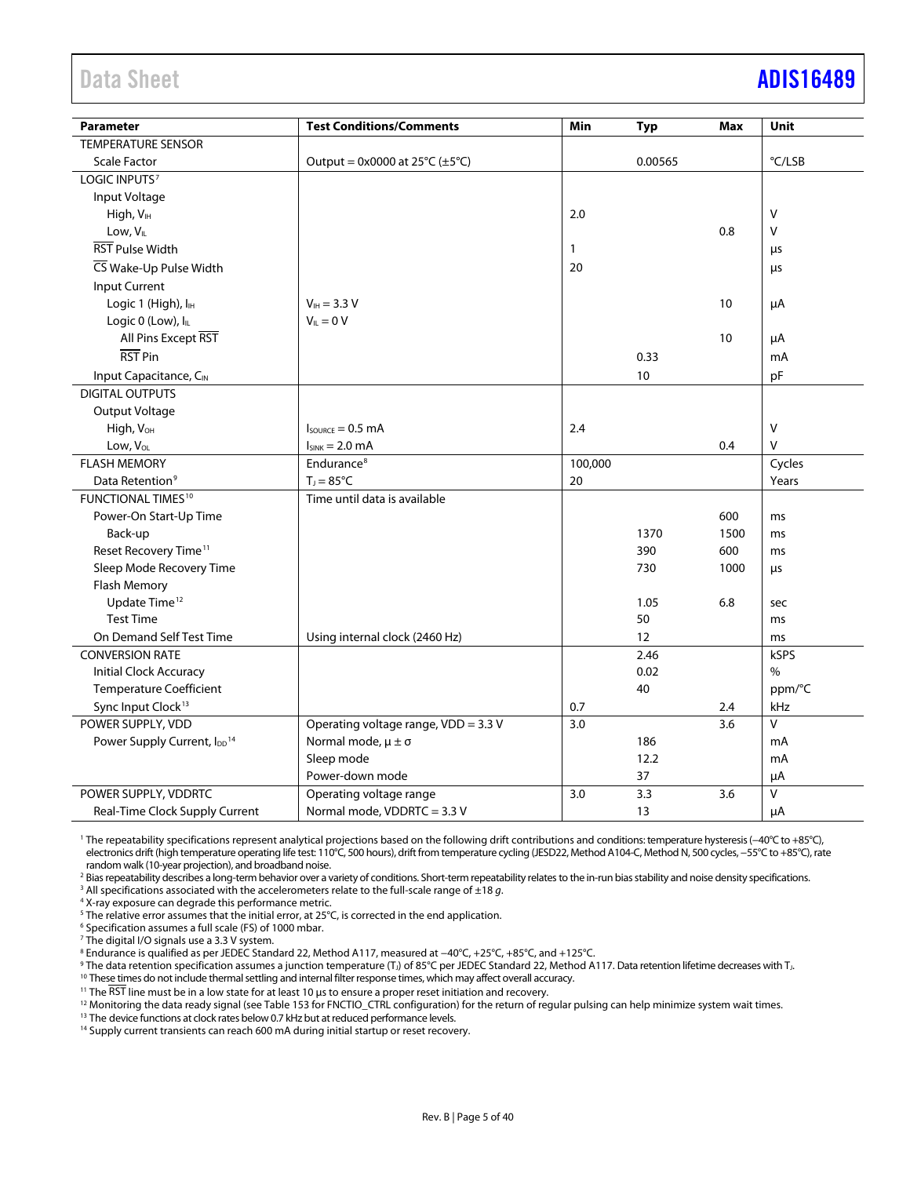# <span id="page-4-0"></span>Data Sheet **[ADIS16489](https://www.analog.com/ADIS16489?doc=ADIS16489.pdf)**

| <b>Parameter</b>                        | <b>Test Conditions/Comments</b>                     | Min          | Typ     | <b>Max</b> | Unit           |
|-----------------------------------------|-----------------------------------------------------|--------------|---------|------------|----------------|
| <b>TEMPERATURE SENSOR</b>               |                                                     |              |         |            |                |
| <b>Scale Factor</b>                     | Output = $0x0000$ at $25^{\circ}C (\pm 5^{\circ}C)$ |              | 0.00565 |            | °C/LSB         |
| LOGIC INPUTS <sup>7</sup>               |                                                     |              |         |            |                |
| Input Voltage                           |                                                     |              |         |            |                |
| High, V <sub>IH</sub>                   |                                                     | 2.0          |         |            | V              |
| Low, $V_{IL}$                           |                                                     |              |         | 0.8        | V              |
| <b>RST Pulse Width</b>                  |                                                     | $\mathbf{1}$ |         |            | μs             |
| CS Wake-Up Pulse Width                  |                                                     | 20           |         |            | μs             |
| Input Current                           |                                                     |              |         |            |                |
| Logic 1 (High), I <sub>H</sub>          | $V_{\text{IH}} = 3.3 V$                             |              |         | 10         | μA             |
| Logic 0 (Low), ILL                      | $V_{IL} = 0 V$                                      |              |         |            |                |
| All Pins Except RST                     |                                                     |              |         | 10         | μA             |
| RST <sub>Pin</sub>                      |                                                     |              | 0.33    |            | mA             |
| Input Capacitance, CIN                  |                                                     |              | $10$    |            | pF             |
| <b>DIGITAL OUTPUTS</b>                  |                                                     |              |         |            |                |
| Output Voltage                          |                                                     |              |         |            |                |
| High, V <sub>OH</sub>                   | $I_{\text{SOWRCE}} = 0.5 \text{ mA}$                | 2.4          |         |            | V              |
| Low, VOL                                | $I_{SINK} = 2.0$ mA                                 |              |         | 0.4        | V              |
| <b>FLASH MEMORY</b>                     | Endurance <sup>8</sup>                              | 100,000      |         |            | Cycles         |
| Data Retention <sup>9</sup>             | $T_{\text{J}} = 85^{\circ}C$                        | 20           |         |            | Years          |
| <b>FUNCTIONAL TIMES<sup>10</sup></b>    | Time until data is available                        |              |         |            |                |
| Power-On Start-Up Time                  |                                                     |              |         | 600        | ms             |
| Back-up                                 |                                                     |              | 1370    | 1500       | ms             |
| Reset Recovery Time <sup>11</sup>       |                                                     |              | 390     | 600        | ms             |
| Sleep Mode Recovery Time                |                                                     |              | 730     | 1000       | μs             |
| Flash Memory                            |                                                     |              |         |            |                |
| Update Time <sup>12</sup>               |                                                     |              | 1.05    | 6.8        | sec            |
| <b>Test Time</b>                        |                                                     |              | 50      |            | ms             |
| On Demand Self Test Time                | Using internal clock (2460 Hz)                      |              | 12      |            | ms             |
| <b>CONVERSION RATE</b>                  |                                                     |              | 2.46    |            | kSPS           |
| Initial Clock Accuracy                  |                                                     |              | 0.02    |            | %              |
| <b>Temperature Coefficient</b>          |                                                     |              | 40      |            | ppm/°C         |
| Sync Input Clock <sup>13</sup>          |                                                     | 0.7          |         | 2.4        | kHz            |
| POWER SUPPLY, VDD                       | Operating voltage range, VDD = 3.3 V                | 3.0          |         | 3.6        | $\overline{V}$ |
| Power Supply Current, IDD <sup>14</sup> | Normal mode, $\mu \pm \sigma$                       |              | 186     |            | mA             |
|                                         | Sleep mode                                          |              | 12.2    |            | mA             |
|                                         | Power-down mode                                     |              | 37      |            | μA             |
| POWER SUPPLY, VDDRTC                    | Operating voltage range                             | 3.0          | 3.3     | 3.6        | V              |
| Real-Time Clock Supply Current          | Normal mode, VDDRTC = 3.3 V                         |              | 13      |            | $\mu A$        |

<sup>1</sup> The repeatability specifications represent analytical projections based on the following drift contributions and conditions: temperature hysteresis (−40°C to +85°C), electronics drift (high temperature operating life test: 110°C, 500 hours), drift from temperature cycling (JESD22, Method A104-C, Method N, 500 cycles, −55°C to +85°C), rate random walk (10-year projection), and broadband noise.

<sup>2</sup> Bias repeatability describes a long-term behavior over a variety of conditions. Short-term repeatability relates to the in-run bias stability and noise density specifications.

<sup>3</sup> All specifications associated with the accelerometers relate to the full-scale range of ±18 *g*.

<sup>4</sup> X-ray exposure can degrade this performance metric.

<sup>5</sup> The relative error assumes that the initial error, at 25°C, is corrected in the end application.

<sup>6</sup> Specification assumes a full scale (FS) of 1000 mbar.

<sup>7</sup> The digital I/O signals use a 3.3 V system.

8 Endurance is qualified as per JEDEC Standard 22, Method A117, measured at −40°C, +25°C, +85°C, and +125°C.

9 The data retention specification assumes a junction temperature (T<sub>J</sub>) of 85°C per JEDEC Standard 22, Method A117. Data retention lifetime decreases with TJ.

<sup>10</sup> These times do not include thermal settling and internal filter response times, which may affect overall accuracy.

<sup>11</sup> The RST line must be in a low state for at least 10 μs to ensure a proper reset initiation and recovery.

<sup>12</sup> Monitoring the data ready signal (se[e Table 153](#page-27-1) for FNCTIO\_CTRL configuration) for the return of regular pulsing can help minimize system wait times.

<sup>13</sup> The device functions at clock rates below 0.7 kHz but at reduced performance levels.

<sup>14</sup> Supply current transients can reach 600 mA during initial startup or reset recovery.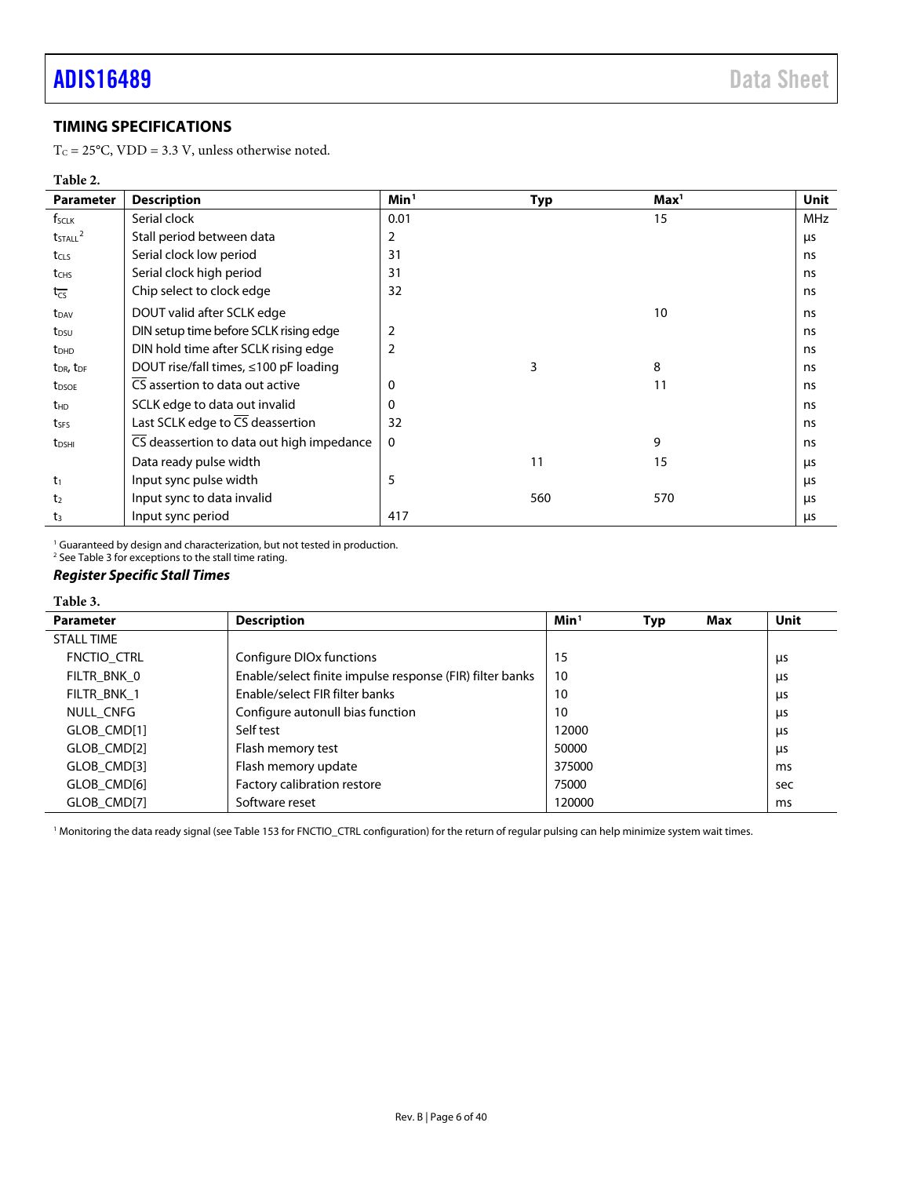# <span id="page-5-0"></span>**TIMING SPECIFICATIONS**

T<sub>C</sub> = 25°C, VDD = 3.3 V, unless otherwise noted.

### <span id="page-5-2"></span>**Table 2.**

| <b>Parameter</b>                  | <b>Description</b>                          | Min <sup>1</sup> | <b>Typ</b> | Max <sup>1</sup> | Unit |
|-----------------------------------|---------------------------------------------|------------------|------------|------------------|------|
| $f_{\text{SCLK}}$                 | Serial clock                                | 0.01             |            | 15               | MHz  |
| $t$ <sub>STALL</sub> $^2$         | Stall period between data                   | $\overline{2}$   |            |                  | μs   |
| t <sub>CLS</sub>                  | Serial clock low period                     | 31               |            |                  | ns   |
| t <sub>CHS</sub>                  | Serial clock high period                    | 31               |            |                  | ns   |
| $t_{\overline{\text{CS}}}$        | Chip select to clock edge                   | 32               |            |                  | ns   |
| t <sub>DAV</sub>                  | DOUT valid after SCLK edge                  |                  |            | 10               | ns   |
| t <sub>DSU</sub>                  | DIN setup time before SCLK rising edge      | $\overline{2}$   |            |                  | ns   |
| $t_{DHD}$                         | DIN hold time after SCLK rising edge        | $\overline{2}$   |            |                  | ns   |
| t <sub>DR</sub> , t <sub>DF</sub> | DOUT rise/fall times, $\leq 100$ pF loading |                  | 3          | 8                | ns   |
| t <sub>DSOE</sub>                 | CS assertion to data out active             | 0                |            | 11               | ns   |
| $t_{HD}$                          | SCLK edge to data out invalid               | $\Omega$         |            |                  | ns   |
| tses                              | Last SCLK edge to CS deassertion            | 32               |            |                  | ns   |
| t <sub>DSHI</sub>                 | CS deassertion to data out high impedance   | $\mathbf 0$      |            | 9                | ns   |
|                                   | Data ready pulse width                      |                  | 11         | 15               | μs   |
| $t_1$                             | Input sync pulse width                      | 5                |            |                  | μs   |
| t <sub>2</sub>                    | Input sync to data invalid                  |                  | 560        | 570              | μs   |
| t <sub>3</sub>                    | Input sync period                           | 417              |            |                  | μs   |

<sup>1</sup> Guaranteed by design and characterization, but not tested in production.

<sup>2</sup> Se[e Table 3](#page-5-3) for exceptions to the stall time rating.

# *Register Specific Stall Times*

#### <span id="page-5-3"></span>**Table 3.**

| <b>Parameter</b>  | <b>Description</b>                                       | Min <sup>1</sup> | Typ | Max | Unit |
|-------------------|----------------------------------------------------------|------------------|-----|-----|------|
| <b>STALL TIME</b> |                                                          |                  |     |     |      |
| FNCTIO CTRL       | Configure DIO <sub>x</sub> functions                     | 15               |     |     | μs   |
| FILTR BNK 0       | Enable/select finite impulse response (FIR) filter banks | 10               |     |     | μs   |
| FILTR BNK 1       | Enable/select FIR filter banks                           | 10               |     |     | μs   |
| NULL CNFG         | Configure autonull bias function                         | 10               |     |     | μs   |
| GLOB CMD[1]       | Self test                                                | 12000            |     |     | μs   |
| GLOB CMD[2]       | Flash memory test                                        | 50000            |     |     | μs   |
| GLOB CMD[3]       | Flash memory update                                      | 375000           |     |     | ms   |
| GLOB CMD[6]       | Factory calibration restore                              | 75000            |     |     | sec  |
| GLOB CMD[7]       | Software reset                                           | 120000           |     |     | ms   |

<span id="page-5-1"></span><sup>1</sup> Monitoring the data ready signal (se[e Table 153](#page-27-1) for FNCTIO\_CTRL configuration) for the return of regular pulsing can help minimize system wait times.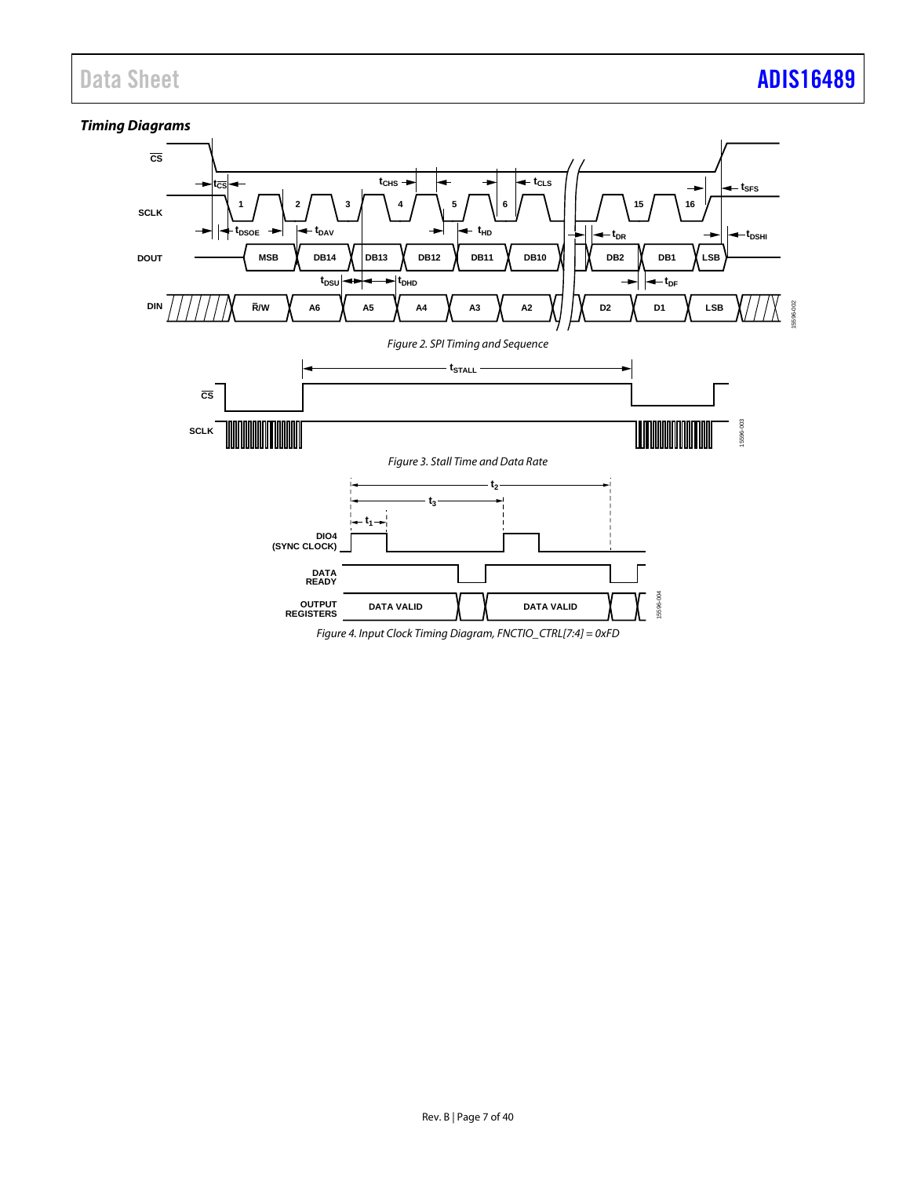# *Timing Diagrams* **CS**

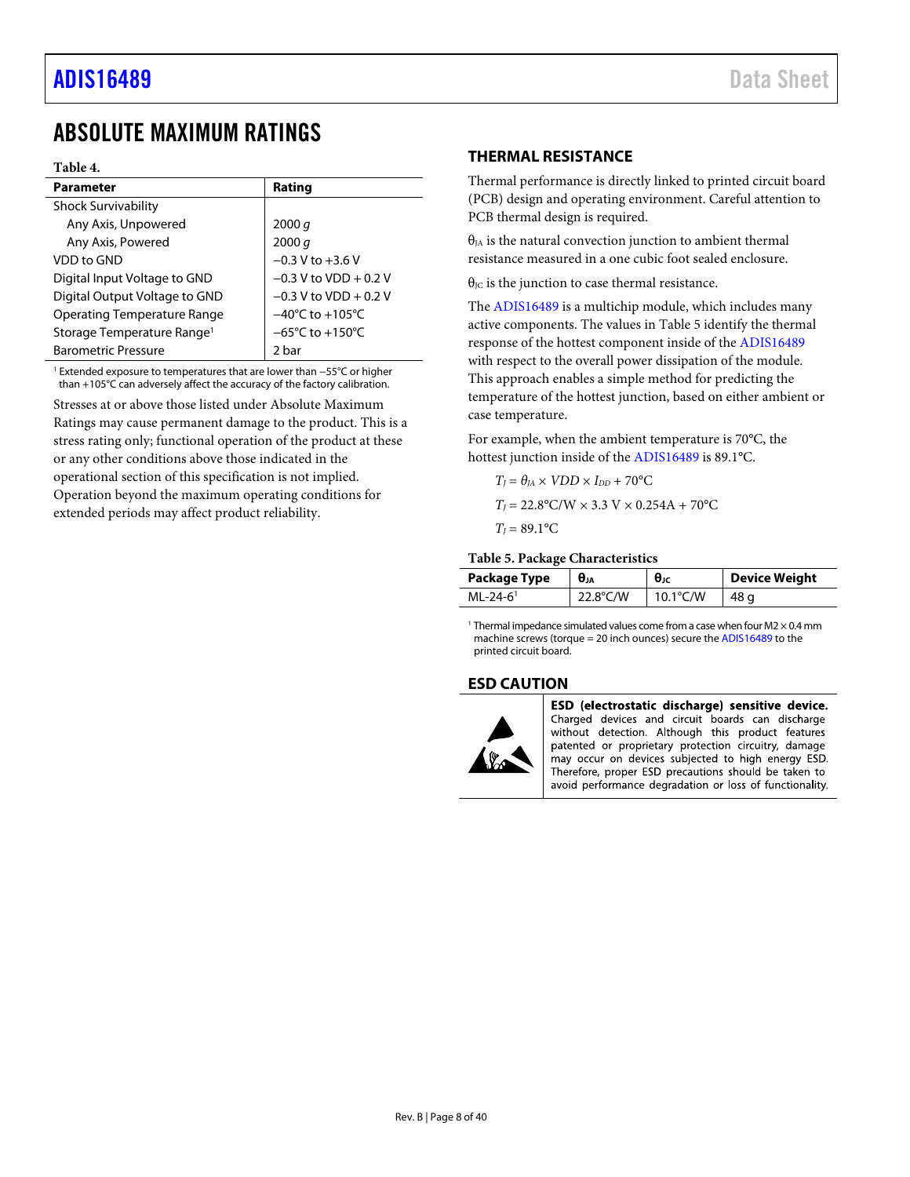# <span id="page-7-0"></span>ABSOLUTE MAXIMUM RATINGS

#### **Table 4.**

| <b>Parameter</b>                       | Rating                              |
|----------------------------------------|-------------------------------------|
| <b>Shock Survivability</b>             |                                     |
| Any Axis, Unpowered                    | 2000 q                              |
| Any Axis, Powered                      | 2000 q                              |
| VDD to GND                             | $-0.3$ V to $+3.6$ V                |
| Digital Input Voltage to GND           | $-0.3$ V to VDD + 0.2 V             |
| Digital Output Voltage to GND          | $-0.3$ V to VDD + 0.2 V             |
| <b>Operating Temperature Range</b>     | $-40^{\circ}$ C to $+105^{\circ}$ C |
| Storage Temperature Range <sup>1</sup> | $-65^{\circ}$ C to $+150^{\circ}$ C |
| <b>Barometric Pressure</b>             | 2 bar                               |

<sup>1</sup> Extended exposure to temperatures that are lower than −55°C or higher than +105°C can adversely affect the accuracy of the factory calibration.

Stresses at or above those listed under Absolute Maximum Ratings may cause permanent damage to the product. This is a stress rating only; functional operation of the product at these or any other conditions above those indicated in the operational section of this specification is not implied. Operation beyond the maximum operating conditions for extended periods may affect product reliability.

## <span id="page-7-1"></span>**THERMAL RESISTANCE**

Thermal performance is directly linked to printed circuit board (PCB) design and operating environment. Careful attention to PCB thermal design is required.

 $\theta_{IA}$  is the natural convection junction to ambient thermal resistance measured in a one cubic foot sealed enclosure.

 $\theta_{\text{JC}}$  is the junction to case thermal resistance.

The [ADIS16489](http://www.analog.com/ADIS16489?doc=ADIS16489.pdf) is a multichip module, which includes many active components. The values i[n Table 5](#page-7-3) identify the thermal response of the hottest component inside of the [ADIS16489](http://www.analog.com/ADIS16489?doc=ADIS16489.pdf) with respect to the overall power dissipation of the module. This approach enables a simple method for predicting the temperature of the hottest junction, based on either ambient or case temperature.

For example, when the ambient temperature is 70°C, the hottest junction inside of th[e ADIS16489](http://www.analog.com/ADIS16489?doc=ADIS16489.pdf) is 89.1°C.

$$
T_I = \theta_{JA} \times VDD \times I_{DD} + 70^{\circ}\text{C}
$$

$$
T_I = 22.8^{\circ}\text{C/W} \times 3.3 \text{ V} \times 0.254\text{A} + 70^{\circ}\text{C}
$$

$$
T_1 = 89.1^{\circ}\text{C}
$$

#### <span id="page-7-3"></span>**Table 5. Package Characteristics**

| Package Type           | $\theta$ ıa | θıc                | Device Weight |
|------------------------|-------------|--------------------|---------------|
| $ML-24-6$ <sup>1</sup> | 22.8°C/W    | $10.1^{\circ}$ C/W | 48 g          |

<sup>1</sup> Thermal impedance simulated values come from a case when four  $M2 \times 0.4$  mm machine screws (torque = 20 inch ounces) secure th[e ADIS16489](http://www.analog.com/ADIS16489?doc=ADIS16489.pdf) to the printed circuit board.

#### <span id="page-7-2"></span>**ESD CAUTION**



ESD (electrostatic discharge) sensitive device. Charged devices and circuit boards can discharge without detection. Although this product features patented or proprietary protection circuitry, damage may occur on devices subjected to high energy ESD. Therefore, proper ESD precautions should be taken to avoid performance degradation or loss of functionality.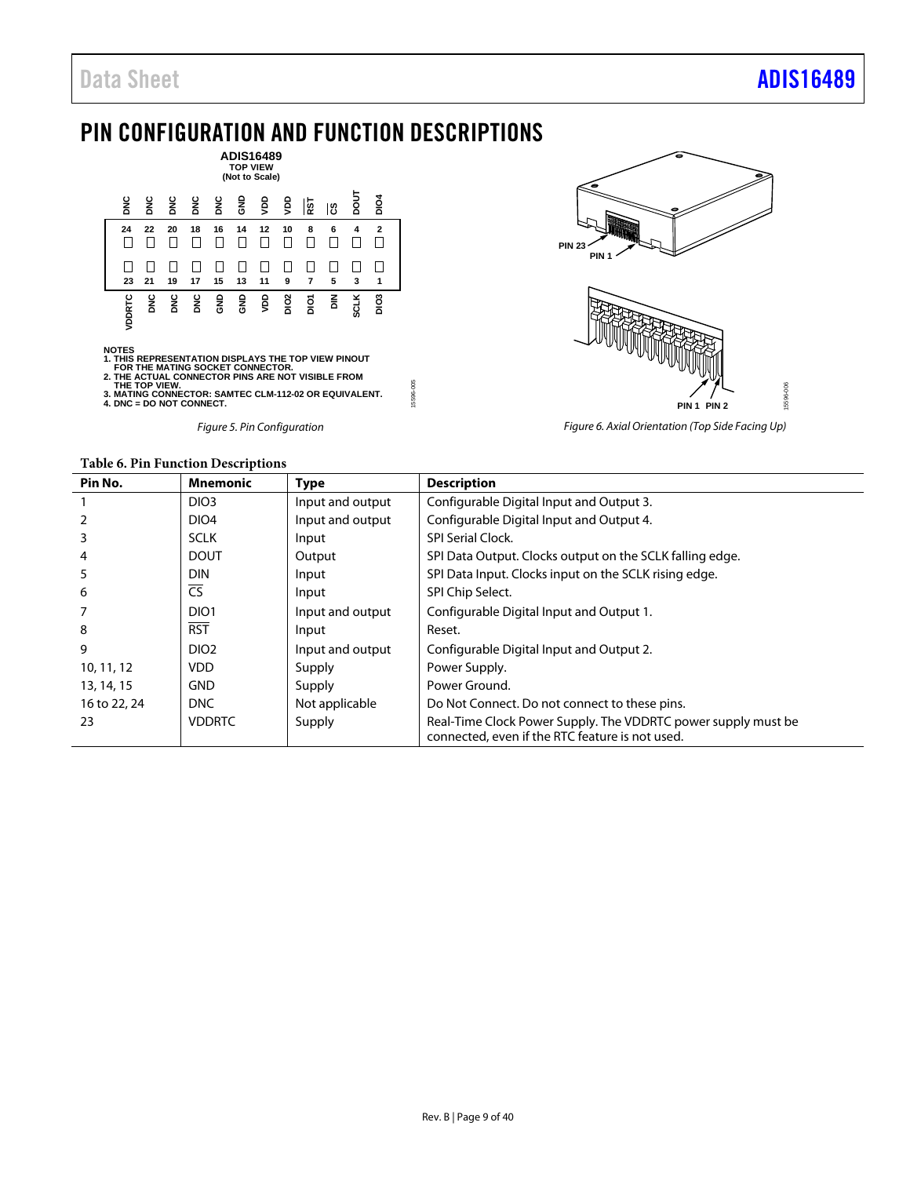# <span id="page-8-0"></span>PIN CONFIGURATION AND FUNCTION DESCRIPTIONS



NOTES<br>1. THIS REPRESENTATION DISPLAYS THE TOP VIEW PINOUT<br>2. THE ACTUAL CONNECTOR PINS ARE NOT VISIBLE FROM<br>2. THE TOP VIEW.<br>THE TOP VIEW.<br>3. MATING CONNECTOR: SAMTEC CLM-112-02 OR EQUIVALENT.<br>4. DNC = DO NOT CONNECT.

*Figure 5. Pin Configuration*



*Figure 6. Axial Orientation (Top Side Facing Up)*

<span id="page-8-1"></span>

| Pin No.      | <b>Mnemonic</b>        | <b>Type</b>      | <b>Description</b>                                                                                               |
|--------------|------------------------|------------------|------------------------------------------------------------------------------------------------------------------|
|              | DIO <sub>3</sub>       | Input and output | Configurable Digital Input and Output 3.                                                                         |
|              | DIO <sub>4</sub>       | Input and output | Configurable Digital Input and Output 4.                                                                         |
| 3            | <b>SCLK</b>            | Input            | <b>SPI Serial Clock.</b>                                                                                         |
| 4            | <b>DOUT</b>            | Output           | SPI Data Output. Clocks output on the SCLK falling edge.                                                         |
| 5            | <b>DIN</b>             | Input            | SPI Data Input. Clocks input on the SCLK rising edge.                                                            |
| 6            | $\overline{\text{CS}}$ | Input            | SPI Chip Select.                                                                                                 |
|              | DIO <sub>1</sub>       | Input and output | Configurable Digital Input and Output 1.                                                                         |
| 8            | <b>RST</b>             | Input            | Reset.                                                                                                           |
| 9            | DIO <sub>2</sub>       | Input and output | Configurable Digital Input and Output 2.                                                                         |
| 10, 11, 12   | VDD.                   | Supply           | Power Supply.                                                                                                    |
| 13, 14, 15   | <b>GND</b>             | Supply           | Power Ground.                                                                                                    |
| 16 to 22, 24 | <b>DNC</b>             | Not applicable   | Do Not Connect. Do not connect to these pins.                                                                    |
| 23           | <b>VDDRTC</b>          | Supply           | Real-Time Clock Power Supply. The VDDRTC power supply must be<br>connected, even if the RTC feature is not used. |

15596-005

5596-005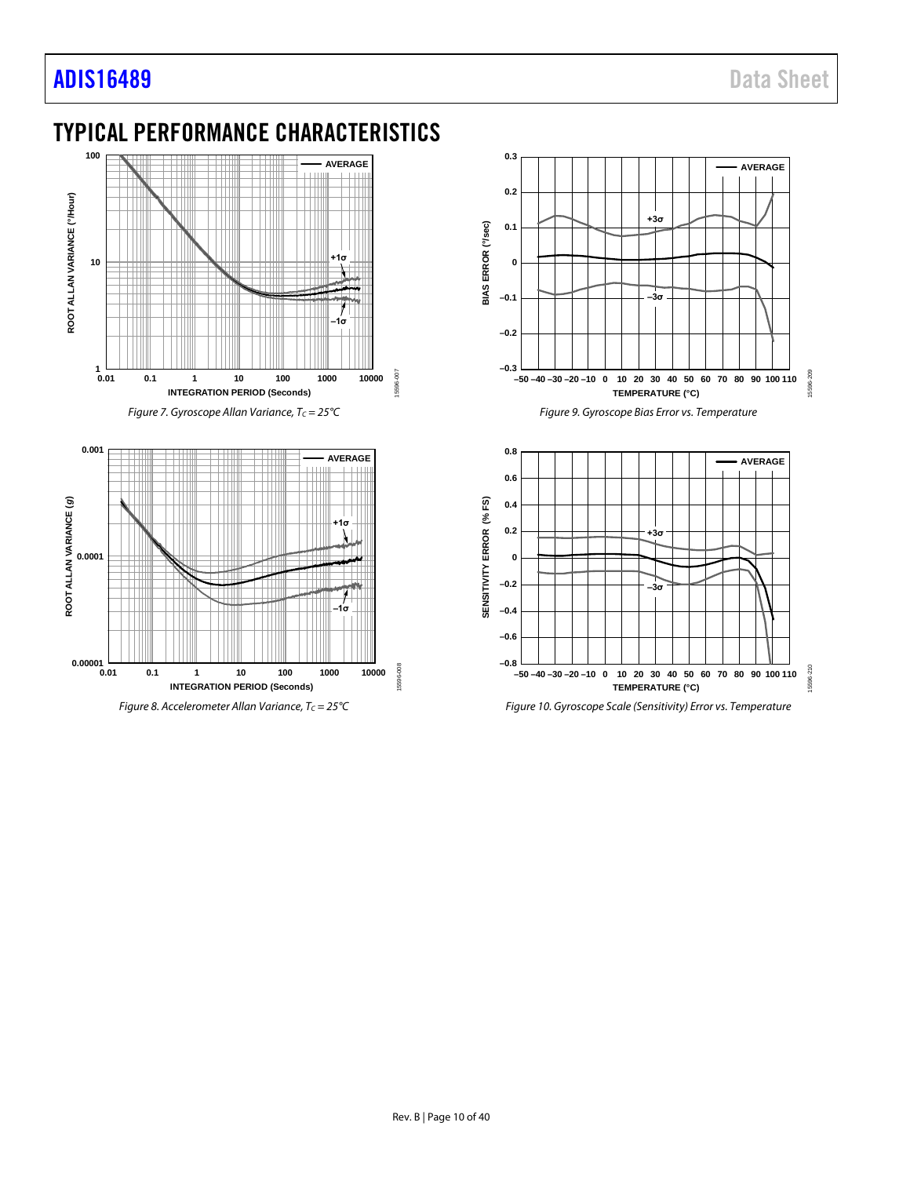**0.00001**

# <span id="page-9-0"></span>TYPICAL PERFORMANCE CHARACTERISTICS



**0.01 0.1 1 10 100 1000 10000**

**–1σ**

15596-008

5596-008

**INTEGRATION PERIOD (Seconds)**

*Figure 8. Accelerometer Allan Variance, Tc* = 25°C





*Figure 10. Gyroscope Scale (Sensitivity) Error vs. Temperature*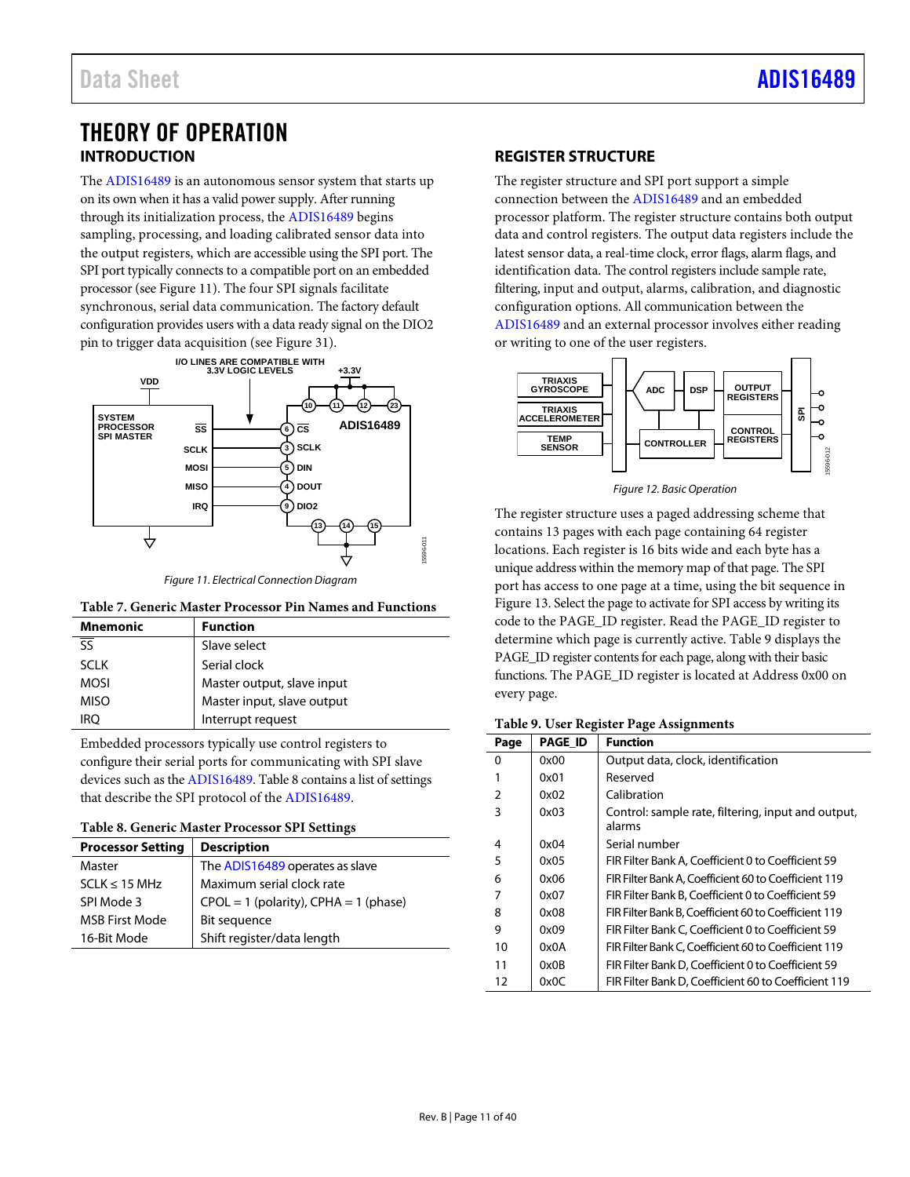# <span id="page-10-0"></span>THEORY OF OPERATION **INTRODUCTION**

<span id="page-10-1"></span>The [ADIS16489](http://www.analog.com/ADIS16489?doc=ADIS16489.pdf) is an autonomous sensor system that starts up on its own when it has a valid power supply. After running through its initialization process, the [ADIS16489](http://www.analog.com/ADIS16489?doc=ADIS16489.pdf) begins sampling, processing, and loading calibrated sensor data into the output registers, which are accessible using the SPI port. The SPI port typically connects to a compatible port on an embedded processor (see [Figure 11\)](#page-10-3). The four SPI signals facilitate synchronous, serial data communication. The factory default configuration provides users with a data ready signal on the DIO2 pin to trigger data acquisition (se[e Figure 31\)](#page-27-2).



*Figure 11. Electrical Connection Diagram*

### <span id="page-10-3"></span>**Table 7. Generic Master Processor Pin Names and Functions**

| <b>Mnemonic</b>          | <b>Function</b>            |
|--------------------------|----------------------------|
| $\overline{\mathsf{ss}}$ | Slave select               |
| <b>SCLK</b>              | Serial clock               |
| <b>MOSI</b>              | Master output, slave input |
| <b>MISO</b>              | Master input, slave output |
| iro                      | Interrupt request          |

Embedded processors typically use control registers to configure their serial ports for communicating with SPI slave devices such as th[e ADIS16489.](http://www.analog.com/ADIS16489?doc=ADIS16489.pdf) [Table 8](#page-10-4) contains a list of settings that describe the SPI protocol of the [ADIS16489.](http://www.analog.com/ADIS16489?doc=ADIS16489.pdf)

<span id="page-10-4"></span>

| Table 8. Generic Master Processor SPI Settings |  |
|------------------------------------------------|--|
|------------------------------------------------|--|

| <b>Processor Setting</b> | <b>Description</b>                        |
|--------------------------|-------------------------------------------|
| Master                   | The ADIS16489 operates as slave           |
| $SCLK \leq 15 MHz$       | Maximum serial clock rate                 |
| SPI Mode 3               | $CPOL = 1$ (polarity), $CPHA = 1$ (phase) |
| <b>MSB First Mode</b>    | Bit sequence                              |
| 16-Bit Mode              | Shift register/data length                |

# <span id="page-10-2"></span>**REGISTER STRUCTURE**

The register structure and SPI port support a simple connection between the [ADIS16489](http://www.analog.com/ADIS16489?doc=ADIS16489.pdf) and an embedded processor platform. The register structure contains both output data and control registers. The output data registers include the latest sensor data, a real-time clock, error flags, alarm flags, and identification data. The control registers include sample rate, filtering, input and output, alarms, calibration, and diagnostic configuration options. All communication between the [ADIS16489](http://www.analog.com/ADIS16489?doc=ADIS16489.pdf) and an external processor involves either reading or writing to one of the user registers.



*Figure 12. Basic Operation*

The register structure uses a paged addressing scheme that contains 13 pages with each page containing 64 register locations. Each register is 16 bits wide and each byte has a unique address within the memory map of that page. The SPI port has access to one page at a time, using the bit sequence in [Figure 13.](#page-11-3) Select the page to activate for SPI access by writing its code to the PAGE\_ID register. Read the PAGE\_ID register to determine which page is currently active. [Table 9](#page-10-5) displays the PAGE\_ID register contents for each page, along with their basic functions. The PAGE\_ID register is located at Address 0x00 on every page.

### <span id="page-10-5"></span>**Table 9. User Register Page Assignments**

| Page           | <b>PAGE ID</b> | <b>Function</b>                                              |
|----------------|----------------|--------------------------------------------------------------|
| 0              | 0x00           | Output data, clock, identification                           |
|                | 0x01           | Reserved                                                     |
| $\overline{2}$ | 0x02           | Calibration                                                  |
| 3              | 0x03           | Control: sample rate, filtering, input and output,<br>alarms |
| 4              | 0x04           | Serial number                                                |
| 5              | 0x05           | FIR Filter Bank A. Coefficient 0 to Coefficient 59           |
| 6              | 0x06           | FIR Filter Bank A, Coefficient 60 to Coefficient 119         |
| 7              | 0x07           | FIR Filter Bank B. Coefficient 0 to Coefficient 59           |
| 8              | 0x08           | FIR Filter Bank B. Coefficient 60 to Coefficient 119         |
| 9              | 0x09           | FIR Filter Bank C, Coefficient 0 to Coefficient 59           |
| 10             | 0x0A           | FIR Filter Bank C. Coefficient 60 to Coefficient 119         |
| 11             | 0x0B           | FIR Filter Bank D, Coefficient 0 to Coefficient 59           |
| 12             | 0x0C           | FIR Filter Bank D, Coefficient 60 to Coefficient 119         |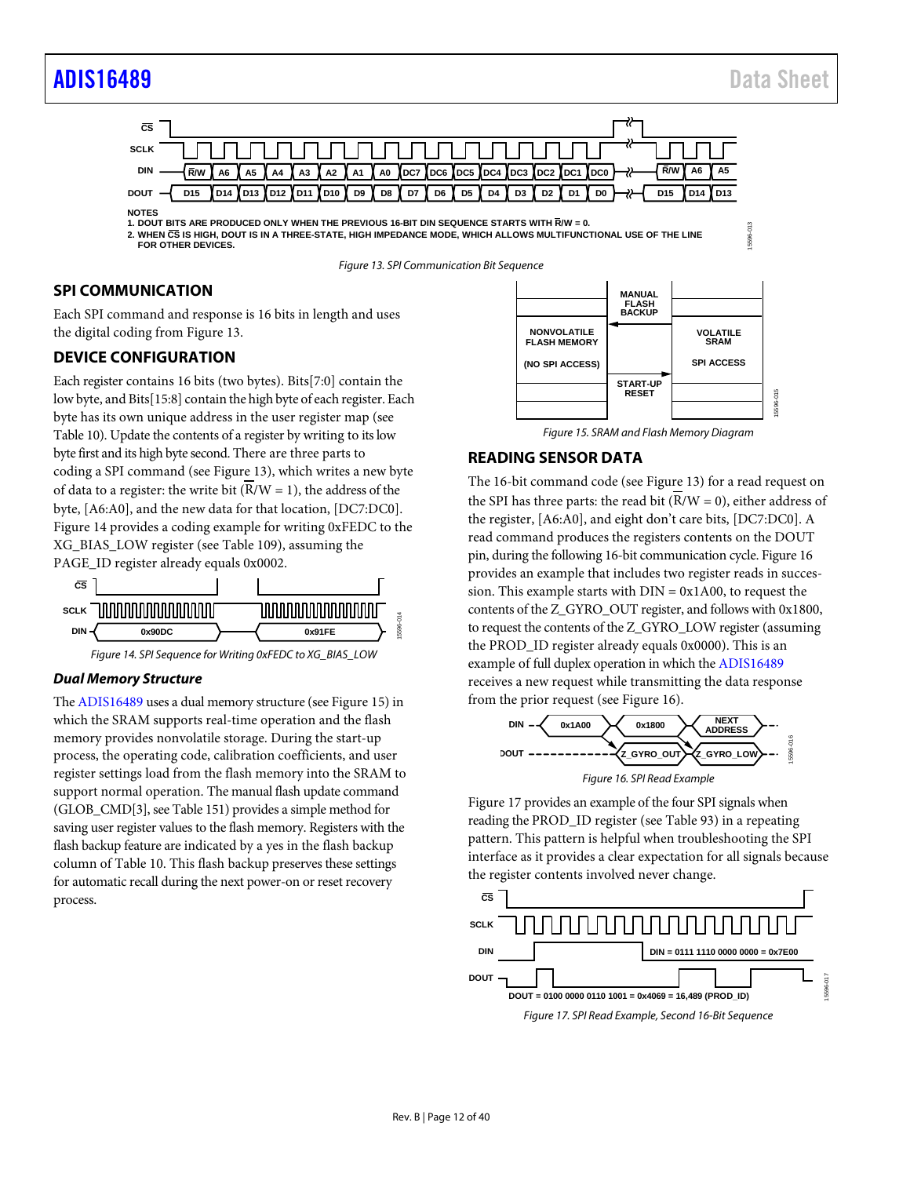15596-013

15596-015



**1. DOUT BITS ARE PRODUCED ONLY WHEN THE PREVIOUS 16-BIT DIN SEQUENCE STARTS WITH R/W = 0. 2. WHEN CS IS HIGH, DOUT IS IN A THREE-STATE, HIGH IMPEDANCE MODE, WHICH ALLOWS MULTIFUNCTIONAL USE OF THE LINE FOR OTHER DEVICES.**

*Figure 13. SPI Communication Bit Sequence*

# <span id="page-11-3"></span><span id="page-11-0"></span>**SPI COMMUNICATION**

Each SPI command and response is 16 bits in length and uses the digital coding fro[m Figure 13.](#page-11-3)

# <span id="page-11-1"></span>**DEVICE CONFIGURATION**

Each register contains 16 bits (two bytes). Bits[7:0] contain the low byte, and Bits[15:8] contain the high byte of each register. Each byte has its own unique address in the user register map (see [Table 10\)](#page-12-1). Update the contents of a register by writing to its low byte first and its high byte second. There are three parts to coding a SPI command (see [Figure 13\)](#page-11-3), which writes a new byte of data to a register: the write bit  $(R/W = 1)$ , the address of the byte, [A6:A0], and the new data for that location, [DC7:DC0]. [Figure 14](#page-11-4) provides a coding example for writing 0xFEDC to the XG\_BIAS\_LOW register (se[e Table 109\)](#page-23-0), assuming the PAGE\_ID register already equals 0x0002.



#### *Figure 14. SPI Sequence for Writing 0xFEDC to XG\_BIAS\_LOW*

#### <span id="page-11-4"></span>*Dual Memory Structure*

Th[e ADIS16489](http://www.analog.com/ADIS16489?doc=ADIS16489.pdf) uses a dual memory structure (se[e Figure 15\)](#page-11-5) in which the SRAM supports real-time operation and the flash memory provides nonvolatile storage. During the start-up process, the operating code, calibration coefficients, and user register settings load from the flash memory into the SRAM to support normal operation. The manual flash update command (GLOB\_CMD[3], se[e Table 151\)](#page-26-3) provides a simple method for saving user register values to the flash memory. Registers with the flash backup feature are indicated by a yes in the flash backup column o[f Table 10.](#page-12-1) This flash backup preserves these settings for automatic recall during the next power-on or reset recovery process.



*Figure 15. SRAM and Flash Memory Diagram*

## <span id="page-11-5"></span><span id="page-11-2"></span>**READING SENSOR DATA**

The 16-bit command code (see [Figure 13\)](#page-11-3) for a read request on the SPI has three parts: the read bit  $(\overline{R}/W = 0)$ , either address of the register, [A6:A0], and eight don't care bits, [DC7:DC0]. A read command produces the registers contents on the DOUT pin, during the following 16-bit communication cycle[. Figure 16](#page-11-6) provides an example that includes two register reads in succession. This example starts with  $DIN = 0x1A00$ , to request the contents of the Z\_GYRO\_OUT register, and follows with 0x1800, to request the contents of the Z\_GYRO\_LOW register (assuming the PROD\_ID register already equals 0x0000). This is an example of full duplex operation in which the [ADIS16489](http://www.analog.com/ADIS16489?doc=ADIS16489.pdf) receives a new request while transmitting the data response from the prior request (see [Figure 16\)](#page-11-6).



<span id="page-11-6"></span>[Figure 17](#page-11-7) provides an example of the four SPI signals when reading the PROD\_ID register (see [Table 93\)](#page-22-2) in a repeating pattern. This pattern is helpful when troubleshooting the SPI interface as it provides a clear expectation for all signals because the register contents involved never change.

<span id="page-11-7"></span>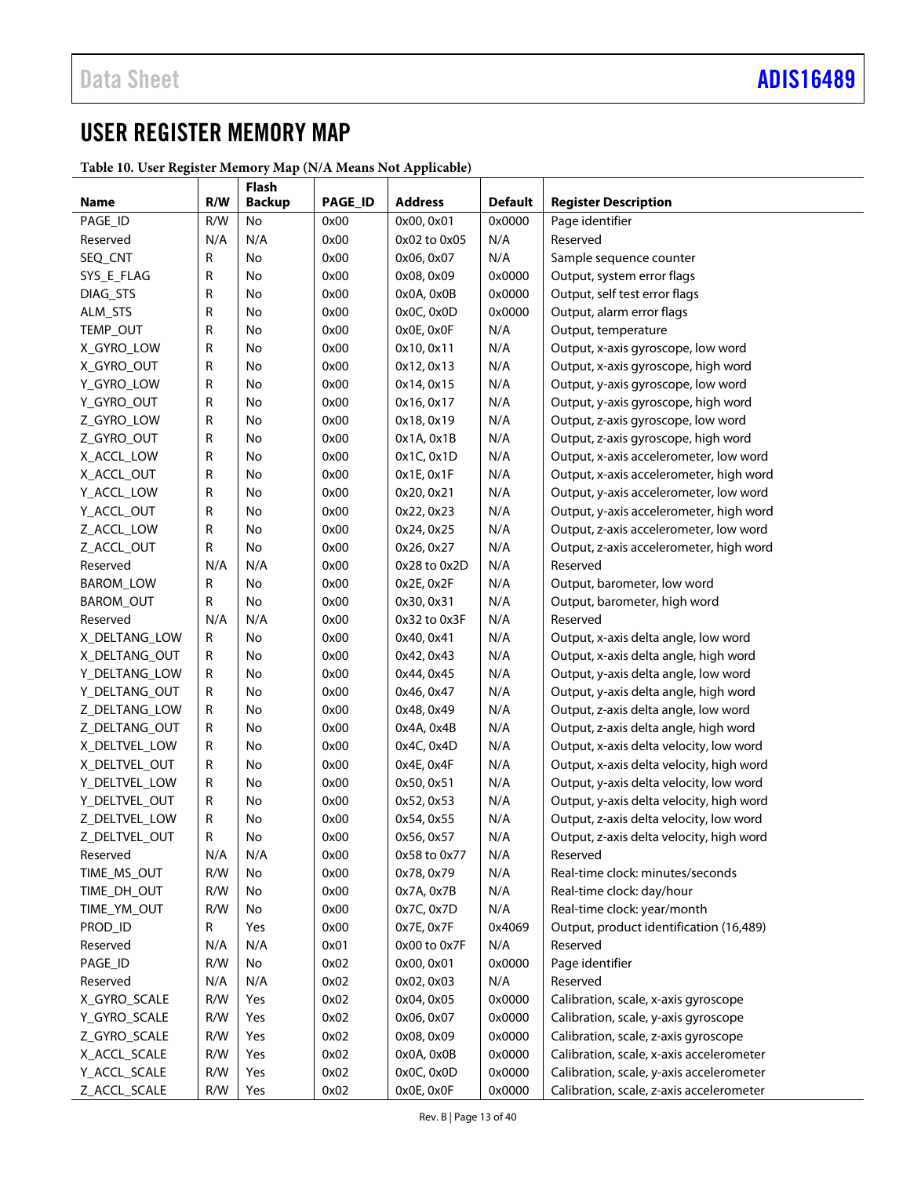# <span id="page-12-0"></span>USER REGISTER MEMORY MAP

<span id="page-12-1"></span>**Table 10. User Register Memory Map (N/A Means Not Applicable)**

| Name<br><b>Backup</b><br>PAGE_ID<br>R/W<br>0x00<br>0x0000<br>Page identifier<br>No<br>0x00, 0x01<br>N/A<br>0x00<br>N/A<br>Reserved<br>Reserved<br>N/A<br>0x02 to 0x05<br>0x00<br>N/A<br>SEQ_CNT<br>R<br>No<br>0x06, 0x07<br>Sample sequence counter<br>R<br>0x00<br>0x0000<br>SYS_E_FLAG<br>No<br>0x08, 0x09<br>Output, system error flags<br>R<br>0x00<br>DIAG_STS<br>No<br>0x0A, 0x0B<br>0x0000<br>Output, self test error flags<br>R<br>0x00<br>0x0000<br>Output, alarm error flags<br>ALM_STS<br>No<br>0x0C, 0x0D<br>R<br>0x00<br>N/A<br>TEMP_OUT<br>No<br>0x0E, 0x0F<br>Output, temperature<br>R<br>No<br>0x00<br>N/A<br>X_GYRO_LOW<br>0x10, 0x11<br>Output, x-axis gyroscope, low word<br>R<br>No<br>0x00<br>N/A<br>X_GYRO_OUT<br>0x12, 0x13<br>Output, x-axis gyroscope, high word<br>N/A<br>R<br>No<br>0x00<br>Y_GYRO_LOW<br>0x14, 0x15<br>Output, y-axis gyroscope, low word<br>R<br>0x00<br>N/A<br>Y_GYRO_OUT<br>No<br>0x16, 0x17<br>Output, y-axis gyroscope, high word<br>N/A<br>R<br>0x00<br>Z_GYRO_LOW<br>No<br>0x18, 0x19<br>Output, z-axis gyroscope, low word<br>N/A<br>R<br>0x00<br>Z_GYRO_OUT<br>No<br>0x1A, 0x1B<br>Output, z-axis gyroscope, high word<br>R<br>0x00<br>0x1C, 0x1D<br>N/A<br>X_ACCL_LOW<br>No<br>Output, x-axis accelerometer, low word<br>R<br>0x00<br>N/A<br>X_ACCL_OUT<br>No<br>0x1E, 0x1F<br>Output, x-axis accelerometer, high word<br>R<br>0x00<br>N/A<br>Y_ACCL_LOW<br>No<br>0x20, 0x21<br>Output, y-axis accelerometer, low word<br>R<br>0x00<br>N/A<br>Y_ACCL_OUT<br>No<br>0x22, 0x23<br>Output, y-axis accelerometer, high word<br>R<br>0x00<br>N/A<br>Z_ACCL_LOW<br>No<br>0x24, 0x25<br>Output, z-axis accelerometer, low word<br>0x00<br>Z_ACCL_OUT<br>R<br>No<br>0x26, 0x27<br>N/A<br>Output, z-axis accelerometer, high word<br>0x00<br>Reserved<br>N/A<br>N/A<br>0x28 to 0x2D<br>N/A<br>Reserved<br>0x00<br><b>BAROM_LOW</b><br>R<br>No<br>0x2E, 0x2F<br>N/A<br>Output, barometer, low word<br>No<br>0x00<br>N/A<br>BAROM_OUT<br>R<br>0x30, 0x31<br>Output, barometer, high word<br>0x00<br>Reserved<br>N/A<br>N/A<br>0x32 to 0x3F<br>N/A<br>Reserved<br>0x00<br>X_DELTANG_LOW<br>R<br>No<br>0x40, 0x41<br>N/A<br>Output, x-axis delta angle, low word<br>0x00<br>N/A<br>X_DELTANG_OUT<br>R<br>No<br>0x42, 0x43<br>Output, x-axis delta angle, high word<br>0x00<br>N/A<br>Y_DELTANG_LOW<br>R<br>No<br>0x44, 0x45<br>Output, y-axis delta angle, low word<br>0x00<br>N/A<br>Y_DELTANG_OUT<br>R<br>No<br>0x46, 0x47<br>Output, y-axis delta angle, high word<br>0x00<br>N/A<br>Z_DELTANG_LOW<br>R<br>No<br>0x48, 0x49<br>Output, z-axis delta angle, low word<br>0x00<br>N/A<br>Output, z-axis delta angle, high word<br>Z_DELTANG_OUT<br>R<br>No<br>0x4A, 0x4B<br>0x00<br>N/A<br>X_DELTVEL_LOW<br>R<br>No<br>0x4C, 0x4D<br>Output, x-axis delta velocity, low word<br>R<br>0x00<br>N/A<br>Output, x-axis delta velocity, high word<br>X_DELTVEL_OUT<br>No<br>0x4E, 0x4F<br>R<br>0x00<br>N/A<br>Y_DELTVEL_LOW<br>No<br>0x50, 0x51<br>Output, y-axis delta velocity, low word<br>R<br>0x00<br>N/A<br>Output, y-axis delta velocity, high word<br>Y_DELTVEL_OUT<br>No<br>0x52, 0x53<br>R<br>N/A<br>Z_DELTVEL_LOW<br>No<br>0x00<br>0x54, 0x55<br>Output, z-axis delta velocity, low word<br>R<br>Z_DELTVEL_OUT<br>0x00<br>0x56, 0x57<br>N/A<br>Output, z-axis delta velocity, high word<br>No<br>N/A<br>N/A<br>0x00<br>0x58 to 0x77<br>N/A<br>Reserved<br>Reserved<br>R/W<br>TIME MS_OUT<br>No<br>0x00<br>0x78, 0x79<br>N/A<br>Real-time clock: minutes/seconds<br>0x00<br>N/A<br>TIME_DH_OUT<br>R/W<br>No<br>0x7A, 0x7B<br>Real-time clock: day/hour<br>R/W<br>0x00<br>N/A<br>Real-time clock: year/month<br>TIME_YM_OUT<br>No<br>0x7C, 0x7D<br>0x00<br>Output, product identification (16,489)<br>PROD_ID<br>R<br>Yes<br>0x7E, 0x7F<br>0x4069<br>N/A<br>N/A<br>0x01<br>N/A<br>Reserved<br>Reserved<br>0x00 to 0x7F<br>R/W<br>0x02<br>0x0000<br>Page identifier<br>PAGE_ID<br>$\operatorname{\mathsf{No}}$<br>0x00, 0x01<br>N/A<br>N/A<br>0x02<br>N/A<br>Reserved<br>Reserved<br>0x02, 0x03<br>R/W<br>Yes<br>0x02<br>0x0000<br>X_GYRO_SCALE<br>0x04, 0x05<br>Calibration, scale, x-axis gyroscope<br>R/W<br>Yes<br>0x02<br>0x0000<br>Y_GYRO_SCALE<br>0x06, 0x07<br>Calibration, scale, y-axis gyroscope<br>Z_GYRO_SCALE<br>0x02<br>0x0000<br>Calibration, scale, z-axis gyroscope<br>R/W<br>Yes<br>0x08, 0x09<br>X_ACCL_SCALE<br>R/W<br>0x02<br>0x0000<br>Calibration, scale, x-axis accelerometer<br>Yes<br>0x0A, 0x0B<br>Y_ACCL_SCALE<br>R/W<br>0x02<br>0x0C, 0x0D<br>0x0000<br>Calibration, scale, y-axis accelerometer<br>Yes<br>Z_ACCL_SCALE<br>R/W<br>0x0000<br>Calibration, scale, z-axis accelerometer<br>Yes<br>0x02<br>0x0E, 0x0F |     | Flash |         |                |                |                             |
|---------------------------------------------------------------------------------------------------------------------------------------------------------------------------------------------------------------------------------------------------------------------------------------------------------------------------------------------------------------------------------------------------------------------------------------------------------------------------------------------------------------------------------------------------------------------------------------------------------------------------------------------------------------------------------------------------------------------------------------------------------------------------------------------------------------------------------------------------------------------------------------------------------------------------------------------------------------------------------------------------------------------------------------------------------------------------------------------------------------------------------------------------------------------------------------------------------------------------------------------------------------------------------------------------------------------------------------------------------------------------------------------------------------------------------------------------------------------------------------------------------------------------------------------------------------------------------------------------------------------------------------------------------------------------------------------------------------------------------------------------------------------------------------------------------------------------------------------------------------------------------------------------------------------------------------------------------------------------------------------------------------------------------------------------------------------------------------------------------------------------------------------------------------------------------------------------------------------------------------------------------------------------------------------------------------------------------------------------------------------------------------------------------------------------------------------------------------------------------------------------------------------------------------------------------------------------------------------------------------------------------------------------------------------------------------------------------------------------------------------------------------------------------------------------------------------------------------------------------------------------------------------------------------------------------------------------------------------------------------------------------------------------------------------------------------------------------------------------------------------------------------------------------------------------------------------------------------------------------------------------------------------------------------------------------------------------------------------------------------------------------------------------------------------------------------------------------------------------------------------------------------------------------------------------------------------------------------------------------------------------------------------------------------------------------------------------------------------------------------------------------------------------------------------------------------------------------------------------------------------------------------------------------------------------------------------------------------------------------------------------------------------------------------------------------------------------------------------------------------------------------------------------------------------------------------------------------------------------------------------------------------------------------------------------------------------------------------------------------------------------------------------------------------------------------------------------------------------------------------------------------------------------------------------------------------------------------------------------------------------------------------------------------------------------------------------|-----|-------|---------|----------------|----------------|-----------------------------|
|                                                                                                                                                                                                                                                                                                                                                                                                                                                                                                                                                                                                                                                                                                                                                                                                                                                                                                                                                                                                                                                                                                                                                                                                                                                                                                                                                                                                                                                                                                                                                                                                                                                                                                                                                                                                                                                                                                                                                                                                                                                                                                                                                                                                                                                                                                                                                                                                                                                                                                                                                                                                                                                                                                                                                                                                                                                                                                                                                                                                                                                                                                                                                                                                                                                                                                                                                                                                                                                                                                                                                                                                                                                                                                                                                                                                                                                                                                                                                                                                                                                                                                                                                                                                                                                                                                                                                                                                                                                                                                                                                                                                                                                                                             | R/W |       | PAGE_ID | <b>Address</b> | <b>Default</b> | <b>Register Description</b> |
|                                                                                                                                                                                                                                                                                                                                                                                                                                                                                                                                                                                                                                                                                                                                                                                                                                                                                                                                                                                                                                                                                                                                                                                                                                                                                                                                                                                                                                                                                                                                                                                                                                                                                                                                                                                                                                                                                                                                                                                                                                                                                                                                                                                                                                                                                                                                                                                                                                                                                                                                                                                                                                                                                                                                                                                                                                                                                                                                                                                                                                                                                                                                                                                                                                                                                                                                                                                                                                                                                                                                                                                                                                                                                                                                                                                                                                                                                                                                                                                                                                                                                                                                                                                                                                                                                                                                                                                                                                                                                                                                                                                                                                                                                             |     |       |         |                |                |                             |
|                                                                                                                                                                                                                                                                                                                                                                                                                                                                                                                                                                                                                                                                                                                                                                                                                                                                                                                                                                                                                                                                                                                                                                                                                                                                                                                                                                                                                                                                                                                                                                                                                                                                                                                                                                                                                                                                                                                                                                                                                                                                                                                                                                                                                                                                                                                                                                                                                                                                                                                                                                                                                                                                                                                                                                                                                                                                                                                                                                                                                                                                                                                                                                                                                                                                                                                                                                                                                                                                                                                                                                                                                                                                                                                                                                                                                                                                                                                                                                                                                                                                                                                                                                                                                                                                                                                                                                                                                                                                                                                                                                                                                                                                                             |     |       |         |                |                |                             |
|                                                                                                                                                                                                                                                                                                                                                                                                                                                                                                                                                                                                                                                                                                                                                                                                                                                                                                                                                                                                                                                                                                                                                                                                                                                                                                                                                                                                                                                                                                                                                                                                                                                                                                                                                                                                                                                                                                                                                                                                                                                                                                                                                                                                                                                                                                                                                                                                                                                                                                                                                                                                                                                                                                                                                                                                                                                                                                                                                                                                                                                                                                                                                                                                                                                                                                                                                                                                                                                                                                                                                                                                                                                                                                                                                                                                                                                                                                                                                                                                                                                                                                                                                                                                                                                                                                                                                                                                                                                                                                                                                                                                                                                                                             |     |       |         |                |                |                             |
|                                                                                                                                                                                                                                                                                                                                                                                                                                                                                                                                                                                                                                                                                                                                                                                                                                                                                                                                                                                                                                                                                                                                                                                                                                                                                                                                                                                                                                                                                                                                                                                                                                                                                                                                                                                                                                                                                                                                                                                                                                                                                                                                                                                                                                                                                                                                                                                                                                                                                                                                                                                                                                                                                                                                                                                                                                                                                                                                                                                                                                                                                                                                                                                                                                                                                                                                                                                                                                                                                                                                                                                                                                                                                                                                                                                                                                                                                                                                                                                                                                                                                                                                                                                                                                                                                                                                                                                                                                                                                                                                                                                                                                                                                             |     |       |         |                |                |                             |
|                                                                                                                                                                                                                                                                                                                                                                                                                                                                                                                                                                                                                                                                                                                                                                                                                                                                                                                                                                                                                                                                                                                                                                                                                                                                                                                                                                                                                                                                                                                                                                                                                                                                                                                                                                                                                                                                                                                                                                                                                                                                                                                                                                                                                                                                                                                                                                                                                                                                                                                                                                                                                                                                                                                                                                                                                                                                                                                                                                                                                                                                                                                                                                                                                                                                                                                                                                                                                                                                                                                                                                                                                                                                                                                                                                                                                                                                                                                                                                                                                                                                                                                                                                                                                                                                                                                                                                                                                                                                                                                                                                                                                                                                                             |     |       |         |                |                |                             |
|                                                                                                                                                                                                                                                                                                                                                                                                                                                                                                                                                                                                                                                                                                                                                                                                                                                                                                                                                                                                                                                                                                                                                                                                                                                                                                                                                                                                                                                                                                                                                                                                                                                                                                                                                                                                                                                                                                                                                                                                                                                                                                                                                                                                                                                                                                                                                                                                                                                                                                                                                                                                                                                                                                                                                                                                                                                                                                                                                                                                                                                                                                                                                                                                                                                                                                                                                                                                                                                                                                                                                                                                                                                                                                                                                                                                                                                                                                                                                                                                                                                                                                                                                                                                                                                                                                                                                                                                                                                                                                                                                                                                                                                                                             |     |       |         |                |                |                             |
|                                                                                                                                                                                                                                                                                                                                                                                                                                                                                                                                                                                                                                                                                                                                                                                                                                                                                                                                                                                                                                                                                                                                                                                                                                                                                                                                                                                                                                                                                                                                                                                                                                                                                                                                                                                                                                                                                                                                                                                                                                                                                                                                                                                                                                                                                                                                                                                                                                                                                                                                                                                                                                                                                                                                                                                                                                                                                                                                                                                                                                                                                                                                                                                                                                                                                                                                                                                                                                                                                                                                                                                                                                                                                                                                                                                                                                                                                                                                                                                                                                                                                                                                                                                                                                                                                                                                                                                                                                                                                                                                                                                                                                                                                             |     |       |         |                |                |                             |
|                                                                                                                                                                                                                                                                                                                                                                                                                                                                                                                                                                                                                                                                                                                                                                                                                                                                                                                                                                                                                                                                                                                                                                                                                                                                                                                                                                                                                                                                                                                                                                                                                                                                                                                                                                                                                                                                                                                                                                                                                                                                                                                                                                                                                                                                                                                                                                                                                                                                                                                                                                                                                                                                                                                                                                                                                                                                                                                                                                                                                                                                                                                                                                                                                                                                                                                                                                                                                                                                                                                                                                                                                                                                                                                                                                                                                                                                                                                                                                                                                                                                                                                                                                                                                                                                                                                                                                                                                                                                                                                                                                                                                                                                                             |     |       |         |                |                |                             |
|                                                                                                                                                                                                                                                                                                                                                                                                                                                                                                                                                                                                                                                                                                                                                                                                                                                                                                                                                                                                                                                                                                                                                                                                                                                                                                                                                                                                                                                                                                                                                                                                                                                                                                                                                                                                                                                                                                                                                                                                                                                                                                                                                                                                                                                                                                                                                                                                                                                                                                                                                                                                                                                                                                                                                                                                                                                                                                                                                                                                                                                                                                                                                                                                                                                                                                                                                                                                                                                                                                                                                                                                                                                                                                                                                                                                                                                                                                                                                                                                                                                                                                                                                                                                                                                                                                                                                                                                                                                                                                                                                                                                                                                                                             |     |       |         |                |                |                             |
|                                                                                                                                                                                                                                                                                                                                                                                                                                                                                                                                                                                                                                                                                                                                                                                                                                                                                                                                                                                                                                                                                                                                                                                                                                                                                                                                                                                                                                                                                                                                                                                                                                                                                                                                                                                                                                                                                                                                                                                                                                                                                                                                                                                                                                                                                                                                                                                                                                                                                                                                                                                                                                                                                                                                                                                                                                                                                                                                                                                                                                                                                                                                                                                                                                                                                                                                                                                                                                                                                                                                                                                                                                                                                                                                                                                                                                                                                                                                                                                                                                                                                                                                                                                                                                                                                                                                                                                                                                                                                                                                                                                                                                                                                             |     |       |         |                |                |                             |
|                                                                                                                                                                                                                                                                                                                                                                                                                                                                                                                                                                                                                                                                                                                                                                                                                                                                                                                                                                                                                                                                                                                                                                                                                                                                                                                                                                                                                                                                                                                                                                                                                                                                                                                                                                                                                                                                                                                                                                                                                                                                                                                                                                                                                                                                                                                                                                                                                                                                                                                                                                                                                                                                                                                                                                                                                                                                                                                                                                                                                                                                                                                                                                                                                                                                                                                                                                                                                                                                                                                                                                                                                                                                                                                                                                                                                                                                                                                                                                                                                                                                                                                                                                                                                                                                                                                                                                                                                                                                                                                                                                                                                                                                                             |     |       |         |                |                |                             |
|                                                                                                                                                                                                                                                                                                                                                                                                                                                                                                                                                                                                                                                                                                                                                                                                                                                                                                                                                                                                                                                                                                                                                                                                                                                                                                                                                                                                                                                                                                                                                                                                                                                                                                                                                                                                                                                                                                                                                                                                                                                                                                                                                                                                                                                                                                                                                                                                                                                                                                                                                                                                                                                                                                                                                                                                                                                                                                                                                                                                                                                                                                                                                                                                                                                                                                                                                                                                                                                                                                                                                                                                                                                                                                                                                                                                                                                                                                                                                                                                                                                                                                                                                                                                                                                                                                                                                                                                                                                                                                                                                                                                                                                                                             |     |       |         |                |                |                             |
|                                                                                                                                                                                                                                                                                                                                                                                                                                                                                                                                                                                                                                                                                                                                                                                                                                                                                                                                                                                                                                                                                                                                                                                                                                                                                                                                                                                                                                                                                                                                                                                                                                                                                                                                                                                                                                                                                                                                                                                                                                                                                                                                                                                                                                                                                                                                                                                                                                                                                                                                                                                                                                                                                                                                                                                                                                                                                                                                                                                                                                                                                                                                                                                                                                                                                                                                                                                                                                                                                                                                                                                                                                                                                                                                                                                                                                                                                                                                                                                                                                                                                                                                                                                                                                                                                                                                                                                                                                                                                                                                                                                                                                                                                             |     |       |         |                |                |                             |
|                                                                                                                                                                                                                                                                                                                                                                                                                                                                                                                                                                                                                                                                                                                                                                                                                                                                                                                                                                                                                                                                                                                                                                                                                                                                                                                                                                                                                                                                                                                                                                                                                                                                                                                                                                                                                                                                                                                                                                                                                                                                                                                                                                                                                                                                                                                                                                                                                                                                                                                                                                                                                                                                                                                                                                                                                                                                                                                                                                                                                                                                                                                                                                                                                                                                                                                                                                                                                                                                                                                                                                                                                                                                                                                                                                                                                                                                                                                                                                                                                                                                                                                                                                                                                                                                                                                                                                                                                                                                                                                                                                                                                                                                                             |     |       |         |                |                |                             |
|                                                                                                                                                                                                                                                                                                                                                                                                                                                                                                                                                                                                                                                                                                                                                                                                                                                                                                                                                                                                                                                                                                                                                                                                                                                                                                                                                                                                                                                                                                                                                                                                                                                                                                                                                                                                                                                                                                                                                                                                                                                                                                                                                                                                                                                                                                                                                                                                                                                                                                                                                                                                                                                                                                                                                                                                                                                                                                                                                                                                                                                                                                                                                                                                                                                                                                                                                                                                                                                                                                                                                                                                                                                                                                                                                                                                                                                                                                                                                                                                                                                                                                                                                                                                                                                                                                                                                                                                                                                                                                                                                                                                                                                                                             |     |       |         |                |                |                             |
|                                                                                                                                                                                                                                                                                                                                                                                                                                                                                                                                                                                                                                                                                                                                                                                                                                                                                                                                                                                                                                                                                                                                                                                                                                                                                                                                                                                                                                                                                                                                                                                                                                                                                                                                                                                                                                                                                                                                                                                                                                                                                                                                                                                                                                                                                                                                                                                                                                                                                                                                                                                                                                                                                                                                                                                                                                                                                                                                                                                                                                                                                                                                                                                                                                                                                                                                                                                                                                                                                                                                                                                                                                                                                                                                                                                                                                                                                                                                                                                                                                                                                                                                                                                                                                                                                                                                                                                                                                                                                                                                                                                                                                                                                             |     |       |         |                |                |                             |
|                                                                                                                                                                                                                                                                                                                                                                                                                                                                                                                                                                                                                                                                                                                                                                                                                                                                                                                                                                                                                                                                                                                                                                                                                                                                                                                                                                                                                                                                                                                                                                                                                                                                                                                                                                                                                                                                                                                                                                                                                                                                                                                                                                                                                                                                                                                                                                                                                                                                                                                                                                                                                                                                                                                                                                                                                                                                                                                                                                                                                                                                                                                                                                                                                                                                                                                                                                                                                                                                                                                                                                                                                                                                                                                                                                                                                                                                                                                                                                                                                                                                                                                                                                                                                                                                                                                                                                                                                                                                                                                                                                                                                                                                                             |     |       |         |                |                |                             |
|                                                                                                                                                                                                                                                                                                                                                                                                                                                                                                                                                                                                                                                                                                                                                                                                                                                                                                                                                                                                                                                                                                                                                                                                                                                                                                                                                                                                                                                                                                                                                                                                                                                                                                                                                                                                                                                                                                                                                                                                                                                                                                                                                                                                                                                                                                                                                                                                                                                                                                                                                                                                                                                                                                                                                                                                                                                                                                                                                                                                                                                                                                                                                                                                                                                                                                                                                                                                                                                                                                                                                                                                                                                                                                                                                                                                                                                                                                                                                                                                                                                                                                                                                                                                                                                                                                                                                                                                                                                                                                                                                                                                                                                                                             |     |       |         |                |                |                             |
|                                                                                                                                                                                                                                                                                                                                                                                                                                                                                                                                                                                                                                                                                                                                                                                                                                                                                                                                                                                                                                                                                                                                                                                                                                                                                                                                                                                                                                                                                                                                                                                                                                                                                                                                                                                                                                                                                                                                                                                                                                                                                                                                                                                                                                                                                                                                                                                                                                                                                                                                                                                                                                                                                                                                                                                                                                                                                                                                                                                                                                                                                                                                                                                                                                                                                                                                                                                                                                                                                                                                                                                                                                                                                                                                                                                                                                                                                                                                                                                                                                                                                                                                                                                                                                                                                                                                                                                                                                                                                                                                                                                                                                                                                             |     |       |         |                |                |                             |
|                                                                                                                                                                                                                                                                                                                                                                                                                                                                                                                                                                                                                                                                                                                                                                                                                                                                                                                                                                                                                                                                                                                                                                                                                                                                                                                                                                                                                                                                                                                                                                                                                                                                                                                                                                                                                                                                                                                                                                                                                                                                                                                                                                                                                                                                                                                                                                                                                                                                                                                                                                                                                                                                                                                                                                                                                                                                                                                                                                                                                                                                                                                                                                                                                                                                                                                                                                                                                                                                                                                                                                                                                                                                                                                                                                                                                                                                                                                                                                                                                                                                                                                                                                                                                                                                                                                                                                                                                                                                                                                                                                                                                                                                                             |     |       |         |                |                |                             |
|                                                                                                                                                                                                                                                                                                                                                                                                                                                                                                                                                                                                                                                                                                                                                                                                                                                                                                                                                                                                                                                                                                                                                                                                                                                                                                                                                                                                                                                                                                                                                                                                                                                                                                                                                                                                                                                                                                                                                                                                                                                                                                                                                                                                                                                                                                                                                                                                                                                                                                                                                                                                                                                                                                                                                                                                                                                                                                                                                                                                                                                                                                                                                                                                                                                                                                                                                                                                                                                                                                                                                                                                                                                                                                                                                                                                                                                                                                                                                                                                                                                                                                                                                                                                                                                                                                                                                                                                                                                                                                                                                                                                                                                                                             |     |       |         |                |                |                             |
|                                                                                                                                                                                                                                                                                                                                                                                                                                                                                                                                                                                                                                                                                                                                                                                                                                                                                                                                                                                                                                                                                                                                                                                                                                                                                                                                                                                                                                                                                                                                                                                                                                                                                                                                                                                                                                                                                                                                                                                                                                                                                                                                                                                                                                                                                                                                                                                                                                                                                                                                                                                                                                                                                                                                                                                                                                                                                                                                                                                                                                                                                                                                                                                                                                                                                                                                                                                                                                                                                                                                                                                                                                                                                                                                                                                                                                                                                                                                                                                                                                                                                                                                                                                                                                                                                                                                                                                                                                                                                                                                                                                                                                                                                             |     |       |         |                |                |                             |
|                                                                                                                                                                                                                                                                                                                                                                                                                                                                                                                                                                                                                                                                                                                                                                                                                                                                                                                                                                                                                                                                                                                                                                                                                                                                                                                                                                                                                                                                                                                                                                                                                                                                                                                                                                                                                                                                                                                                                                                                                                                                                                                                                                                                                                                                                                                                                                                                                                                                                                                                                                                                                                                                                                                                                                                                                                                                                                                                                                                                                                                                                                                                                                                                                                                                                                                                                                                                                                                                                                                                                                                                                                                                                                                                                                                                                                                                                                                                                                                                                                                                                                                                                                                                                                                                                                                                                                                                                                                                                                                                                                                                                                                                                             |     |       |         |                |                |                             |
|                                                                                                                                                                                                                                                                                                                                                                                                                                                                                                                                                                                                                                                                                                                                                                                                                                                                                                                                                                                                                                                                                                                                                                                                                                                                                                                                                                                                                                                                                                                                                                                                                                                                                                                                                                                                                                                                                                                                                                                                                                                                                                                                                                                                                                                                                                                                                                                                                                                                                                                                                                                                                                                                                                                                                                                                                                                                                                                                                                                                                                                                                                                                                                                                                                                                                                                                                                                                                                                                                                                                                                                                                                                                                                                                                                                                                                                                                                                                                                                                                                                                                                                                                                                                                                                                                                                                                                                                                                                                                                                                                                                                                                                                                             |     |       |         |                |                |                             |
|                                                                                                                                                                                                                                                                                                                                                                                                                                                                                                                                                                                                                                                                                                                                                                                                                                                                                                                                                                                                                                                                                                                                                                                                                                                                                                                                                                                                                                                                                                                                                                                                                                                                                                                                                                                                                                                                                                                                                                                                                                                                                                                                                                                                                                                                                                                                                                                                                                                                                                                                                                                                                                                                                                                                                                                                                                                                                                                                                                                                                                                                                                                                                                                                                                                                                                                                                                                                                                                                                                                                                                                                                                                                                                                                                                                                                                                                                                                                                                                                                                                                                                                                                                                                                                                                                                                                                                                                                                                                                                                                                                                                                                                                                             |     |       |         |                |                |                             |
|                                                                                                                                                                                                                                                                                                                                                                                                                                                                                                                                                                                                                                                                                                                                                                                                                                                                                                                                                                                                                                                                                                                                                                                                                                                                                                                                                                                                                                                                                                                                                                                                                                                                                                                                                                                                                                                                                                                                                                                                                                                                                                                                                                                                                                                                                                                                                                                                                                                                                                                                                                                                                                                                                                                                                                                                                                                                                                                                                                                                                                                                                                                                                                                                                                                                                                                                                                                                                                                                                                                                                                                                                                                                                                                                                                                                                                                                                                                                                                                                                                                                                                                                                                                                                                                                                                                                                                                                                                                                                                                                                                                                                                                                                             |     |       |         |                |                |                             |
|                                                                                                                                                                                                                                                                                                                                                                                                                                                                                                                                                                                                                                                                                                                                                                                                                                                                                                                                                                                                                                                                                                                                                                                                                                                                                                                                                                                                                                                                                                                                                                                                                                                                                                                                                                                                                                                                                                                                                                                                                                                                                                                                                                                                                                                                                                                                                                                                                                                                                                                                                                                                                                                                                                                                                                                                                                                                                                                                                                                                                                                                                                                                                                                                                                                                                                                                                                                                                                                                                                                                                                                                                                                                                                                                                                                                                                                                                                                                                                                                                                                                                                                                                                                                                                                                                                                                                                                                                                                                                                                                                                                                                                                                                             |     |       |         |                |                |                             |
|                                                                                                                                                                                                                                                                                                                                                                                                                                                                                                                                                                                                                                                                                                                                                                                                                                                                                                                                                                                                                                                                                                                                                                                                                                                                                                                                                                                                                                                                                                                                                                                                                                                                                                                                                                                                                                                                                                                                                                                                                                                                                                                                                                                                                                                                                                                                                                                                                                                                                                                                                                                                                                                                                                                                                                                                                                                                                                                                                                                                                                                                                                                                                                                                                                                                                                                                                                                                                                                                                                                                                                                                                                                                                                                                                                                                                                                                                                                                                                                                                                                                                                                                                                                                                                                                                                                                                                                                                                                                                                                                                                                                                                                                                             |     |       |         |                |                |                             |
|                                                                                                                                                                                                                                                                                                                                                                                                                                                                                                                                                                                                                                                                                                                                                                                                                                                                                                                                                                                                                                                                                                                                                                                                                                                                                                                                                                                                                                                                                                                                                                                                                                                                                                                                                                                                                                                                                                                                                                                                                                                                                                                                                                                                                                                                                                                                                                                                                                                                                                                                                                                                                                                                                                                                                                                                                                                                                                                                                                                                                                                                                                                                                                                                                                                                                                                                                                                                                                                                                                                                                                                                                                                                                                                                                                                                                                                                                                                                                                                                                                                                                                                                                                                                                                                                                                                                                                                                                                                                                                                                                                                                                                                                                             |     |       |         |                |                |                             |
|                                                                                                                                                                                                                                                                                                                                                                                                                                                                                                                                                                                                                                                                                                                                                                                                                                                                                                                                                                                                                                                                                                                                                                                                                                                                                                                                                                                                                                                                                                                                                                                                                                                                                                                                                                                                                                                                                                                                                                                                                                                                                                                                                                                                                                                                                                                                                                                                                                                                                                                                                                                                                                                                                                                                                                                                                                                                                                                                                                                                                                                                                                                                                                                                                                                                                                                                                                                                                                                                                                                                                                                                                                                                                                                                                                                                                                                                                                                                                                                                                                                                                                                                                                                                                                                                                                                                                                                                                                                                                                                                                                                                                                                                                             |     |       |         |                |                |                             |
|                                                                                                                                                                                                                                                                                                                                                                                                                                                                                                                                                                                                                                                                                                                                                                                                                                                                                                                                                                                                                                                                                                                                                                                                                                                                                                                                                                                                                                                                                                                                                                                                                                                                                                                                                                                                                                                                                                                                                                                                                                                                                                                                                                                                                                                                                                                                                                                                                                                                                                                                                                                                                                                                                                                                                                                                                                                                                                                                                                                                                                                                                                                                                                                                                                                                                                                                                                                                                                                                                                                                                                                                                                                                                                                                                                                                                                                                                                                                                                                                                                                                                                                                                                                                                                                                                                                                                                                                                                                                                                                                                                                                                                                                                             |     |       |         |                |                |                             |
|                                                                                                                                                                                                                                                                                                                                                                                                                                                                                                                                                                                                                                                                                                                                                                                                                                                                                                                                                                                                                                                                                                                                                                                                                                                                                                                                                                                                                                                                                                                                                                                                                                                                                                                                                                                                                                                                                                                                                                                                                                                                                                                                                                                                                                                                                                                                                                                                                                                                                                                                                                                                                                                                                                                                                                                                                                                                                                                                                                                                                                                                                                                                                                                                                                                                                                                                                                                                                                                                                                                                                                                                                                                                                                                                                                                                                                                                                                                                                                                                                                                                                                                                                                                                                                                                                                                                                                                                                                                                                                                                                                                                                                                                                             |     |       |         |                |                |                             |
|                                                                                                                                                                                                                                                                                                                                                                                                                                                                                                                                                                                                                                                                                                                                                                                                                                                                                                                                                                                                                                                                                                                                                                                                                                                                                                                                                                                                                                                                                                                                                                                                                                                                                                                                                                                                                                                                                                                                                                                                                                                                                                                                                                                                                                                                                                                                                                                                                                                                                                                                                                                                                                                                                                                                                                                                                                                                                                                                                                                                                                                                                                                                                                                                                                                                                                                                                                                                                                                                                                                                                                                                                                                                                                                                                                                                                                                                                                                                                                                                                                                                                                                                                                                                                                                                                                                                                                                                                                                                                                                                                                                                                                                                                             |     |       |         |                |                |                             |
|                                                                                                                                                                                                                                                                                                                                                                                                                                                                                                                                                                                                                                                                                                                                                                                                                                                                                                                                                                                                                                                                                                                                                                                                                                                                                                                                                                                                                                                                                                                                                                                                                                                                                                                                                                                                                                                                                                                                                                                                                                                                                                                                                                                                                                                                                                                                                                                                                                                                                                                                                                                                                                                                                                                                                                                                                                                                                                                                                                                                                                                                                                                                                                                                                                                                                                                                                                                                                                                                                                                                                                                                                                                                                                                                                                                                                                                                                                                                                                                                                                                                                                                                                                                                                                                                                                                                                                                                                                                                                                                                                                                                                                                                                             |     |       |         |                |                |                             |
|                                                                                                                                                                                                                                                                                                                                                                                                                                                                                                                                                                                                                                                                                                                                                                                                                                                                                                                                                                                                                                                                                                                                                                                                                                                                                                                                                                                                                                                                                                                                                                                                                                                                                                                                                                                                                                                                                                                                                                                                                                                                                                                                                                                                                                                                                                                                                                                                                                                                                                                                                                                                                                                                                                                                                                                                                                                                                                                                                                                                                                                                                                                                                                                                                                                                                                                                                                                                                                                                                                                                                                                                                                                                                                                                                                                                                                                                                                                                                                                                                                                                                                                                                                                                                                                                                                                                                                                                                                                                                                                                                                                                                                                                                             |     |       |         |                |                |                             |
|                                                                                                                                                                                                                                                                                                                                                                                                                                                                                                                                                                                                                                                                                                                                                                                                                                                                                                                                                                                                                                                                                                                                                                                                                                                                                                                                                                                                                                                                                                                                                                                                                                                                                                                                                                                                                                                                                                                                                                                                                                                                                                                                                                                                                                                                                                                                                                                                                                                                                                                                                                                                                                                                                                                                                                                                                                                                                                                                                                                                                                                                                                                                                                                                                                                                                                                                                                                                                                                                                                                                                                                                                                                                                                                                                                                                                                                                                                                                                                                                                                                                                                                                                                                                                                                                                                                                                                                                                                                                                                                                                                                                                                                                                             |     |       |         |                |                |                             |
|                                                                                                                                                                                                                                                                                                                                                                                                                                                                                                                                                                                                                                                                                                                                                                                                                                                                                                                                                                                                                                                                                                                                                                                                                                                                                                                                                                                                                                                                                                                                                                                                                                                                                                                                                                                                                                                                                                                                                                                                                                                                                                                                                                                                                                                                                                                                                                                                                                                                                                                                                                                                                                                                                                                                                                                                                                                                                                                                                                                                                                                                                                                                                                                                                                                                                                                                                                                                                                                                                                                                                                                                                                                                                                                                                                                                                                                                                                                                                                                                                                                                                                                                                                                                                                                                                                                                                                                                                                                                                                                                                                                                                                                                                             |     |       |         |                |                |                             |
|                                                                                                                                                                                                                                                                                                                                                                                                                                                                                                                                                                                                                                                                                                                                                                                                                                                                                                                                                                                                                                                                                                                                                                                                                                                                                                                                                                                                                                                                                                                                                                                                                                                                                                                                                                                                                                                                                                                                                                                                                                                                                                                                                                                                                                                                                                                                                                                                                                                                                                                                                                                                                                                                                                                                                                                                                                                                                                                                                                                                                                                                                                                                                                                                                                                                                                                                                                                                                                                                                                                                                                                                                                                                                                                                                                                                                                                                                                                                                                                                                                                                                                                                                                                                                                                                                                                                                                                                                                                                                                                                                                                                                                                                                             |     |       |         |                |                |                             |
|                                                                                                                                                                                                                                                                                                                                                                                                                                                                                                                                                                                                                                                                                                                                                                                                                                                                                                                                                                                                                                                                                                                                                                                                                                                                                                                                                                                                                                                                                                                                                                                                                                                                                                                                                                                                                                                                                                                                                                                                                                                                                                                                                                                                                                                                                                                                                                                                                                                                                                                                                                                                                                                                                                                                                                                                                                                                                                                                                                                                                                                                                                                                                                                                                                                                                                                                                                                                                                                                                                                                                                                                                                                                                                                                                                                                                                                                                                                                                                                                                                                                                                                                                                                                                                                                                                                                                                                                                                                                                                                                                                                                                                                                                             |     |       |         |                |                |                             |
|                                                                                                                                                                                                                                                                                                                                                                                                                                                                                                                                                                                                                                                                                                                                                                                                                                                                                                                                                                                                                                                                                                                                                                                                                                                                                                                                                                                                                                                                                                                                                                                                                                                                                                                                                                                                                                                                                                                                                                                                                                                                                                                                                                                                                                                                                                                                                                                                                                                                                                                                                                                                                                                                                                                                                                                                                                                                                                                                                                                                                                                                                                                                                                                                                                                                                                                                                                                                                                                                                                                                                                                                                                                                                                                                                                                                                                                                                                                                                                                                                                                                                                                                                                                                                                                                                                                                                                                                                                                                                                                                                                                                                                                                                             |     |       |         |                |                |                             |
|                                                                                                                                                                                                                                                                                                                                                                                                                                                                                                                                                                                                                                                                                                                                                                                                                                                                                                                                                                                                                                                                                                                                                                                                                                                                                                                                                                                                                                                                                                                                                                                                                                                                                                                                                                                                                                                                                                                                                                                                                                                                                                                                                                                                                                                                                                                                                                                                                                                                                                                                                                                                                                                                                                                                                                                                                                                                                                                                                                                                                                                                                                                                                                                                                                                                                                                                                                                                                                                                                                                                                                                                                                                                                                                                                                                                                                                                                                                                                                                                                                                                                                                                                                                                                                                                                                                                                                                                                                                                                                                                                                                                                                                                                             |     |       |         |                |                |                             |
|                                                                                                                                                                                                                                                                                                                                                                                                                                                                                                                                                                                                                                                                                                                                                                                                                                                                                                                                                                                                                                                                                                                                                                                                                                                                                                                                                                                                                                                                                                                                                                                                                                                                                                                                                                                                                                                                                                                                                                                                                                                                                                                                                                                                                                                                                                                                                                                                                                                                                                                                                                                                                                                                                                                                                                                                                                                                                                                                                                                                                                                                                                                                                                                                                                                                                                                                                                                                                                                                                                                                                                                                                                                                                                                                                                                                                                                                                                                                                                                                                                                                                                                                                                                                                                                                                                                                                                                                                                                                                                                                                                                                                                                                                             |     |       |         |                |                |                             |
|                                                                                                                                                                                                                                                                                                                                                                                                                                                                                                                                                                                                                                                                                                                                                                                                                                                                                                                                                                                                                                                                                                                                                                                                                                                                                                                                                                                                                                                                                                                                                                                                                                                                                                                                                                                                                                                                                                                                                                                                                                                                                                                                                                                                                                                                                                                                                                                                                                                                                                                                                                                                                                                                                                                                                                                                                                                                                                                                                                                                                                                                                                                                                                                                                                                                                                                                                                                                                                                                                                                                                                                                                                                                                                                                                                                                                                                                                                                                                                                                                                                                                                                                                                                                                                                                                                                                                                                                                                                                                                                                                                                                                                                                                             |     |       |         |                |                |                             |
|                                                                                                                                                                                                                                                                                                                                                                                                                                                                                                                                                                                                                                                                                                                                                                                                                                                                                                                                                                                                                                                                                                                                                                                                                                                                                                                                                                                                                                                                                                                                                                                                                                                                                                                                                                                                                                                                                                                                                                                                                                                                                                                                                                                                                                                                                                                                                                                                                                                                                                                                                                                                                                                                                                                                                                                                                                                                                                                                                                                                                                                                                                                                                                                                                                                                                                                                                                                                                                                                                                                                                                                                                                                                                                                                                                                                                                                                                                                                                                                                                                                                                                                                                                                                                                                                                                                                                                                                                                                                                                                                                                                                                                                                                             |     |       |         |                |                |                             |
|                                                                                                                                                                                                                                                                                                                                                                                                                                                                                                                                                                                                                                                                                                                                                                                                                                                                                                                                                                                                                                                                                                                                                                                                                                                                                                                                                                                                                                                                                                                                                                                                                                                                                                                                                                                                                                                                                                                                                                                                                                                                                                                                                                                                                                                                                                                                                                                                                                                                                                                                                                                                                                                                                                                                                                                                                                                                                                                                                                                                                                                                                                                                                                                                                                                                                                                                                                                                                                                                                                                                                                                                                                                                                                                                                                                                                                                                                                                                                                                                                                                                                                                                                                                                                                                                                                                                                                                                                                                                                                                                                                                                                                                                                             |     |       |         |                |                |                             |
|                                                                                                                                                                                                                                                                                                                                                                                                                                                                                                                                                                                                                                                                                                                                                                                                                                                                                                                                                                                                                                                                                                                                                                                                                                                                                                                                                                                                                                                                                                                                                                                                                                                                                                                                                                                                                                                                                                                                                                                                                                                                                                                                                                                                                                                                                                                                                                                                                                                                                                                                                                                                                                                                                                                                                                                                                                                                                                                                                                                                                                                                                                                                                                                                                                                                                                                                                                                                                                                                                                                                                                                                                                                                                                                                                                                                                                                                                                                                                                                                                                                                                                                                                                                                                                                                                                                                                                                                                                                                                                                                                                                                                                                                                             |     |       |         |                |                |                             |
|                                                                                                                                                                                                                                                                                                                                                                                                                                                                                                                                                                                                                                                                                                                                                                                                                                                                                                                                                                                                                                                                                                                                                                                                                                                                                                                                                                                                                                                                                                                                                                                                                                                                                                                                                                                                                                                                                                                                                                                                                                                                                                                                                                                                                                                                                                                                                                                                                                                                                                                                                                                                                                                                                                                                                                                                                                                                                                                                                                                                                                                                                                                                                                                                                                                                                                                                                                                                                                                                                                                                                                                                                                                                                                                                                                                                                                                                                                                                                                                                                                                                                                                                                                                                                                                                                                                                                                                                                                                                                                                                                                                                                                                                                             |     |       |         |                |                |                             |
|                                                                                                                                                                                                                                                                                                                                                                                                                                                                                                                                                                                                                                                                                                                                                                                                                                                                                                                                                                                                                                                                                                                                                                                                                                                                                                                                                                                                                                                                                                                                                                                                                                                                                                                                                                                                                                                                                                                                                                                                                                                                                                                                                                                                                                                                                                                                                                                                                                                                                                                                                                                                                                                                                                                                                                                                                                                                                                                                                                                                                                                                                                                                                                                                                                                                                                                                                                                                                                                                                                                                                                                                                                                                                                                                                                                                                                                                                                                                                                                                                                                                                                                                                                                                                                                                                                                                                                                                                                                                                                                                                                                                                                                                                             |     |       |         |                |                |                             |
|                                                                                                                                                                                                                                                                                                                                                                                                                                                                                                                                                                                                                                                                                                                                                                                                                                                                                                                                                                                                                                                                                                                                                                                                                                                                                                                                                                                                                                                                                                                                                                                                                                                                                                                                                                                                                                                                                                                                                                                                                                                                                                                                                                                                                                                                                                                                                                                                                                                                                                                                                                                                                                                                                                                                                                                                                                                                                                                                                                                                                                                                                                                                                                                                                                                                                                                                                                                                                                                                                                                                                                                                                                                                                                                                                                                                                                                                                                                                                                                                                                                                                                                                                                                                                                                                                                                                                                                                                                                                                                                                                                                                                                                                                             |     |       |         |                |                |                             |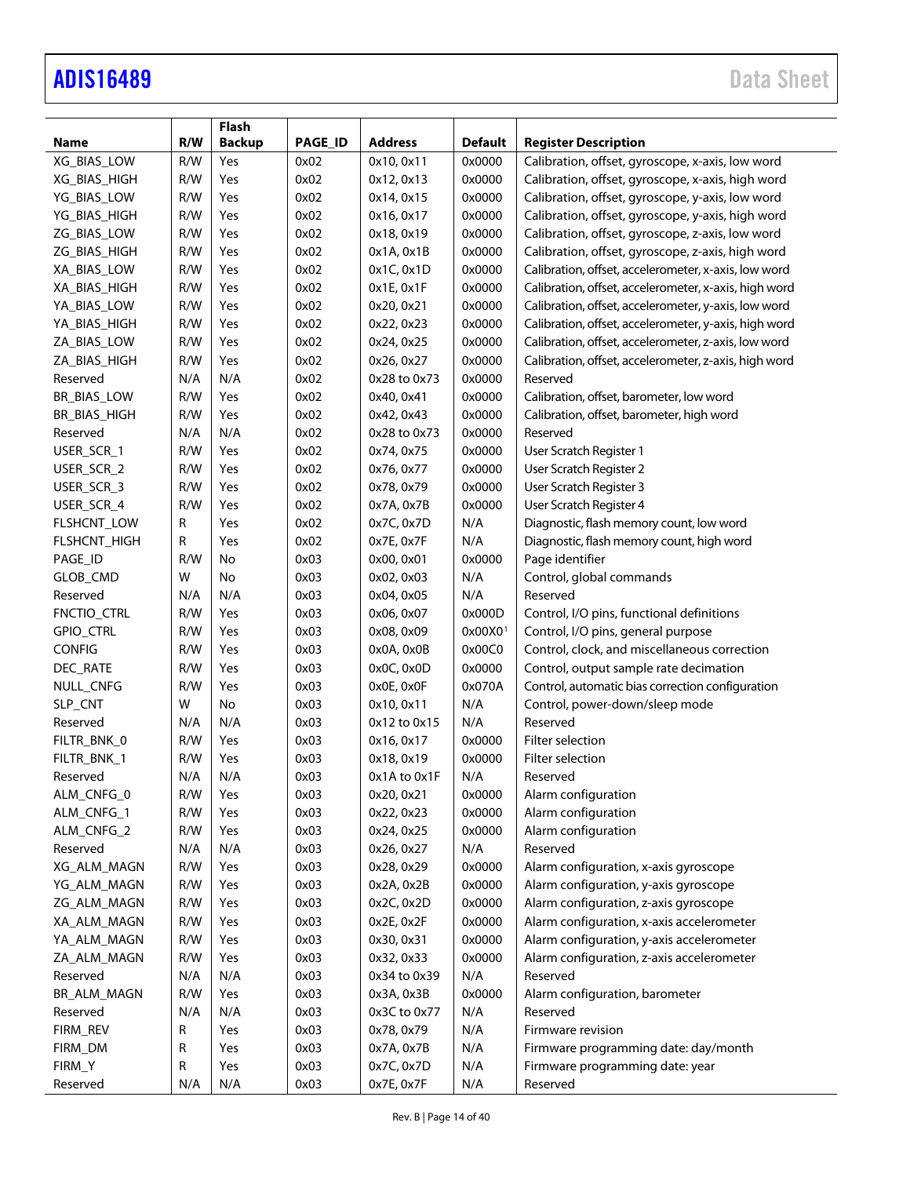|               |     | Flash         |                |                |                     |                                                       |
|---------------|-----|---------------|----------------|----------------|---------------------|-------------------------------------------------------|
| <b>Name</b>   | R/W | <b>Backup</b> | <b>PAGE ID</b> | <b>Address</b> | <b>Default</b>      | <b>Register Description</b>                           |
| XG_BIAS_LOW   | R/W | Yes           | 0x02           | 0x10, 0x11     | 0x0000              | Calibration, offset, gyroscope, x-axis, low word      |
| XG_BIAS_HIGH  | R/W | Yes           | 0x02           | 0x12, 0x13     | 0x0000              | Calibration, offset, gyroscope, x-axis, high word     |
| YG_BIAS_LOW   | R/W | Yes           | 0x02           | 0x14, 0x15     | 0x0000              | Calibration, offset, gyroscope, y-axis, low word      |
| YG_BIAS_HIGH  | R/W | Yes           | 0x02           | 0x16, 0x17     | 0x0000              | Calibration, offset, gyroscope, y-axis, high word     |
| ZG_BIAS_LOW   | R/W | Yes           | 0x02           | 0x18, 0x19     | 0x0000              | Calibration, offset, gyroscope, z-axis, low word      |
| ZG_BIAS_HIGH  | R/W | Yes           | 0x02           | 0x1A, 0x1B     | 0x0000              | Calibration, offset, gyroscope, z-axis, high word     |
| XA_BIAS_LOW   | R/W | Yes           | 0x02           | 0x1C, 0x1D     | 0x0000              | Calibration, offset, accelerometer, x-axis, low word  |
| XA_BIAS_HIGH  | R/W | Yes           | 0x02           | 0x1E, 0x1F     | 0x0000              | Calibration, offset, accelerometer, x-axis, high word |
| YA_BIAS_LOW   | R/W | Yes           | 0x02           | 0x20, 0x21     | 0x0000              | Calibration, offset, accelerometer, y-axis, low word  |
| YA_BIAS_HIGH  | R/W | Yes           | 0x02           | 0x22, 0x23     | 0x0000              | Calibration, offset, accelerometer, y-axis, high word |
| ZA_BIAS_LOW   | R/W | Yes           | 0x02           | 0x24, 0x25     | 0x0000              | Calibration, offset, accelerometer, z-axis, low word  |
| ZA_BIAS_HIGH  | R/W | Yes           | 0x02           | 0x26, 0x27     | 0x0000              | Calibration, offset, accelerometer, z-axis, high word |
| Reserved      | N/A | N/A           | 0x02           | 0x28 to 0x73   | 0x0000              | Reserved                                              |
| BR_BIAS_LOW   | R/W | Yes           | 0x02           | 0x40, 0x41     | 0x0000              | Calibration, offset, barometer, low word              |
| BR_BIAS_HIGH  | R/W | Yes           | 0x02           | 0x42, 0x43     | 0x0000              | Calibration, offset, barometer, high word             |
| Reserved      | N/A | N/A           | 0x02           | 0x28 to 0x73   | 0x0000              | Reserved                                              |
| USER_SCR_1    | R/W | Yes           | 0x02           | 0x74, 0x75     | 0x0000              | User Scratch Register 1                               |
| USER_SCR_2    | R/W | Yes           | 0x02           | 0x76, 0x77     | 0x0000              | User Scratch Register 2                               |
| USER_SCR_3    | R/W | Yes           | 0x02           | 0x78, 0x79     | 0x0000              | User Scratch Register 3                               |
| USER_SCR_4    | R/W | Yes           | 0x02           | 0x7A, 0x7B     | 0x0000              | User Scratch Register 4                               |
| FLSHCNT_LOW   | R   | Yes           | 0x02           | 0x7C, 0x7D     | N/A                 | Diagnostic, flash memory count, low word              |
| FLSHCNT_HIGH  | R   | Yes           | 0x02           | 0x7E, 0x7F     | N/A                 | Diagnostic, flash memory count, high word             |
| PAGE_ID       | R/W | No            | 0x03           | 0x00, 0x01     | 0x0000              | Page identifier                                       |
| GLOB_CMD      | W   | No            | 0x03           | 0x02, 0x03     | N/A                 | Control, global commands                              |
| Reserved      | N/A | N/A           | 0x03           | 0x04, 0x05     | N/A                 | Reserved                                              |
| FNCTIO_CTRL   | R/W | Yes           | 0x03           | 0x06, 0x07     | 0x000D              | Control, I/O pins, functional definitions             |
| GPIO_CTRL     | R/W | Yes           | 0x03           | 0x08, 0x09     | 0x00X0 <sup>1</sup> | Control, I/O pins, general purpose                    |
| <b>CONFIG</b> | R/W | Yes           | 0x03           | 0x0A, 0x0B     | 0x00C0              | Control, clock, and miscellaneous correction          |
| DEC_RATE      | R/W | Yes           | 0x03           | 0x0C, 0x0D     | 0x0000              | Control, output sample rate decimation                |
| NULL_CNFG     | R/W | Yes           | 0x03           | 0x0E, 0x0F     | 0x070A              | Control, automatic bias correction configuration      |
| SLP_CNT       | W   | No            | 0x03           | 0x10, 0x11     | N/A                 | Control, power-down/sleep mode                        |
| Reserved      | N/A | N/A           | 0x03           | 0x12 to 0x15   | N/A                 | Reserved                                              |
| FILTR_BNK_0   | R/W | Yes           | 0x03           | 0x16, 0x17     | 0x0000              | Filter selection                                      |
| FILTR_BNK_1   | R/W | Yes           | 0x03           | 0x18, 0x19     | 0x0000              | Filter selection                                      |
| Reserved      | N/A | N/A           | 0x03           | 0x1A to 0x1F   | N/A                 | Reserved                                              |
| ALM_CNFG_0    | R/W | Yes           | 0x03           | 0x20, 0x21     | 0x0000              | Alarm configuration                                   |
| ALM_CNFG_1    | R/W | Yes           | 0x03           | 0x22, 0x23     | 0x0000              | Alarm configuration                                   |
| ALM_CNFG_2    | R/W | Yes           | 0x03           | 0x24, 0x25     | 0x0000              | Alarm configuration                                   |
| Reserved      | N/A | N/A           | 0x03           | 0x26, 0x27     | N/A                 | Reserved                                              |
| XG_ALM_MAGN   | R/W | Yes           | 0x03           | 0x28, 0x29     | 0x0000              | Alarm configuration, x-axis gyroscope                 |
| YG_ALM_MAGN   | R/W | Yes           | 0x03           | 0x2A, 0x2B     | 0x0000              | Alarm configuration, y-axis gyroscope                 |
| ZG_ALM_MAGN   | R/W | Yes           | 0x03           | 0x2C, 0x2D     | 0x0000              | Alarm configuration, z-axis gyroscope                 |
| XA_ALM_MAGN   | R/W | Yes           | 0x03           | 0x2E, 0x2F     | 0x0000              | Alarm configuration, x-axis accelerometer             |
| YA_ALM_MAGN   | R/W | Yes           | 0x03           | 0x30, 0x31     | 0x0000              | Alarm configuration, y-axis accelerometer             |
| ZA_ALM_MAGN   | R/W | Yes           | 0x03           | 0x32, 0x33     | 0x0000              | Alarm configuration, z-axis accelerometer             |
| Reserved      | N/A | N/A           | 0x03           | 0x34 to 0x39   | N/A                 | Reserved                                              |
| BR_ALM_MAGN   | R/W | Yes           | 0x03           | 0x3A, 0x3B     | 0x0000              | Alarm configuration, barometer                        |
| Reserved      | N/A | N/A           | 0x03           | 0x3C to 0x77   | N/A                 | Reserved                                              |
| FIRM_REV      | R   | Yes           | 0x03           | 0x78, 0x79     | N/A                 | Firmware revision                                     |
| FIRM_DM       | R   | Yes           | 0x03           | 0x7A, 0x7B     | N/A                 | Firmware programming date: day/month                  |
| FIRM_Y        | R   | Yes           | 0x03           | 0x7C, 0x7D     | N/A                 | Firmware programming date: year                       |
| Reserved      | N/A | N/A           | 0x03           | 0x7E, 0x7F     | N/A                 | Reserved                                              |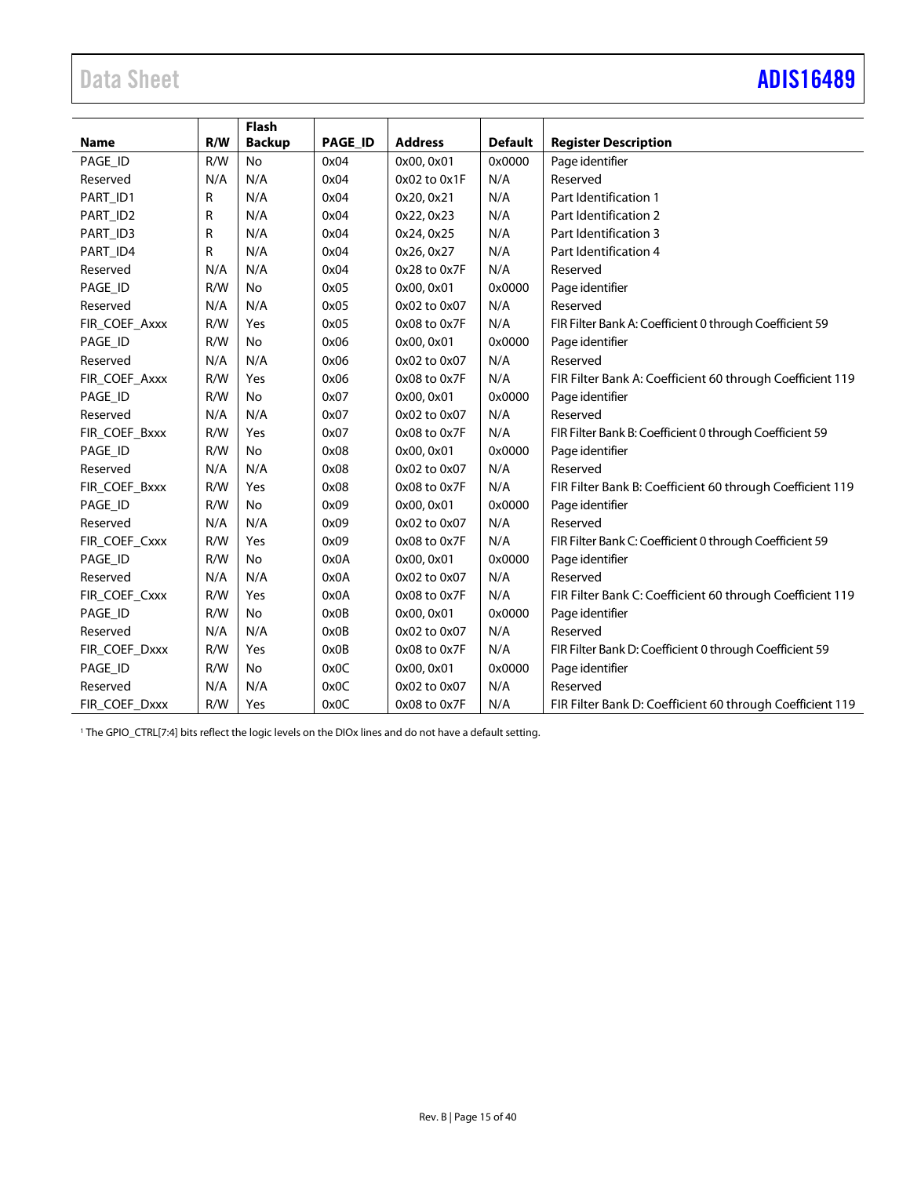# Data Sheet **[ADIS16489](https://www.analog.com/ADIS16489?doc=ADIS16489.pdf)**

|               |     | Flash         |                |                |                |                                                           |
|---------------|-----|---------------|----------------|----------------|----------------|-----------------------------------------------------------|
| <b>Name</b>   | R/W | <b>Backup</b> | <b>PAGE ID</b> | <b>Address</b> | <b>Default</b> | <b>Register Description</b>                               |
| PAGE_ID       | R/W | No            | 0x04           | 0x00, 0x01     | 0x0000         | Page identifier                                           |
| Reserved      | N/A | N/A           | 0x04           | 0x02 to 0x1F   | N/A            | Reserved                                                  |
| PART_ID1      | R   | N/A           | 0x04           | 0x20, 0x21     | N/A            | Part Identification 1                                     |
| PART_ID2      | R   | N/A           | 0x04           | 0x22, 0x23     | N/A            | Part Identification 2                                     |
| PART_ID3      | R   | N/A           | 0x04           | 0x24, 0x25     | N/A            | Part Identification 3                                     |
| PART_ID4      | R   | N/A           | 0x04           | 0x26, 0x27     | N/A            | Part Identification 4                                     |
| Reserved      | N/A | N/A           | 0x04           | 0x28 to 0x7F   | N/A            | Reserved                                                  |
| PAGE_ID       | R/W | <b>No</b>     | 0x05           | 0x00, 0x01     | 0x0000         | Page identifier                                           |
| Reserved      | N/A | N/A           | 0x05           | 0x02 to 0x07   | N/A            | Reserved                                                  |
| FIR COEF Axxx | R/W | Yes           | 0x05           | 0x08 to 0x7F   | N/A            | FIR Filter Bank A: Coefficient 0 through Coefficient 59   |
| PAGE_ID       | R/W | <b>No</b>     | 0x06           | 0x00, 0x01     | 0x0000         | Page identifier                                           |
| Reserved      | N/A | N/A           | 0x06           | 0x02 to 0x07   | N/A            | Reserved                                                  |
| FIR COEF Axxx | R/W | Yes           | 0x06           | 0x08 to 0x7F   | N/A            | FIR Filter Bank A: Coefficient 60 through Coefficient 119 |
| PAGE_ID       | R/W | <b>No</b>     | 0x07           | 0x00, 0x01     | 0x0000         | Page identifier                                           |
| Reserved      | N/A | N/A           | 0x07           | 0x02 to 0x07   | N/A            | Reserved                                                  |
| FIR_COEF_Bxxx | R/W | Yes           | 0x07           | 0x08 to 0x7F   | N/A            | FIR Filter Bank B: Coefficient 0 through Coefficient 59   |
| PAGE_ID       | R/W | <b>No</b>     | 0x08           | 0x00, 0x01     | 0x0000         | Page identifier                                           |
| Reserved      | N/A | N/A           | 0x08           | 0x02 to 0x07   | N/A            | Reserved                                                  |
| FIR COEF Bxxx | R/W | Yes           | 0x08           | 0x08 to 0x7F   | N/A            | FIR Filter Bank B: Coefficient 60 through Coefficient 119 |
| PAGE_ID       | R/W | No            | 0x09           | 0x00, 0x01     | 0x0000         | Page identifier                                           |
| Reserved      | N/A | N/A           | 0x09           | 0x02 to 0x07   | N/A            | Reserved                                                  |
| FIR_COEF_Cxxx | R/W | Yes           | 0x09           | 0x08 to 0x7F   | N/A            | FIR Filter Bank C: Coefficient 0 through Coefficient 59   |
| PAGE_ID       | R/W | No            | 0x0A           | 0x00, 0x01     | 0x0000         | Page identifier                                           |
| Reserved      | N/A | N/A           | 0x0A           | 0x02 to 0x07   | N/A            | Reserved                                                  |
| FIR_COEF_Cxxx | R/W | Yes           | 0x0A           | 0x08 to 0x7F   | N/A            | FIR Filter Bank C: Coefficient 60 through Coefficient 119 |
| PAGE_ID       | R/W | <b>No</b>     | 0x0B           | 0x00, 0x01     | 0x0000         | Page identifier                                           |
| Reserved      | N/A | N/A           | 0x0B           | 0x02 to 0x07   | N/A            | Reserved                                                  |
| FIR_COEF_Dxxx | R/W | Yes           | 0x0B           | 0x08 to 0x7F   | N/A            | FIR Filter Bank D: Coefficient 0 through Coefficient 59   |
| PAGE_ID       | R/W | No            | 0x0C           | 0x00, 0x01     | 0x0000         | Page identifier                                           |
| Reserved      | N/A | N/A           | 0x0C           | 0x02 to 0x07   | N/A            | Reserved                                                  |
| FIR_COEF_Dxxx | R/W | Yes           | 0x0C           | 0x08 to 0x7F   | N/A            | FIR Filter Bank D: Coefficient 60 through Coefficient 119 |

<sup>1</sup> The GPIO\_CTRL[7:4] bits reflect the logic levels on the DIOx lines and do not have a default setting.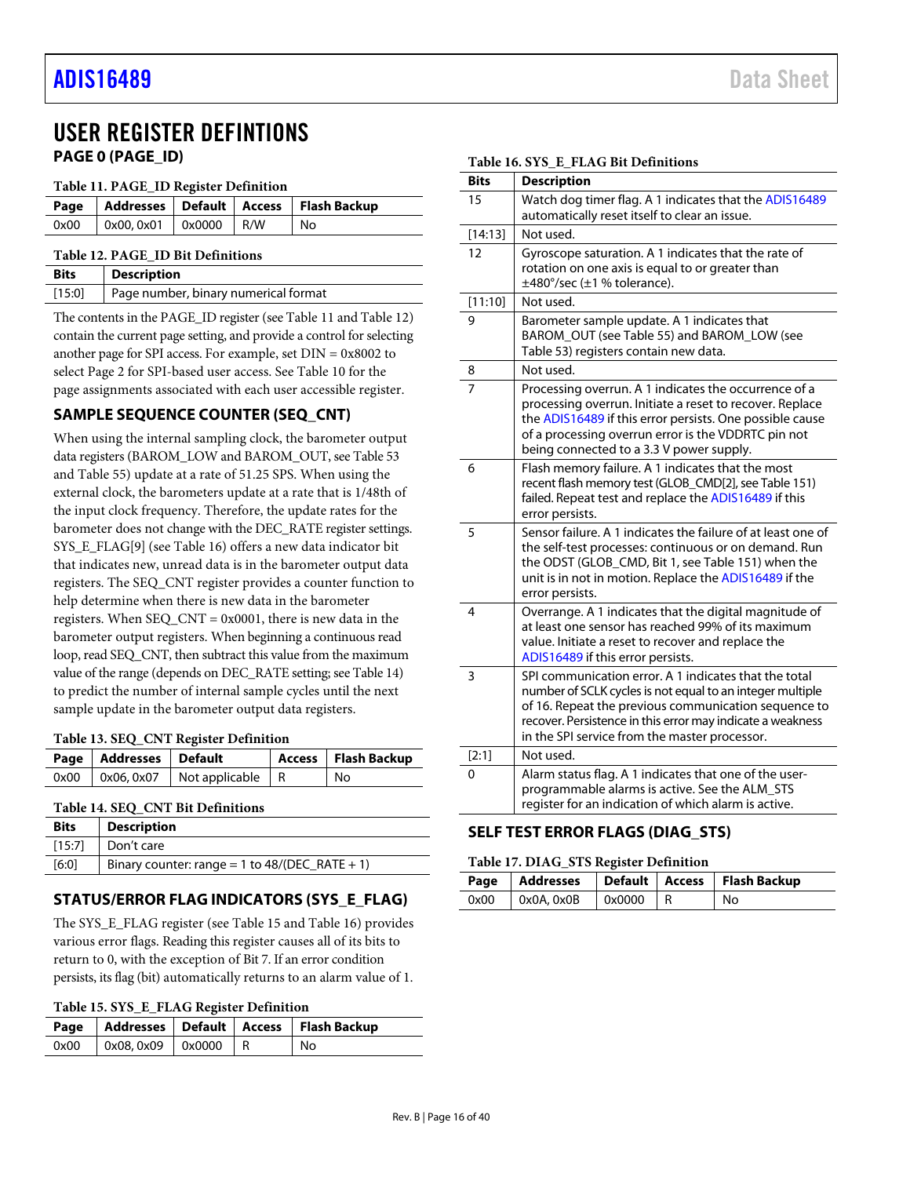# <span id="page-15-1"></span><span id="page-15-0"></span>USER REGISTER DEFINTIONS **PAGE 0 (PAGE\_ID)**

#### <span id="page-15-5"></span>**Table 11. PAGE\_ID Register Definition**

| Page                              |                    |  |     | Addresses   Default   Access   Flash Backup |  |  |
|-----------------------------------|--------------------|--|-----|---------------------------------------------|--|--|
| 0x00                              | $0x00.0x01$ 0x0000 |  | R/W | No                                          |  |  |
| Table 12. PAGE ID Bit Definitions |                    |  |     |                                             |  |  |

<span id="page-15-6"></span>

| <b>Bits</b> | <b>Description</b>                   |
|-------------|--------------------------------------|
| [15:0]      | Page number, binary numerical format |

The contents in the PAGE\_ID register (se[e Table 11](#page-15-5) an[d Table 12\)](#page-15-6) contain the current page setting, and provide a control for selecting another page for SPI access. For example, set DIN = 0x8002 to select Page 2 for SPI-based user access. See [Table 10](#page-12-1) for the page assignments associated with each user accessible register.

# <span id="page-15-2"></span>**SAMPLE SEQUENCE COUNTER (SEQ\_CNT)**

When using the internal sampling clock, the barometer output data registers (BAROM\_LOW and BAROM\_OUT, se[e Table 53](#page-18-1) an[d Table 55\)](#page-19-2) update at a rate of 51.25 SPS. When using the external clock, the barometers update at a rate that is 1/48th of the input clock frequency. Therefore, the update rates for the barometer does not change with the DEC\_RATE register settings. SYS\_E\_FLAG[9] (see [Table 16\)](#page-15-7) offers a new data indicator bit that indicates new, unread data is in the barometer output data registers. The SEQ\_CNT register provides a counter function to help determine when there is new data in the barometer registers. When  $SEQ_CNT = 0x0001$ , there is new data in the barometer output registers. When beginning a continuous read loop, read SEQ\_CNT, then subtract this value from the maximum value of the range (depends on DEC\_RATE setting; se[e Table 14\)](#page-15-8) to predict the number of internal sample cycles until the next sample update in the barometer output data registers.

### **Table 13. SEQ\_CNT Register Definition**

|      | Page   Addresses   Default |                                                             | Access   Flash Backup |
|------|----------------------------|-------------------------------------------------------------|-----------------------|
| 0x00 |                            | $\sqrt{0x06}$ , 0x07 $\sqrt{00x}$ Not applicable $\sqrt{R}$ | No                    |

### <span id="page-15-8"></span>**Table 14. SEQ\_CNT Bit Definitions**

| <b>Bits</b> | <b>Description</b>                             |
|-------------|------------------------------------------------|
| [15:7]      | Don't care                                     |
| [6:0]       | Binary counter: range = 1 to 48/(DEC_RATE + 1) |

# <span id="page-15-3"></span>**STATUS/ERROR FLAG INDICATORS (SYS\_E\_FLAG)**

The SYS\_E\_FLAG register (se[e Table 15](#page-15-9) an[d Table 16\)](#page-15-7) provides various error flags. Reading this register causes all of its bits to return to 0, with the exception of Bit 7. If an error condition persists, its flag (bit) automatically returns to an alarm value of 1.

<span id="page-15-9"></span>

|  |  | Table 15. SYS_E_FLAG Register Definition |
|--|--|------------------------------------------|
|--|--|------------------------------------------|

|      |                                             |  | Page   Addresses   Default   Access   Flash Backup |
|------|---------------------------------------------|--|----------------------------------------------------|
| 0x00 | $\vert$ 0x08, 0x09 $\vert$ 0x0000 $\vert$ R |  | l No                                               |

<span id="page-15-7"></span>

|  | Table 16. SYS E FLAG Bit Definitions |  |
|--|--------------------------------------|--|
|  |                                      |  |

| <b>Bits</b> | <b>Description</b>                                                                                                                                                                                                                                                                        |
|-------------|-------------------------------------------------------------------------------------------------------------------------------------------------------------------------------------------------------------------------------------------------------------------------------------------|
| 15          | Watch dog timer flag. A 1 indicates that the ADIS16489<br>automatically reset itself to clear an issue.                                                                                                                                                                                   |
| [14:13]     | Not used.                                                                                                                                                                                                                                                                                 |
| 12          | Gyroscope saturation. A 1 indicates that the rate of<br>rotation on one axis is equal to or greater than<br>$\pm$ 480°/sec ( $\pm$ 1 % tolerance).                                                                                                                                        |
| [11:10]     | Not used.                                                                                                                                                                                                                                                                                 |
| 9           | Barometer sample update. A 1 indicates that<br>BAROM_OUT (see Table 55) and BAROM_LOW (see<br>Table 53) registers contain new data.                                                                                                                                                       |
| 8           | Not used.                                                                                                                                                                                                                                                                                 |
| 7           | Processing overrun. A 1 indicates the occurrence of a<br>processing overrun. Initiate a reset to recover. Replace<br>the ADIS16489 if this error persists. One possible cause<br>of a processing overrun error is the VDDRTC pin not<br>being connected to a 3.3 V power supply.          |
| 6           | Flash memory failure. A 1 indicates that the most<br>recent flash memory test (GLOB_CMD[2], see Table 151)<br>failed. Repeat test and replace the ADIS16489 if this<br>error persists.                                                                                                    |
| 5           | Sensor failure. A 1 indicates the failure of at least one of<br>the self-test processes: continuous or on demand. Run<br>the ODST (GLOB_CMD, Bit 1, see Table 151) when the<br>unit is in not in motion. Replace the ADIS16489 if the<br>error persists.                                  |
| 4           | Overrange. A 1 indicates that the digital magnitude of<br>at least one sensor has reached 99% of its maximum<br>value. Initiate a reset to recover and replace the<br>ADIS16489 if this error persists.                                                                                   |
| 3           | SPI communication error. A 1 indicates that the total<br>number of SCLK cycles is not equal to an integer multiple<br>of 16. Repeat the previous communication sequence to<br>recover. Persistence in this error may indicate a weakness<br>in the SPI service from the master processor. |
| [2:1]       | Not used.                                                                                                                                                                                                                                                                                 |
| 0           | Alarm status flag. A 1 indicates that one of the user-<br>programmable alarms is active. See the ALM_STS<br>register for an indication of which alarm is active.                                                                                                                          |

# <span id="page-15-4"></span>**SELF TEST ERROR FLAGS (DIAG\_STS)**

#### <span id="page-15-10"></span>**Table 17. DIAG\_STS Register Definition**

|      |                     |            | Page   Addresses   Default   Access   Flash Backup |
|------|---------------------|------------|----------------------------------------------------|
| 0x00 | $\alpha$ OxOA, OxOB | $0x0000$ R | No                                                 |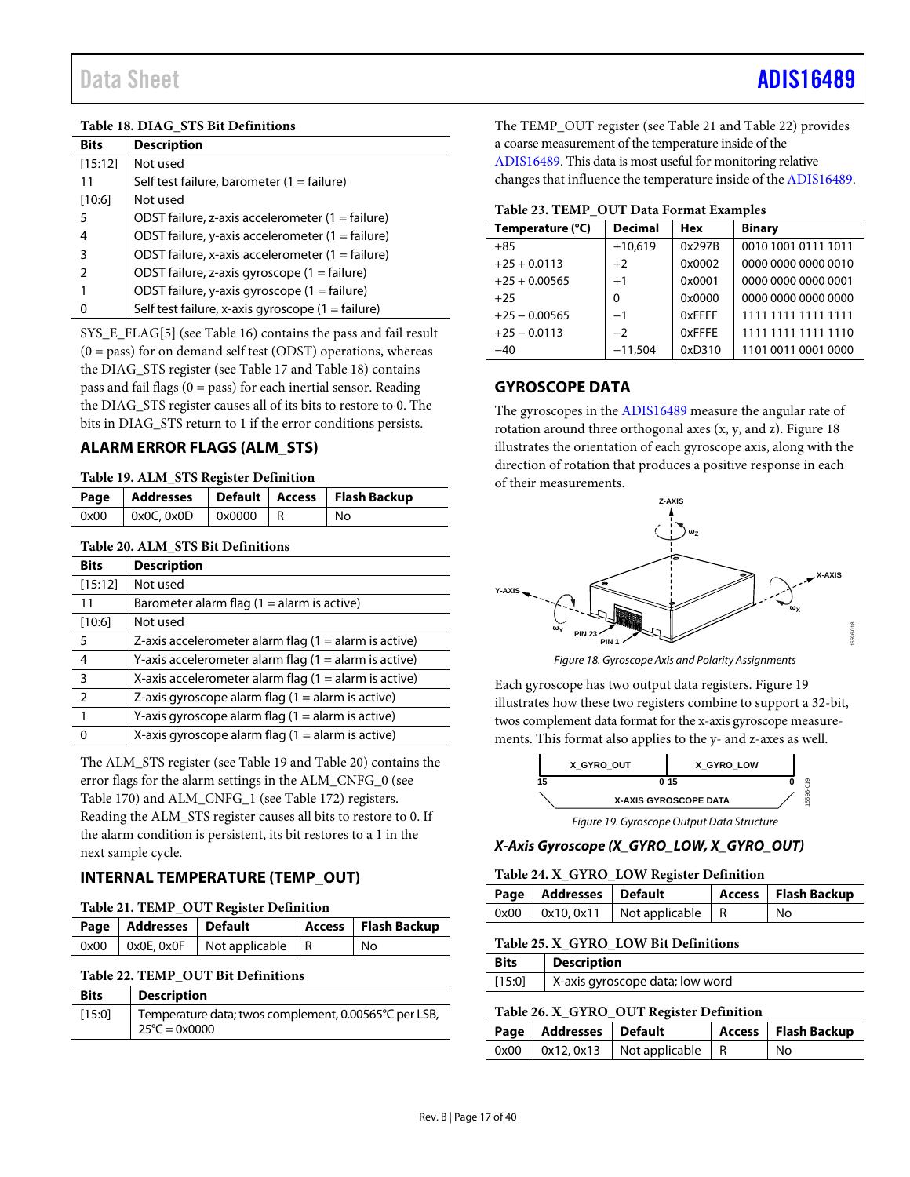### <span id="page-16-3"></span>**Table 18. DIAG\_STS Bit Definitions**

| <b>Bits</b>   | <b>Description</b>                                        |
|---------------|-----------------------------------------------------------|
| [15:12]       | Not used                                                  |
| 11            | Self test failure, barometer (1 = failure)                |
| [10:6]        | Not used                                                  |
| 5             | ODST failure, z-axis accelerometer (1 = failure)          |
| 4             | ODST failure, y-axis accelerometer $(1 = \text{failure})$ |
| 3             | ODST failure, x-axis accelerometer $(1 = \text{failure})$ |
| $\mathcal{P}$ | ODST failure, z-axis gyroscope $(1 = \text{failure})$     |
|               | ODST failure, y-axis gyroscope (1 = failure)              |
|               | Self test failure, x-axis gyroscope (1 = failure)         |

SYS\_E\_FLAG[5] (se[e Table 16\)](#page-15-7) contains the pass and fail result  $(0 = pass)$  for on demand self test (ODST) operations, whereas the DIAG\_STS register (see [Table 17](#page-15-10) and [Table 18\)](#page-16-3) contains pass and fail flags  $(0 = p$ ass) for each inertial sensor. Reading the DIAG\_STS register causes all of its bits to restore to 0. The bits in DIAG\_STS return to 1 if the error conditions persists.

# <span id="page-16-0"></span>**ALARM ERROR FLAGS (ALM\_STS)**

#### <span id="page-16-4"></span>**Table 19. ALM\_STS Register Definition**

|      |                 |            | Page   Addresses   Default   Access   Flash Backup |
|------|-----------------|------------|----------------------------------------------------|
| 0x00 | $0x0C$ , $0x0D$ | $0x0000$ R | No                                                 |

#### <span id="page-16-5"></span>**Table 20. ALM\_STS Bit Definitions**

| <b>Bits</b> | <b>Description</b>                                      |
|-------------|---------------------------------------------------------|
| [15:12]     | Not used                                                |
| 11          | Barometer alarm flag $(1 =$ alarm is active)            |
| [10:6]      | Not used                                                |
| 5           | Z-axis accelerometer alarm flag $(1 =$ alarm is active) |
| 4           | Y-axis accelerometer alarm flag $(1 =$ alarm is active) |
| 3           | X-axis accelerometer alarm flag $(1 =$ alarm is active) |
| 2           | Z-axis gyroscope alarm flag $(1 =$ alarm is active)     |
|             | Y-axis gyroscope alarm flag $(1 =$ alarm is active)     |
|             | X-axis gyroscope alarm flag $(1 =$ alarm is active)     |

The ALM\_STS register (se[e Table 19](#page-16-4) and [Table 20\)](#page-16-5) contains the error flags for the alarm settings in the ALM\_CNFG\_0 (see [Table 170\)](#page-31-0) and ALM\_CNFG\_1 (se[e Table 172\)](#page-31-1) registers. Reading the ALM\_STS register causes all bits to restore to 0. If the alarm condition is persistent, its bit restores to a 1 in the next sample cycle.

# <span id="page-16-1"></span>**INTERNAL TEMPERATURE (TEMP\_OUT)**

#### <span id="page-16-6"></span>**Table 21. TEMP\_OUT Register Definition**

| Page   Addresses   Default |                                          | Access   Flash Backup |
|----------------------------|------------------------------------------|-----------------------|
|                            | $0x00$   0x0E, 0x0F   Not applicable   R | No                    |

#### <span id="page-16-7"></span>**Table 22. TEMP\_OUT Bit Definitions**

| <b>Bits</b> | <b>Description</b>                                                               |
|-------------|----------------------------------------------------------------------------------|
| [15:0]      | Temperature data; twos complement, 0.00565°C per LSB,<br>$25^{\circ}$ C = 0x0000 |

The TEMP\_OUT register (se[e Table 21](#page-16-6) and [Table 22\)](#page-16-7) provides a coarse measurement of the temperature inside of the [ADIS16489.](http://www.analog.com/ADIS16489?doc=ADIS16489.pdf) This data is most useful for monitoring relative changes that influence the temperature inside of th[e ADIS16489.](http://www.analog.com/ADIS16489?doc=ADIS16489.pdf) 

| Table 23. TEMP_OUT Data Format Examples |  |  |  |  |
|-----------------------------------------|--|--|--|--|
|-----------------------------------------|--|--|--|--|

| Temperature (°C) | <b>Decimal</b> | Hex    | <b>Binary</b>       |
|------------------|----------------|--------|---------------------|
| $+85$            | $+10,619$      | 0x297B | 0010 1001 0111 1011 |
| $+25 + 0.0113$   | $+2$           | 0x0002 | 0000 0000 0000 0010 |
| $+25 + 0.00565$  | $+1$           | 0x0001 | 0000 0000 0000 0001 |
| $+25$            | $\Omega$       | 0x0000 | 0000 0000 0000 0000 |
| $+25 - 0.00565$  | $-1$           | 0xFFFF | 1111 1111 1111 1111 |
| $+25 - 0.0113$   | $-2$           | 0xFFFE | 1111 1111 1111 1110 |
| $-40$            | $-11,504$      | 0xD310 | 1101 0011 0001 0000 |

# <span id="page-16-2"></span>**GYROSCOPE DATA**

The gyroscopes in th[e ADIS16489](http://www.analog.com/ADIS16489?doc=ADIS16489.pdf) measure the angular rate of rotation around three orthogonal axes (x, y, and z)[. Figure 18](#page-16-8) illustrates the orientation of each gyroscope axis, along with the direction of rotation that produces a positive response in each of their measurements.



*Figure 18. Gyroscope Axis and Polarity Assignments*

<span id="page-16-8"></span>Each gyroscope has two output data registers[. Figure 19](#page-16-9) illustrates how these two registers combine to support a 32-bit, twos complement data format for the x-axis gyroscope measurements. This format also applies to the y- and z-axes as well.



*Figure 19. Gyroscope Output Data Structure*

### <span id="page-16-9"></span>*X-Axis Gyroscope (X\_GYRO\_LOW, X\_GYRO\_OUT)*

#### <span id="page-16-10"></span>**Table 24. X\_GYRO\_LOW Register Definition**

| Page   Addresses   Default |                                            | Access   Flash Backup |
|----------------------------|--------------------------------------------|-----------------------|
|                            | $0x00$   $0x10, 0x11$   Not applicable   R | No                    |

#### <span id="page-16-11"></span>**Table 25. X\_GYRO\_LOW Bit Definitions**

| <b>Bits</b> | Description                     |
|-------------|---------------------------------|
| $[15:0]$    | X-axis gyroscope data; low word |

#### <span id="page-16-12"></span>**Table 26. X\_GYRO\_OUT Register Definition**

<span id="page-16-13"></span>

| Page   Addresses   Default |                                            | Access   Flash Backup |
|----------------------------|--------------------------------------------|-----------------------|
|                            | $0x00$   $0x12, 0x13$   Not applicable   R | No                    |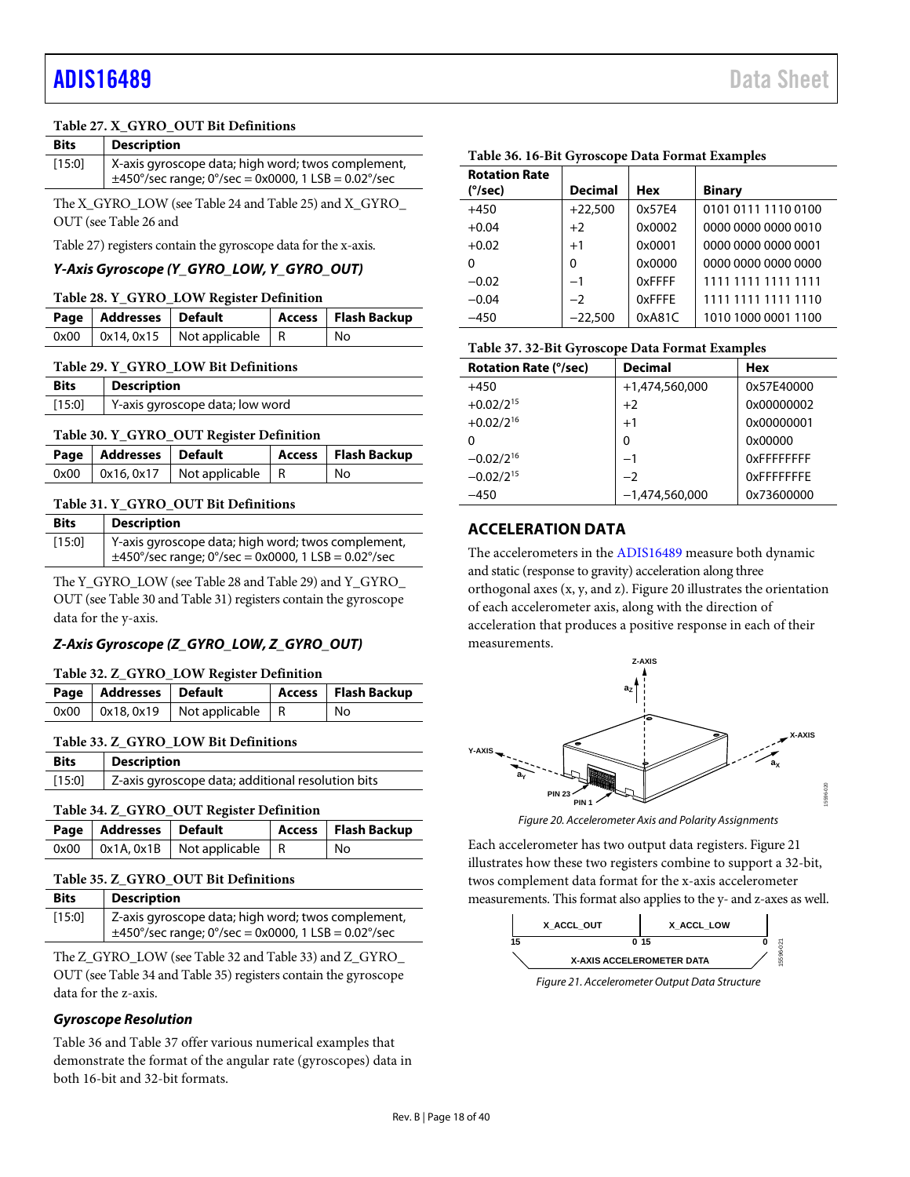#### **Table 27. X\_GYRO\_OUT Bit Definitions**

| <b>Bits</b> | <b>Description</b>                                                                                             |
|-------------|----------------------------------------------------------------------------------------------------------------|
| [15:0]      | X-axis gyroscope data; high word; twos complement,<br>$\pm$ 450°/sec range; 0°/sec = 0x0000, 1 LSB = 0.02°/sec |

The X\_GYRO\_LOW (se[e Table 24](#page-16-10) an[d Table 25\)](#page-16-11) and X\_GYRO\_ OUT (se[e Table 26](#page-16-12) and

[Table](#page-16-13) 27) registers contain the gyroscope data for the x-axis.

### *Y-Axis Gyroscope (Y\_GYRO\_LOW, Y\_GYRO\_OUT)*

<span id="page-17-1"></span>

| Page   Addresses   Default |                                            | Access   Flash Backup |
|----------------------------|--------------------------------------------|-----------------------|
|                            | $0x00$   $0x14, 0x15$   Not applicable   R | No                    |

#### <span id="page-17-2"></span>**Table 29. Y\_GYRO\_LOW Bit Definitions**

| <b>Bits</b> | <b>Description</b>              |
|-------------|---------------------------------|
| $[15:0]$    | Y-axis gyroscope data; low word |

#### <span id="page-17-3"></span>**Table 30. Y\_GYRO\_OUT Register Definition**

| Page   Addresses   Default |                                            | Access Flash Backup |
|----------------------------|--------------------------------------------|---------------------|
|                            | $0x00$   $0x16, 0x17$   Not applicable   R | No                  |

#### <span id="page-17-4"></span>**Table 31. Y\_GYRO\_OUT Bit Definitions**

| <b>Bits</b> | Description                                                                                                    |
|-------------|----------------------------------------------------------------------------------------------------------------|
| [15:0]      | Y-axis gyroscope data; high word; twos complement,<br>$\pm$ 450°/sec range; 0°/sec = 0x0000, 1 LSB = 0.02°/sec |

The Y\_GYRO\_LOW (se[e Table 28](#page-17-1) an[d Table 29\)](#page-17-2) and Y\_GYRO\_ OUT (se[e Table 30](#page-17-3) an[d Table 31\)](#page-17-4) registers contain the gyroscope data for the y-axis.

# *Z-Axis Gyroscope (Z\_GYRO\_LOW, Z\_GYRO\_OUT)*

#### <span id="page-17-5"></span>**Table 32. Z\_GYRO\_LOW Register Definition**

| Page   Addresses   Default |                                            | Access   Flash Backup |
|----------------------------|--------------------------------------------|-----------------------|
|                            | $0x00$   $0x18, 0x19$   Not applicable   R | No                    |

#### <span id="page-17-6"></span>**Table 33. Z\_GYRO\_LOW Bit Definitions**

| <b>Bits</b> | <b>Description</b>                                |  |
|-------------|---------------------------------------------------|--|
| [15:0]      | Z-axis gyroscope data; additional resolution bits |  |

#### <span id="page-17-7"></span>**Table 34. Z\_GYRO\_OUT Register Definition**

| Page   Addresses   Default |                                            | Access   Flash Backup |
|----------------------------|--------------------------------------------|-----------------------|
|                            | $0x00$   $0x1A, 0x1B$   Not applicable   R | ' No                  |

# <span id="page-17-8"></span>**Table 35. Z\_GYRO\_OUT Bit Definitions**

| <b>Bits</b> | <b>Description</b>                                                                                             |
|-------------|----------------------------------------------------------------------------------------------------------------|
| [15:0]      | Z-axis gyroscope data; high word; twos complement,<br>$\pm$ 450°/sec range; 0°/sec = 0x0000, 1 LSB = 0.02°/sec |

The Z\_GYRO\_LOW (se[e Table 32](#page-17-5) an[d Table 33\)](#page-17-6) and Z\_GYRO\_ OUT (se[e Table 34](#page-17-7) an[d Table 35\)](#page-17-8) registers contain the gyroscope data for the z-axis.

### *Gyroscope Resolution*

[Table 36](#page-17-9) an[d Table 37](#page-17-10) offer various numerical examples that demonstrate the format of the angular rate (gyroscopes) data in both 16-bit and 32-bit formats.

| <b>Rotation Rate</b> |                |        |                     |
|----------------------|----------------|--------|---------------------|
| (°/sec)              | <b>Decimal</b> | Hex    | <b>Binary</b>       |
| $+450$               | $+22,500$      | 0x57E4 | 0101 0111 1110 0100 |
| $+0.04$              | $+2$           | 0x0002 | 0000 0000 0000 0010 |
| $+0.02$              | $+1$           | 0x0001 | 0000 0000 0000 0001 |
| 0                    | $\Omega$       | 0x0000 | 0000 0000 0000 0000 |
| $-0.02$              | $-1$           | 0xFFFF | 1111 1111 1111 1111 |
| $-0.04$              | $-2$           | 0xFFFE | 1111 1111 1111 1110 |
| $-450$               | $-22.500$      | 0xA81C | 1010 1000 0001 1100 |

#### <span id="page-17-9"></span>**Table 36. 16-Bit Gyroscope Data Format Examples**

<span id="page-17-10"></span>

| <b>Rotation Rate (°/sec)</b> | <b>Decimal</b>   | <b>Hex</b> |
|------------------------------|------------------|------------|
| $+450$                       | +1,474,560,000   | 0x57F40000 |
| $+0.02/2^{15}$               | $+2$             | 0x00000002 |
| $+0.02/2^{16}$               | $+1$             | 0x00000001 |
| 0                            | 0                | 0x00000    |
| $-0.02/2^{16}$               | $-1$             | OxFFFFFFFF |
| $-0.02/2^{15}$               | $-2$             | OxFFFFFFFF |
| $-450$                       | $-1,474,560,000$ | 0x73600000 |

# <span id="page-17-0"></span>**ACCELERATION DATA**

The accelerometers in the [ADIS16489](http://www.analog.com/ADIS16489?doc=ADIS16489.pdf) measure both dynamic and static (response to gravity) acceleration along three orthogonal axes (x, y, and z)[. Figure 20](#page-17-11) illustrates the orientation of each accelerometer axis, along with the direction of acceleration that produces a positive response in each of their measurements.



*Figure 20. Accelerometer Axis and Polarity Assignments*

<span id="page-17-11"></span>Each accelerometer has two output data registers. [Figure 21](#page-17-12) illustrates how these two registers combine to support a 32-bit, twos complement data format for the x-axis accelerometer measurements. This format also applies to the y- and z-axes as well.



<span id="page-17-12"></span>*Figure 21. Accelerometer Output Data Structure*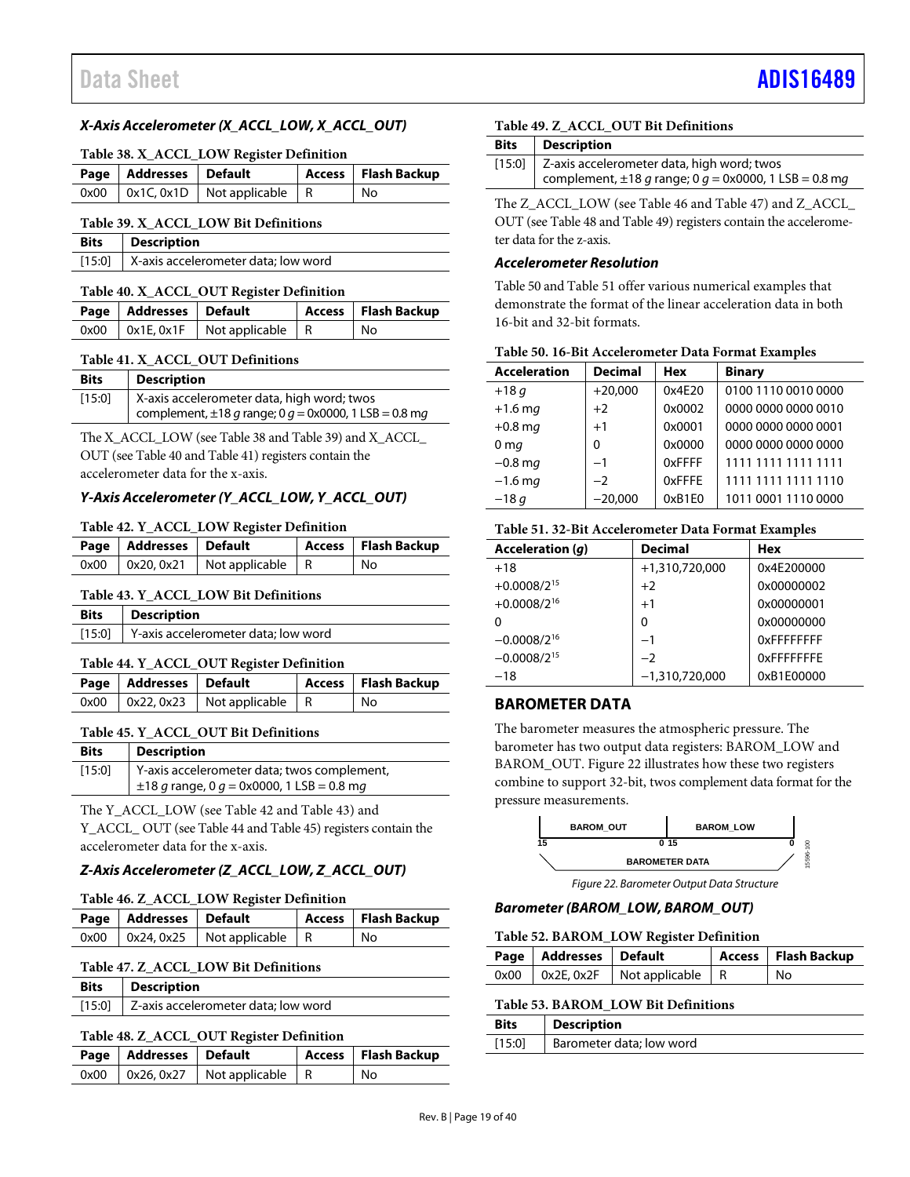### *X-Axis Accelerometer (X\_ACCL\_LOW, X\_ACCL\_OUT)*

<span id="page-18-2"></span>

| Page   Addresses   Default |                                            | Access   Flash Backup |
|----------------------------|--------------------------------------------|-----------------------|
|                            | $0x00$   $0x1C, 0x1D$   Not applicable   R | l No                  |

#### <span id="page-18-3"></span>**Table 39. X\_ACCL\_LOW Bit Definitions**

| <b>Bits</b> Description                            |
|----------------------------------------------------|
| [15:0] $\vert$ X-axis accelerometer data; low word |

#### <span id="page-18-4"></span>**Table 40. X\_ACCL\_OUT Register Definition**

| Page   Addresses   Default |                                               | Access   Flash Backup |
|----------------------------|-----------------------------------------------|-----------------------|
|                            | $0x00$   $0x1E$ , $0x1F$   Not applicable   R | No                    |

#### <span id="page-18-5"></span>**Table 41. X\_ACCL\_OUT Definitions**

| <b>Bits</b> | <b>Description</b>                                         |
|-------------|------------------------------------------------------------|
| [15:0]      | X-axis accelerometer data, high word; twos                 |
|             | complement, $\pm 18$ g range; 0 g = 0x0000, 1 LSB = 0.8 mg |

The X\_ACCL\_LOW (se[e Table 38](#page-18-2) an[d Table 39\)](#page-18-3) and X\_ACCL\_ OUT (se[e Table 40](#page-18-4) an[d Table 41\)](#page-18-5) registers contain the accelerometer data for the x-axis.

## *Y-Axis Accelerometer (Y\_ACCL\_LOW, Y\_ACCL\_OUT)*

#### <span id="page-18-6"></span>**Table 42. Y\_ACCL\_LOW Register Definition**

| Page   Addresses   Default |                                            | Access   Flash Backup |
|----------------------------|--------------------------------------------|-----------------------|
|                            | $0x00$   $0x20, 0x21$   Not applicable   R | No                    |

#### <span id="page-18-7"></span>**Table 43. Y\_ACCL\_LOW Bit Definitions**

| [15:0] Y-axis accelerometer data; low word | Bits | <b>Description</b> |
|--------------------------------------------|------|--------------------|
|                                            |      |                    |

#### <span id="page-18-8"></span>**Table 44. Y\_ACCL\_OUT Register Definition**

| Page   Addresses   Default |                                            | Access   Flash Backup |
|----------------------------|--------------------------------------------|-----------------------|
|                            | $0x00$   $0x22, 0x23$   Not applicable   R | No                    |

# <span id="page-18-9"></span>**Table 45. Y\_ACCL\_OUT Bit Definitions**

| <b>Bits</b> | <b>Description</b>                             |
|-------------|------------------------------------------------|
| [15:0]      | Y-axis accelerometer data; twos complement,    |
|             | $\pm 18$ g range, 0 g = 0x0000, 1 LSB = 0.8 mg |

The Y\_ACCL\_LOW (se[e Table 42](#page-18-6) and [Table 43\)](#page-18-7) and Y\_ACCL\_ OUT (se[e Table 44](#page-18-8) an[d Table 45\)](#page-18-9) registers contain the accelerometer data for the x-axis.

### *Z-Axis Accelerometer (Z\_ACCL\_LOW, Z\_ACCL\_OUT)*

#### <span id="page-18-10"></span>**Table 46. Z\_ACCL\_LOW Register Definition**

| Page   Addresses   Default |                                            | Access   Flash Backup |
|----------------------------|--------------------------------------------|-----------------------|
|                            | $0x00$   $0x24, 0x25$   Not applicable   R | l No                  |

#### <span id="page-18-11"></span>**Table 47. Z\_ACCL\_LOW Bit Definitions**

| Bits | <b>Description</b> |
|------|--------------------|
|------|--------------------|

[15:0] Z-axis accelerometer data; low word

### <span id="page-18-12"></span>**Table 48. Z\_ACCL\_OUT Register Definition**

| Page   Addresses   Default |                                            | Access   Flash Backup |
|----------------------------|--------------------------------------------|-----------------------|
|                            | $0x00$   $0x26, 0x27$   Not applicable   R | No                    |

# <span id="page-18-13"></span>**Table 49. Z\_ACCL\_OUT Bit Definitions**

| <b>Bits</b> | <b>Description</b>                                                                                              |
|-------------|-----------------------------------------------------------------------------------------------------------------|
|             | [15:0] Z-axis accelerometer data, high word; twos<br>complement, $\pm 18$ g range; 0 g = 0x0000, 1 LSB = 0.8 mg |
|             |                                                                                                                 |

The Z\_ACCL\_LOW (se[e Table 46](#page-18-10) an[d Table 47\)](#page-18-11) and Z\_ACCL\_ OUT (se[e Table 48](#page-18-12) an[d Table 49\)](#page-18-13) registers contain the accelerometer data for the z-axis.

#### *Accelerometer Resolution*

[Table 50](#page-18-14) an[d Table 51](#page-18-15) offer various numerical examples that demonstrate the format of the linear acceleration data in both 16-bit and 32-bit formats.

<span id="page-18-14"></span>

| Table 50. 16-Bit Accelerometer Data Format Examples |  |  |  |  |
|-----------------------------------------------------|--|--|--|--|
|-----------------------------------------------------|--|--|--|--|

| <b>Acceleration</b> | <b>Decimal</b> | <b>Hex</b> | <b>Binary</b>       |
|---------------------|----------------|------------|---------------------|
| $+18q$              | $+20,000$      | 0x4E20     | 0100 1110 0010 0000 |
| $+1.6$ mg           | $+2$           | 0x0002     | 0000 0000 0000 0010 |
| $+0.8$ mg           | $+1$           | 0x0001     | 0000 0000 0000 0001 |
| 0 <sub>mg</sub>     | 0              | 0x0000     | 0000 0000 0000 0000 |
| $-0.8$ mg           | $-1$           | 0xFFFF     | 1111 1111 1111 1111 |
| $-1.6$ mg           | $-2$           | 0xFFFE     | 1111 1111 1111 1110 |
| $-18q$              | $-20,000$      | 0xB1E0     | 1011 0001 1110 0000 |

#### <span id="page-18-15"></span>**Table 51. 32-Bit Accelerometer Data Format Examples**

| Acceleration (q) | <b>Decimal</b>   | Hex               |
|------------------|------------------|-------------------|
| $+18$            | +1,310,720,000   | 0x4E200000        |
| $+0.0008/2^{15}$ | $+2$             | 0x00000002        |
| $+0.0008/2^{16}$ | $+1$             | 0x00000001        |
| 0                | 0                | 0x00000000        |
| $-0.0008/2^{16}$ | $-1$             | <b>OXFFFFFFFF</b> |
| $-0.0008/2^{15}$ | $-2$             | <b>OXFFFFFFFF</b> |
| $-18$            | $-1,310,720,000$ | 0xB1E00000        |

### <span id="page-18-0"></span>**BAROMETER DATA**

The barometer measures the atmospheric pressure. The barometer has two output data registers: BAROM\_LOW and BAROM\_OUT[. Figure 22](#page-18-16) illustrates how these two registers combine to support 32-bit, twos complement data format for the pressure measurements.



*Figure 22. Barometer Output Data Structure*

#### <span id="page-18-16"></span>*Barometer (BAROM\_LOW, BAROM\_OUT)*

#### <span id="page-18-17"></span>**Table 52. BAROM\_LOW Register Definition**

| Page   Addresses   Default |                                               | Access   Flash Backup |
|----------------------------|-----------------------------------------------|-----------------------|
|                            | $0x00$   $0x2E$ , $0x2F$   Not applicable   R | l No                  |

#### <span id="page-18-1"></span>**Table 53. BAROM\_LOW Bit Definitions**

| <b>Bits</b> | <b>Description</b>       |
|-------------|--------------------------|
| [15:0]      | Barometer data: low word |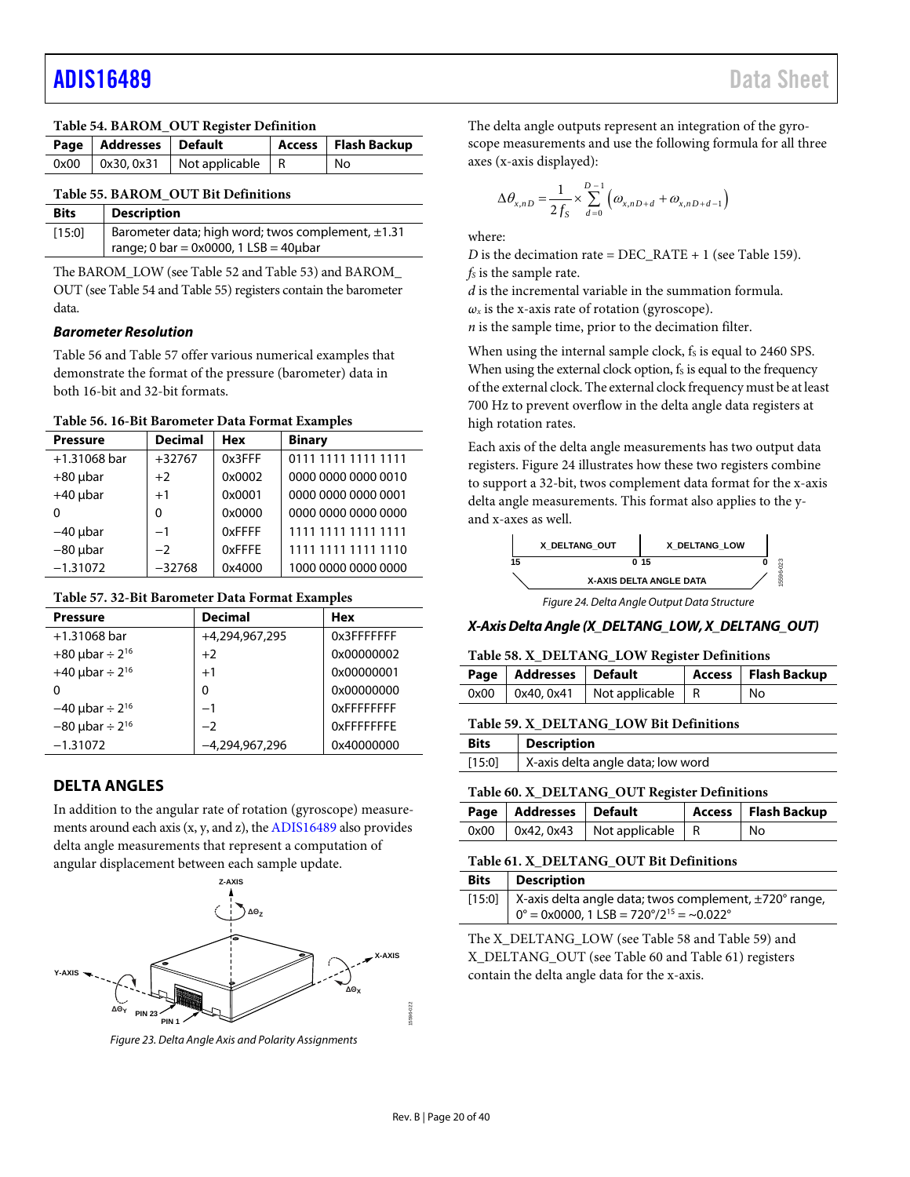<span id="page-19-3"></span>

| Table 54. BAROM_OUT Register Definition |                            |                                            |  |                       |
|-----------------------------------------|----------------------------|--------------------------------------------|--|-----------------------|
|                                         | Page   Addresses   Default |                                            |  | Access   Flash Backup |
|                                         |                            | $0x00$   $0x30, 0x31$   Not applicable   R |  | No                    |

#### <span id="page-19-2"></span>**Table 55. BAROM\_OUT Bit Definitions**

| <b>Bits</b> | <b>Description</b>                                                                                      |
|-------------|---------------------------------------------------------------------------------------------------------|
| [15:0]      | Barometer data; high word; twos complement, $\pm 1.31$<br>range; 0 bar = $0x0000$ , 1 LSB = $40\mu$ bar |

The BAROM\_LOW (se[e Table 52](#page-18-17) an[d Table 53\)](#page-18-1) and BAROM\_ OUT (se[e Table 54](#page-19-3) an[d Table 55\)](#page-19-2) registers contain the barometer data.

## *Barometer Resolution*

[Table 56](#page-19-4) an[d Table 57](#page-19-5) offer various numerical examples that demonstrate the format of the pressure (barometer) data in both 16-bit and 32-bit formats.

#### <span id="page-19-4"></span>**Table 56. 16-Bit Barometer Data Format Examples**

| <b>Pressure</b> | <b>Decimal</b> | <b>Hex</b> | <b>Binary</b>       |
|-----------------|----------------|------------|---------------------|
| $+1.31068$ bar  | $+32767$       | 0x3FFF     | 0111 1111 1111 1111 |
| $+80$ µbar      | $+2$           | 0x0002     | 0000 0000 0000 0010 |
| $+40$ µbar      | $+1$           | 0x0001     | 0000 0000 0000 0001 |
| 0               | $\Omega$       | 0x0000     | 0000 0000 0000 0000 |
| $-40$ µbar      | $-1$           | 0xFFFF     | 1111 1111 1111 1111 |
| $-80$ µbar      | $-2$           | 0xFFFE     | 1111 1111 1111 1110 |
| $-1.31072$      | $-32768$       | 0x4000     | 1000 0000 0000 0000 |

### <span id="page-19-5"></span>**Table 57. 32-Bit Barometer Data Format Examples**

| <b>Pressure</b>                 | <b>Decimal</b> | <b>Hex</b>        |
|---------------------------------|----------------|-------------------|
| $+1.31068$ bar                  | +4.294.967.295 | 0x3FFFFFFFF       |
| +80 $\mu$ bar ÷ 2 <sup>16</sup> | $+2$           | 0x00000002        |
| +40 $\mu$ bar ÷ 2 <sup>16</sup> | $+1$           | 0x00000001        |
| O                               | 0              | 0x00000000        |
| $-40$ µbar ÷ 2 <sup>16</sup>    | $-1$           | <b>OXFFFFFFFF</b> |
| $-80$ µbar ÷ 2 <sup>16</sup>    | $-2$           | OxFFFFFFFF        |
| $-1.31072$                      | -4.294.967.296 | 0x40000000        |

# <span id="page-19-1"></span><span id="page-19-0"></span>**DELTA ANGLES**

In addition to the angular rate of rotation (gyroscope) measurements around each axis (x, y, and z), th[e ADIS16489](http://www.analog.com/ADIS16489?doc=ADIS16489.pdf) also provides delta angle measurements that represent a computation of angular displacement between each sample update.



*Figure 23. Delta Angle Axis and Polarity Assignments*

The delta angle outputs represent an integration of the gyroscope measurements and use the following formula for all three axes (x-axis displayed):

$$
\Delta \theta_{x,nD} = \frac{1}{2f_S} \times \sum_{d=0}^{D-1} \left( \omega_{x,nD+d} + \omega_{x,nD+d-1} \right)
$$

where:

*D* is the decimation rate = DEC\_RATE + 1 (se[e Table 159\)](#page-29-2). *fs* is the sample rate.

*d* is the incremental variable in the summation formula.

 $\omega_x$  is the x-axis rate of rotation (gyroscope).

*n* is the sample time, prior to the decimation filter.

When using the internal sample clock, fs is equal to 2460 SPS. When using the external clock option,  $f_s$  is equal to the frequency of the external clock. The external clock frequency must be at least 700 Hz to prevent overflow in the delta angle data registers at high rotation rates.

Each axis of the delta angle measurements has two output data registers[. Figure 24](#page-19-6) illustrates how these two registers combine to support a 32-bit, twos complement data format for the x-axis delta angle measurements. This format also applies to the yand x-axes as well.



*Figure 24. Delta Angle Output Data Structure*

### <span id="page-19-6"></span>*X-Axis Delta Angle (X\_DELTANG\_LOW, X\_DELTANG\_OUT)*

#### <span id="page-19-7"></span>**Table 58. X\_DELTANG\_LOW Register Definitions**

| Page   Addresses   Default |                                            | Access   Flash Backup |
|----------------------------|--------------------------------------------|-----------------------|
|                            | $0x00$   $0x40, 0x41$   Not applicable   R | ' No                  |

#### <span id="page-19-8"></span>**Table 59. X\_DELTANG\_LOW Bit Definitions**

| <b>Bits</b> | <b>Description</b>                |
|-------------|-----------------------------------|
| [15:0]      | X-axis delta angle data; low word |

#### <span id="page-19-9"></span>**Table 60. X\_DELTANG\_OUT Register Definitions**

| Page   Addresses   Default |                                            | Access   Flash Backup |
|----------------------------|--------------------------------------------|-----------------------|
|                            | $0x00$   $0x42, 0x43$   Not applicable   R | l No                  |

### <span id="page-19-10"></span>**Table 61. X\_DELTANG\_OUT Bit Definitions**

| Bits | <b>Description</b>                                                            |
|------|-------------------------------------------------------------------------------|
|      | [15:0]   X-axis delta angle data; twos complement, ±720° range,               |
|      | $0^\circ$ = 0x0000, 1 LSB = 720 $\degree$ /2 <sup>15</sup> = ~0.022 $\degree$ |

The X\_DELTANG\_LOW (se[e Table 58](#page-19-7) an[d Table 59\)](#page-19-8) and X\_DELTANG\_OUT (se[e Table 60](#page-19-9) and [Table](#page-19-10) 61) registers contain the delta angle data for the x-axis.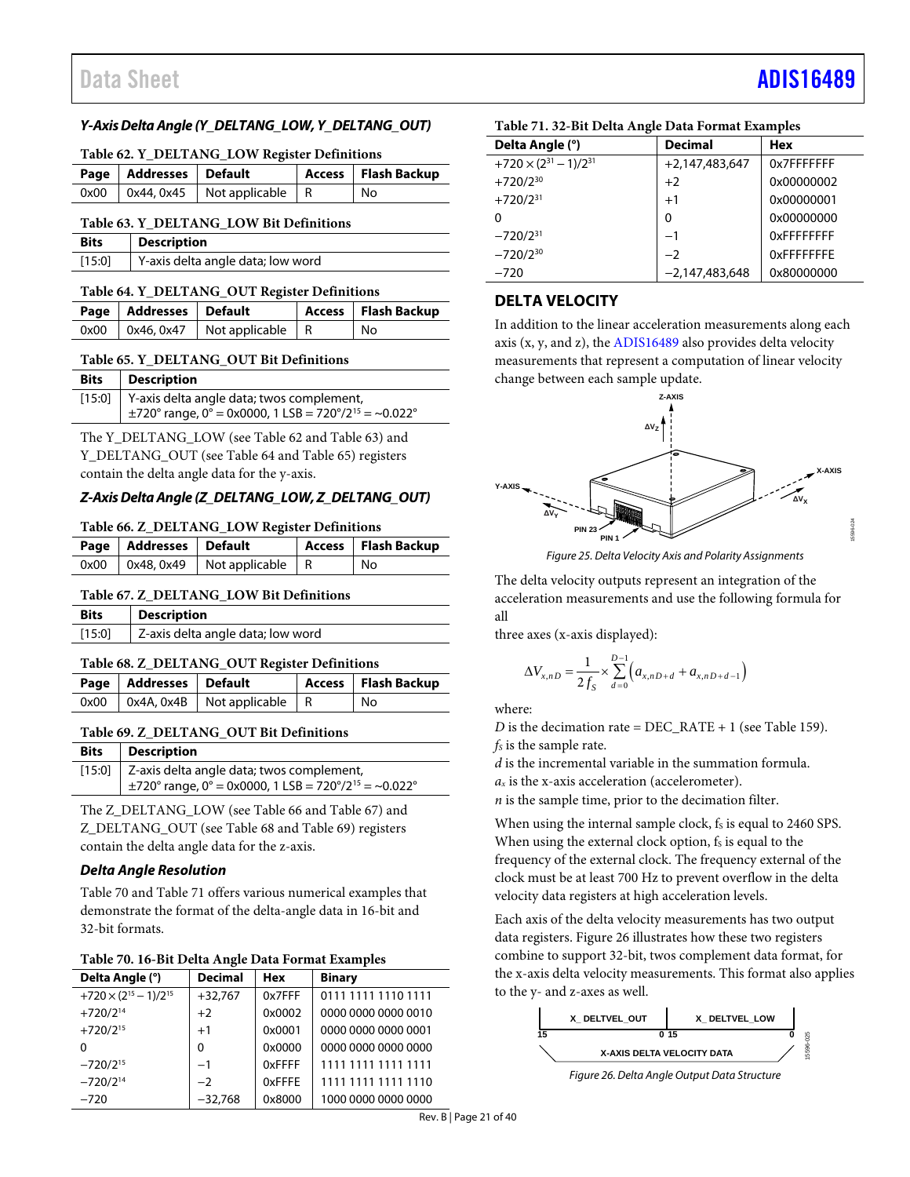# Data Sheet And a sheet Albert Advanced [ADIS16489](https://www.analog.com/ADIS16489?doc=ADIS16489.pdf) ADIS16489

### *Y-Axis Delta Angle (Y\_DELTANG\_LOW, Y\_DELTANG\_OUT)*

#### <span id="page-20-1"></span>**Table 62. Y\_DELTANG\_LOW Register Definitions**

| Page   Addresses   Default |                                          | Access   Flash Backup |
|----------------------------|------------------------------------------|-----------------------|
|                            | $0x00$   0x44, 0x45   Not applicable   R | l No                  |

#### <span id="page-20-2"></span>**Table 63. Y\_DELTANG\_LOW Bit Definitions**

| <b>Bits</b> | <b>Description</b>                |
|-------------|-----------------------------------|
| [15:0]      | Y-axis delta angle data; low word |

#### <span id="page-20-3"></span>**Table 64. Y\_DELTANG\_OUT Register Definitions**

| Page   Addresses   Default |                                          | Access   Flash Backup |
|----------------------------|------------------------------------------|-----------------------|
|                            | $0x00$   0x46, 0x47   Not applicable   R | l No                  |

#### <span id="page-20-4"></span>**Table 65. Y\_DELTANG\_OUT Bit Definitions**

| <b>Bits</b> | Description                                                                                                                 |
|-------------|-----------------------------------------------------------------------------------------------------------------------------|
|             | [15:0]   Y-axis delta angle data; twos complement,<br>$\pm$ 720° range, 0° = 0x0000, 1 LSB = 720°/2 <sup>15</sup> = ~0.022° |

The Y\_DELTANG\_LOW (see [Table 62](#page-20-1) an[d Table 63\)](#page-20-2) and Y\_DELTANG\_OUT (se[e Table 64](#page-20-3) an[d Table 65\)](#page-20-4) registers contain the delta angle data for the y-axis.

## *Z-Axis Delta Angle (Z\_DELTANG\_LOW, Z\_DELTANG\_OUT)*

#### <span id="page-20-5"></span>**Table 66. Z\_DELTANG\_LOW Register Definitions**

| Page   Addresses   Default |                                          | Access   Flash Backup |
|----------------------------|------------------------------------------|-----------------------|
|                            | $0x00$   0x48, 0x49   Not applicable   R | No                    |

#### <span id="page-20-6"></span>**Table 67. Z\_DELTANG\_LOW Bit Definitions**

| <b>Bits</b> | Description                       |
|-------------|-----------------------------------|
| $[15:0]$    | Z-axis delta angle data; low word |

#### <span id="page-20-7"></span>**Table 68. Z\_DELTANG\_OUT Register Definitions**

| Page   Addresses   Default |                                          | Access   Flash Backup |
|----------------------------|------------------------------------------|-----------------------|
|                            | $0x00$   0x4A, 0x4B   Not applicable   R | i No                  |

### <span id="page-20-8"></span>**Table 69. Z\_DELTANG\_OUT Bit Definitions**

| <b>Bits</b> | Description                                                           |
|-------------|-----------------------------------------------------------------------|
|             | [15:0] Z-axis delta angle data; twos complement,                      |
|             | $\pm$ 720° range, 0° = 0x0000, 1 LSB = 720°/2 <sup>15</sup> = ~0.022° |

The Z\_DELTANG\_LOW (se[e Table 66](#page-20-5) and [Table 67\)](#page-20-6) and Z\_DELTANG\_OUT (see [Table 68](#page-20-7) an[d Table 69\)](#page-20-8) registers contain the delta angle data for the z-axis.

### *Delta Angle Resolution*

[Table 70](#page-20-9) an[d Table 71](#page-20-10) offers various numerical examples that demonstrate the format of the delta-angle data in 16-bit and 32-bit formats.

<span id="page-20-9"></span>

| Table 70. 16-Bit Delta Angle Data Format Examples |  |  |  |
|---------------------------------------------------|--|--|--|
|---------------------------------------------------|--|--|--|

| Delta Angle (°)                   | <b>Decimal</b> | <b>Hex</b> | <b>Binary</b>       |
|-----------------------------------|----------------|------------|---------------------|
| $+720 \times (2^{15} - 1)/2^{15}$ | $+32,767$      | 0x7FFF     | 0111 1111 1110 1111 |
| $+720/2^{14}$                     | $+2$           | 0x0002     | 0000 0000 0000 0010 |
| $+720/2^{15}$                     | $+1$           | 0x0001     | 0000 0000 0000 0001 |
| $\Omega$                          | $\Omega$       | 0x0000     | 0000 0000 0000 0000 |
| $-720/2^{15}$                     | $-1$           | 0xFFFF     | 1111 1111 1111 1111 |
| $-720/2^{14}$                     | $-2$           | 0xFFFE     | 1111 1111 1111 1110 |
| $-720$                            | $-32,768$      | 0x8000     | 1000 0000 0000 0000 |

<span id="page-20-10"></span>

| Table 71. 32-Bit Delta Angle Data Format Examples |  |
|---------------------------------------------------|--|
|---------------------------------------------------|--|

| Delta Angle (°)                   | Decimal          | Hex               |
|-----------------------------------|------------------|-------------------|
| $+720 \times (2^{31} - 1)/2^{31}$ | $+2,147,483,647$ | 0x7FFFFFFF        |
| $+720/2^{30}$                     | $+2$             | 0x00000002        |
| $+720/2^{31}$                     | $+1$             | 0x00000001        |
| 0                                 | 0                | 0x00000000        |
| $-720/2^{31}$                     | $-1$             | <b>OXFFFFFFFF</b> |
| $-720/2^{30}$                     | $-2$             | <b>OXFFFFFFFF</b> |
| $-720$                            | $-2,147,483,648$ | 0x80000000        |

## <span id="page-20-0"></span>**DELTA VELOCITY**

In addition to the linear acceleration measurements along each axis (x, y, and z), the [ADIS16489](http://www.analog.com/ADIS16489?doc=ADIS16489.pdf) also provides delta velocity measurements that represent a computation of linear velocity change between each sample update.



*Figure 25. Delta Velocity Axis and Polarity Assignments*

The delta velocity outputs represent an integration of the acceleration measurements and use the following formula for all

three axes (x-axis displayed):

$$
\Delta V_{x,nD} = \frac{1}{2 f_S} \times \sum_{d=0}^{D-1} \left( a_{x,nD+d} + a_{x,nD+d-1} \right)
$$

where:

*D* is the decimation rate =  $DEC_RATE + 1$  (se[e Table 159\)](#page-29-2). *fs* is the sample rate.

*d* is the incremental variable in the summation formula.

*ax* is the x-axis acceleration (accelerometer).

*n* is the sample time, prior to the decimation filter.

When using the internal sample clock, fs is equal to 2460 SPS. When using the external clock option,  $f_s$  is equal to the frequency of the external clock. The frequency external of the clock must be at least 700 Hz to prevent overflow in the delta velocity data registers at high acceleration levels.

Each axis of the delta velocity measurements has two output data registers[. Figure 26](#page-20-11) illustrates how these two registers combine to support 32-bit, twos complement data format, for the x-axis delta velocity measurements. This format also applies to the y- and z-axes as well.

<span id="page-20-11"></span>

*Figure 26. Delta Angle Output Data Structure*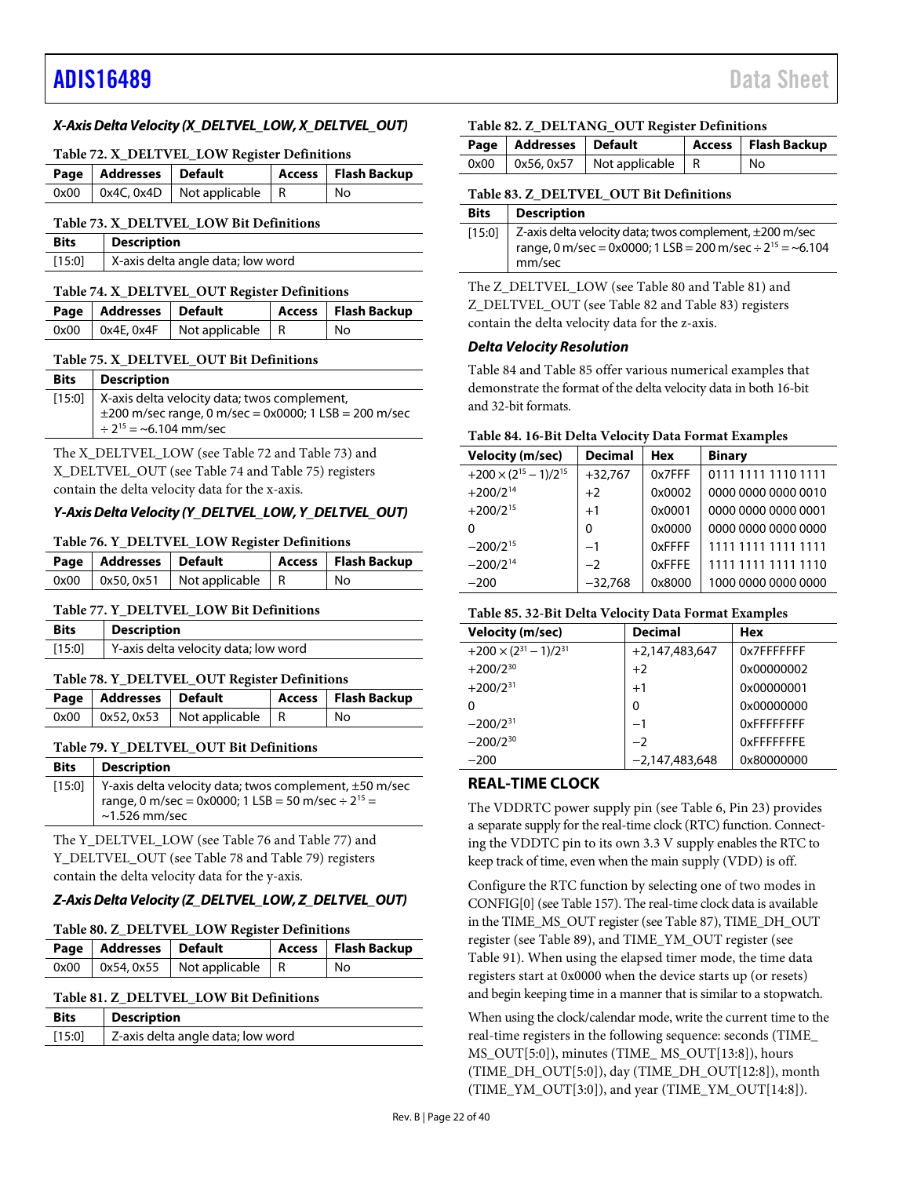### *X-Axis Delta Velocity (X\_DELTVEL\_LOW, X\_DELTVEL\_OUT)*

#### <span id="page-21-1"></span>**Table 72. X\_DELTVEL\_LOW Register Definitions**

| Page   Addresses   Default |                                               | Access   Flash Backup |
|----------------------------|-----------------------------------------------|-----------------------|
|                            | $0x00$   $0x4C$ , $0x4D$   Not applicable   R | No                    |

#### <span id="page-21-2"></span>**Table 73. X\_DELTVEL\_LOW Bit Definitions**

| <b>Bits</b> | <b>Description</b>                |
|-------------|-----------------------------------|
| [15:0]      | X-axis delta angle data; low word |

#### <span id="page-21-3"></span>**Table 74. X\_DELTVEL\_OUT Register Definitions**

| Page   Addresses   Default |                                               | Access   Flash Backup |
|----------------------------|-----------------------------------------------|-----------------------|
|                            | $0x00$   $0x4E$ , $0x4F$   Not applicable   R | No                    |

#### <span id="page-21-4"></span>**Table 75. X\_DELTVEL\_OUT Bit Definitions**

| <b>Bits</b> | <b>Description</b>                                         |
|-------------|------------------------------------------------------------|
|             | [15:0]   X-axis delta velocity data; twos complement,      |
|             | $\pm$ 200 m/sec range, 0 m/sec = 0x0000; 1 LSB = 200 m/sec |
|             | $\div$ 2 <sup>15</sup> = ~6.104 mm/sec                     |

The X\_DELTVEL\_LOW (see [Table 72](#page-21-1) an[d Table 73\)](#page-21-2) and X\_DELTVEL\_OUT (se[e Table 74](#page-21-3) an[d Table](#page-21-4) 75) registers contain the delta velocity data for the x-axis.

### *Y-Axis Delta Velocity (Y\_DELTVEL\_LOW, Y\_DELTVEL\_OUT)*

#### <span id="page-21-5"></span>**Table 76. Y\_DELTVEL\_LOW Register Definitions**

| Page   Addresses   Default |                                          | Access   Flash Backup |
|----------------------------|------------------------------------------|-----------------------|
|                            | $0x00$   0x50, 0x51   Not applicable   R | l No                  |

### <span id="page-21-6"></span>**Table 77. Y\_DELTVEL\_LOW Bit Definitions**

| <b>Bits</b> | <b>Description</b>                   |
|-------------|--------------------------------------|
| [15:0]      | Y-axis delta velocity data; low word |

#### <span id="page-21-7"></span>**Table 78. Y\_DELTVEL\_OUT Register Definitions**

| Page   Addresses   Default |                                            | Access   Flash Backup |
|----------------------------|--------------------------------------------|-----------------------|
|                            | $0x00$   $0x52, 0x53$   Not applicable   R | No                    |

#### <span id="page-21-8"></span>**Table 79. Y\_DELTVEL\_OUT Bit Definitions**

| <b>Bits</b>   Description                                                                                                                              |
|--------------------------------------------------------------------------------------------------------------------------------------------------------|
| [15:0] Y-axis delta velocity data; twos complement, $\pm$ 50 m/sec<br>range, 0 m/sec = 0x0000; 1 LSB = 50 m/sec $\div 2^{15}$ =<br>$\sim$ 1.526 mm/sec |

The Y\_DELTVEL\_LOW (see [Table 76](#page-21-5) and [Table 77\)](#page-21-6) and Y\_DELTVEL\_OUT (see [Table 78](#page-21-7) an[d Table 79\)](#page-21-8) registers contain the delta velocity data for the y-axis.

### *Z-Axis Delta Velocity (Z\_DELTVEL\_LOW, Z\_DELTVEL\_OUT)*

# <span id="page-21-9"></span>**Table 80. Z\_DELTVEL\_LOW Register Definitions**

| Page   Addresses   Default |                                            | Access   Flash Backup |
|----------------------------|--------------------------------------------|-----------------------|
|                            | $0x00$   $0x54, 0x55$   Not applicable   R | l No                  |

# <span id="page-21-10"></span>**Table 81. Z\_DELTVEL\_LOW Bit Definitions**

| <b>Bits</b> | <b>Description</b>                |
|-------------|-----------------------------------|
| [15:0]      | Z-axis delta angle data; low word |

# <span id="page-21-11"></span>**Table 82. Z\_DELTANG\_OUT Register Definitions**

| Page   Addresses   Default |                                          | Access   Flash Backup |
|----------------------------|------------------------------------------|-----------------------|
|                            | $0x00$   0x56, 0x57   Not applicable   R | l No                  |

# <span id="page-21-12"></span>**Table 83. Z\_DELTVEL\_OUT Bit Definitions**

### **Bits Description**

| [15:0]   Z-axis delta velocity data; twos complement, ±200 m/sec<br>range, 0 m/sec = 0x0000; 1 LSB = 200 m/sec $\div 2^{15}$ = ~6.104<br>mm/sec |
|-------------------------------------------------------------------------------------------------------------------------------------------------|
|                                                                                                                                                 |

The Z\_DELTVEL\_LOW (se[e Table 80](#page-21-9) and [Table 81\)](#page-21-10) and Z\_DELTVEL\_OUT (see [Table 82](#page-21-11) and [Table 83\)](#page-21-12) registers contain the delta velocity data for the z-axis.

# *Delta Velocity Resolution*

[Table 84](#page-21-13) an[d Table 85](#page-21-14) offer various numerical examples that demonstrate the format of the delta velocity data in both 16-bit and 32-bit formats.

## <span id="page-21-13"></span>**Table 84. 16-Bit Delta Velocity Data Format Examples**

| <b>Velocity (m/sec)</b>           | <b>Decimal</b> | <b>Hex</b> | <b>Binary</b>       |
|-----------------------------------|----------------|------------|---------------------|
| $+200 \times (2^{15} - 1)/2^{15}$ | $+32,767$      | 0x7FFF     | 0111 1111 1110 1111 |
| $+200/2^{14}$                     | $+2$           | 0x0002     | 0000 0000 0000 0010 |
| $+200/2^{15}$                     | $+1$           | 0x0001     | 0000 0000 0000 0001 |
| O                                 | $\Omega$       | 0x0000     | 0000 0000 0000 0000 |
| $-200/2^{15}$                     | $-1$           | 0xFFFF     | 1111 1111 1111 1111 |
| $-200/2^{14}$                     | $-2$           | 0xFFFE     | 1111 1111 1111 1110 |
| $-200$                            | $-32,768$      | 0x8000     | 1000 0000 0000 0000 |
|                                   |                |            |                     |

### <span id="page-21-14"></span>**Table 85. 32-Bit Delta Velocity Data Format Examples**

| <b>Velocity (m/sec)</b>           | <b>Decimal</b>   | Hex               |
|-----------------------------------|------------------|-------------------|
| $+200 \times (2^{31} - 1)/2^{31}$ | $+2,147,483,647$ | 0x7FFFFFFF        |
| $+200/2^{30}$                     | $+2$             | 0x00000002        |
| $+200/2^{31}$                     | $+1$             | 0x00000001        |
| 0                                 | $\Omega$         | 0x00000000        |
| $-200/2^{31}$                     | $-1$             | OxFFFFFFFF        |
| $-200/2^{30}$                     | $-2$             | <b>OXFFFFFFFF</b> |
| $-200$                            | $-2,147,483,648$ | 0x80000000        |

# <span id="page-21-0"></span>**REAL-TIME CLOCK**

The VDDRTC power supply pin (se[e Table 6,](#page-8-1) Pin 23) provides a separate supply for the real-time clock (RTC) function. Connecting the VDDTC pin to its own 3.3 V supply enables the RTC to keep track of time, even when the main supply (VDD) is off.

Configure the RTC function by selecting one of two modes in CONFIG[0] (se[e Table 157\)](#page-28-2). The real-time clock data is available in the TIME\_MS\_OUT register (se[e Table 87\)](#page-22-3), TIME\_DH\_OUT register (se[e Table 89\)](#page-22-4), and TIME\_YM\_OUT register (see [Table](#page-22-5) 91). When using the elapsed timer mode, the time data registers start at 0x0000 when the device starts up (or resets) and begin keeping time in a manner that is similar to a stopwatch.

When using the clock/calendar mode, write the current time to the real-time registers in the following sequence: seconds (TIME\_ MS\_OUT[5:0]), minutes (TIME\_ MS\_OUT[13:8]), hours (TIME\_DH\_OUT[5:0]), day (TIME\_DH\_OUT[12:8]), month (TIME\_YM\_OUT[3:0]), and year (TIME\_YM\_OUT[14:8]).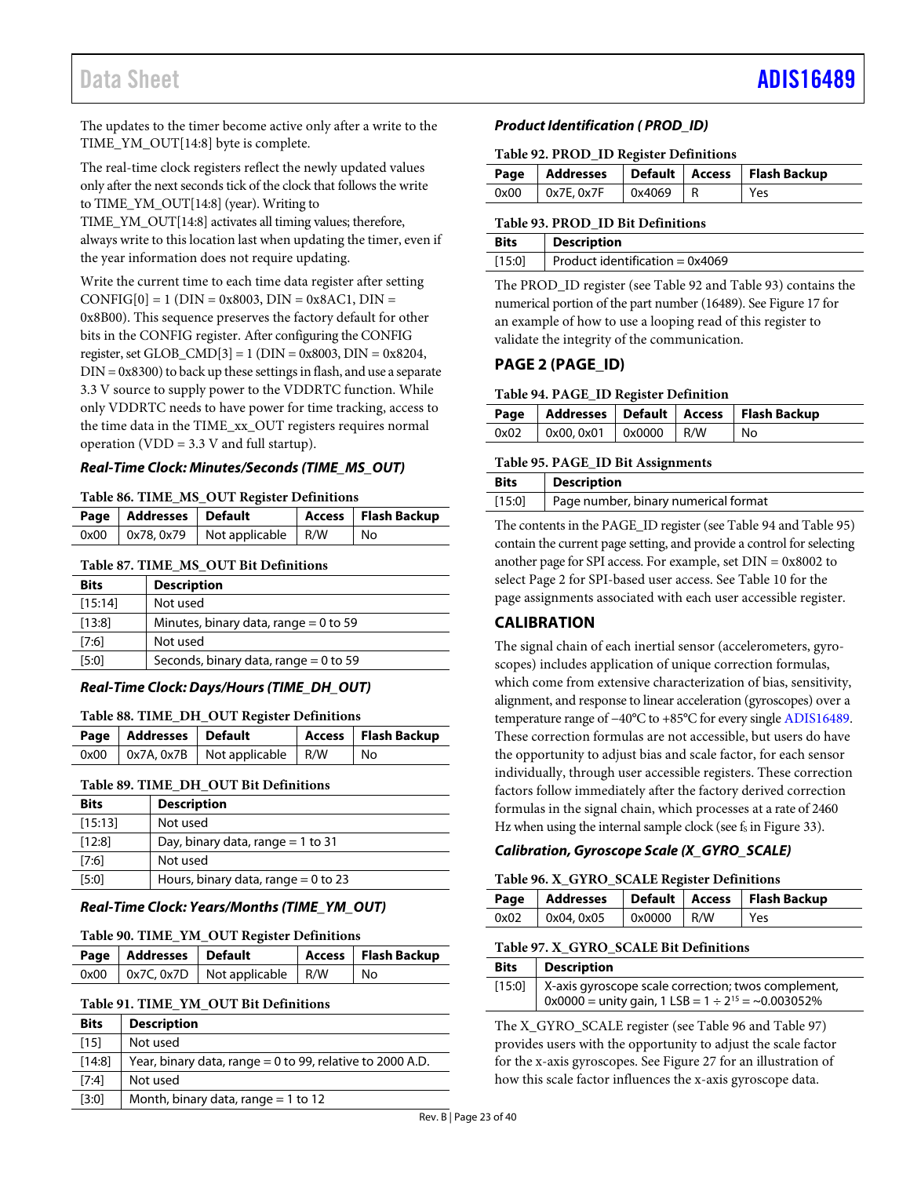The updates to the timer become active only after a write to the TIME\_YM\_OUT[14:8] byte is complete.

The real-time clock registers reflect the newly updated values only after the next seconds tick of the clock that follows the write to TIME\_YM\_OUT[14:8] (year). Writing to

TIME\_YM\_OUT[14:8] activates all timing values; therefore, always write to this location last when updating the timer, even if the year information does not require updating.

Write the current time to each time data register after setting  $CONFIG[0] = 1 (DIN = 0x8003, DIN = 0x8AC1, DIN = 0x8AC1)$ 0x8B00). This sequence preserves the factory default for other bits in the CONFIG register. After configuring the CONFIG register, set GLOB\_CMD[3] = 1 (DIN = 0x8003, DIN = 0x8204,  $DIN = 0x8300$  to back up these settings in flash, and use a separate 3.3 V source to supply power to the VDDRTC function. While only VDDRTC needs to have power for time tracking, access to the time data in the TIME\_xx\_OUT registers requires normal operation (VDD =  $3.3$  V and full startup).

### *Real-Time Clock: Minutes/Seconds (TIME\_MS\_OUT)*

#### **Table 86. TIME\_MS\_OUT Register Definitions**

| Page   Addresses   Default |                                              | Access   Flash Backup |
|----------------------------|----------------------------------------------|-----------------------|
|                            | $0x00$   $0x78, 0x79$   Not applicable   R/W | No                    |

#### <span id="page-22-3"></span>**Table 87. TIME\_MS\_OUT Bit Definitions**

| <b>Bits</b> | <b>Description</b>                      |
|-------------|-----------------------------------------|
| [15:14]     | Not used                                |
| [13:8]      | Minutes, binary data, range $= 0$ to 59 |
| [7:6]       | Not used                                |
| [5:0]       | Seconds, binary data, range $= 0$ to 59 |

#### *Real-Time Clock: Days/Hours (TIME\_DH\_OUT)*

#### **Table 88. TIME\_DH\_OUT Register Definitions**

| Page   Addresses   Default |                                                 | Access   Flash Backup |
|----------------------------|-------------------------------------------------|-----------------------|
|                            | $0x00$   $0x7A$ , $0x7B$   Not applicable   R/W | No                    |

#### <span id="page-22-4"></span>**Table 89. TIME\_DH\_OUT Bit Definitions**

| <b>Bits</b> | <b>Description</b>                    |
|-------------|---------------------------------------|
| [15:13]     | Not used                              |
| [12:8]      | Day, binary data, range $= 1$ to 31   |
| [7:6]       | Not used                              |
| [5:0]       | Hours, binary data, range $= 0$ to 23 |

#### *Real-Time Clock: Years/Months (TIME\_YM\_OUT)*

#### **Table 90. TIME\_YM\_OUT Register Definitions**

| Page   Addresses   Default |                                                 | Access   Flash Backup |
|----------------------------|-------------------------------------------------|-----------------------|
|                            | $0x00$   $0x7C$ , $0x7D$   Not applicable   R/W | l No                  |

#### <span id="page-22-5"></span>**Table 91. TIME\_YM\_OUT Bit Definitions**

| <b>Bits</b> | <b>Description</b>                                          |
|-------------|-------------------------------------------------------------|
| $[15]$      | Not used                                                    |
| [14:8]      | Year, binary data, range $= 0$ to 99, relative to 2000 A.D. |
| [7:4]       | Not used                                                    |
| [3:0]       | Month, binary data, range $=$ 1 to 12                       |
|             | - 1<br>$\sim$                                               |

#### *Product Identification ( PROD\_ID)*

#### <span id="page-22-6"></span>**Table 92. PROD\_ID Register Definitions**

|                                      |  | Page   Addresses   Default   Access   Flash Backup |
|--------------------------------------|--|----------------------------------------------------|
| $0x00$   $0x7E, 0x7F$   $0x4069$   R |  | Yes                                                |

#### <span id="page-22-2"></span>**Table 93. PROD\_ID Bit Definitions**

| <b>Bits</b> | Description                       |
|-------------|-----------------------------------|
| [15:0]      | Product identification = $0x4069$ |

The PROD\_ID register (se[e Table 92](#page-22-6) an[d Table 93\)](#page-22-2) contains the numerical portion of the part number (16489). Se[e Figure 17](#page-11-7) for an example of how to use a looping read of this register to validate the integrity of the communication.

### <span id="page-22-0"></span>**PAGE 2 (PAGE\_ID)**

#### <span id="page-22-7"></span>**Table 94. PAGE\_ID Register Definition**

|  |                                        |  | Page   Addresses   Default   Access   Flash Backup |
|--|----------------------------------------|--|----------------------------------------------------|
|  | $0x02$   $0x00, 0x01$   $0x0000$   R/W |  | No                                                 |

#### <span id="page-22-8"></span>**Table 95. PAGE\_ID Bit Assignments**

| <b>Bits</b> | <b>Description</b>                   |
|-------------|--------------------------------------|
| $[15:0]$    | Page number, binary numerical format |
|             |                                      |

The contents in the PAGE\_ID register (se[e Table 94](#page-22-7) an[d Table 95\)](#page-22-8) contain the current page setting, and provide a control for selecting another page for SPI access. For example, set DIN = 0x8002 to select Page 2 for SPI-based user access. See [Table 10](#page-12-1) for the page assignments associated with each user accessible register.

# <span id="page-22-1"></span>**CALIBRATION**

The signal chain of each inertial sensor (accelerometers, gyroscopes) includes application of unique correction formulas, which come from extensive characterization of bias, sensitivity, alignment, and response to linear acceleration (gyroscopes) over a temperature range of −40°C to +85°C for every single [ADIS16489.](http://www.analog.com/ADIS16489?doc=ADIS16489.pdf) These correction formulas are not accessible, but users do have the opportunity to adjust bias and scale factor, for each sensor individually, through user accessible registers. These correction factors follow immediately after the factory derived correction formulas in the signal chain, which processes at a rate of 2460 Hz when using the internal sample clock (see  $f_s$  i[n Figure 33\)](#page-29-3).

### *Calibration, Gyroscope Scale (X\_GYRO\_SCALE)*

#### <span id="page-22-9"></span>**Table 96. X\_GYRO\_SCALE Register Definitions**

|  |                                  |  |  | Page   Addresses   Default   Access   Flash Backup |  |
|--|----------------------------------|--|--|----------------------------------------------------|--|
|  | 0x02   0x04, 0x05   0x0000   R/W |  |  | Yes                                                |  |

#### <span id="page-22-10"></span>**Table 97. X\_GYRO\_SCALE Bit Definitions**

| <b>Bits</b> | Description                                                                                                                      |
|-------------|----------------------------------------------------------------------------------------------------------------------------------|
|             | [15:0] X-axis gyroscope scale correction; twos complement,<br>$0x0000 =$ unity gain, $1$ LSB = $1 \div 2^{15} = \sim 0.003052\%$ |

The X\_GYRO\_SCALE register (se[e Table 96](#page-22-9) an[d Table 97\)](#page-22-10) provides users with the opportunity to adjust the scale factor for the x-axis gyroscopes. Se[e Figure 27](#page-23-1) for an illustration of how this scale factor influences the x-axis gyroscope data.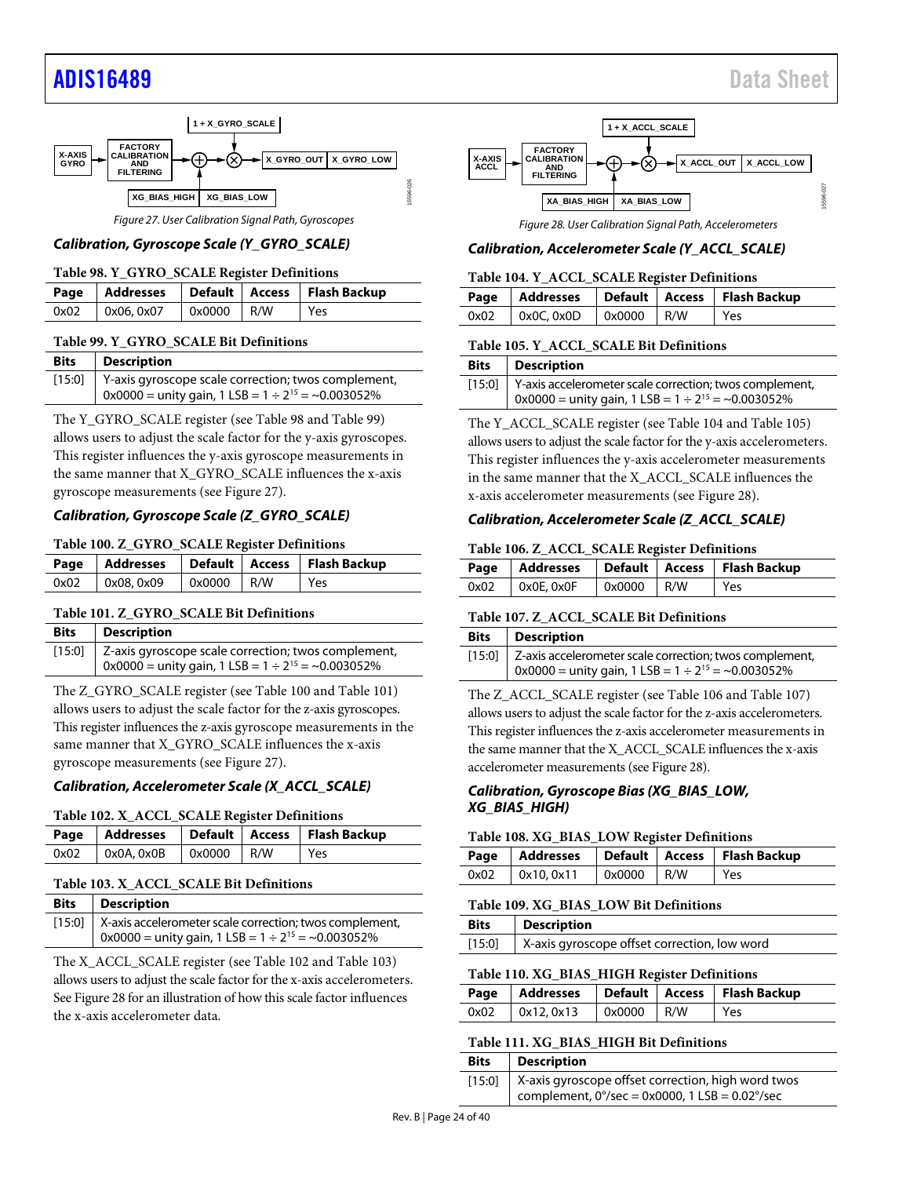

*Figure 27. User Calibration Signal Path, Gyroscopes*

#### <span id="page-23-2"></span><span id="page-23-1"></span>*Calibration, Gyroscope Scale (Y\_GYRO\_SCALE)*

#### **Table 98. Y\_GYRO\_SCALE Register Definitions**

|                   |              | Page   Addresses   Default   Access   Flash Backup |
|-------------------|--------------|----------------------------------------------------|
| $0x02$ 0x06, 0x07 | $0x0000$ R/W | l Yes                                              |

#### <span id="page-23-3"></span>**Table 99. Y\_GYRO\_SCALE Bit Definitions**

| <b>Bits</b> | Description                                                                                                                  |
|-------------|------------------------------------------------------------------------------------------------------------------------------|
|             | [15:0]   Y-axis gyroscope scale correction; twos complement,<br>$0x0000 =$ unity gain, 1 LSB = $1 \div 2^{15} = -0.003052\%$ |

The Y\_GYRO\_SCALE register (see [Table 98](#page-23-2) an[d Table 99\)](#page-23-3) allows users to adjust the scale factor for the y-axis gyroscopes. This register influences the y-axis gyroscope measurements in the same manner that X\_GYRO\_SCALE influences the x-axis gyroscope measurements (se[e Figure 27\)](#page-23-1).

#### *Calibration, Gyroscope Scale (Z\_GYRO\_SCALE)*

#### <span id="page-23-4"></span>**Table 100. Z\_GYRO\_SCALE Register Definitions**

|                                    |  | Page   Addresses   Default   Access   Flash Backup |
|------------------------------------|--|----------------------------------------------------|
| $0x02$ $0x08, 0x09$ $0x0000$ $R/W$ |  | Yes                                                |

#### <span id="page-23-5"></span>**Table 101. Z\_GYRO\_SCALE Bit Definitions**

| <b>Bits</b> | <b>Description</b>                                                          |
|-------------|-----------------------------------------------------------------------------|
|             | [15:0]   Z-axis gyroscope scale correction; twos complement,                |
|             | $\frac{1}{2}$ 0x0000 = unity gain, 1 LSB = 1 ÷ 2 <sup>15</sup> = ~0.003052% |

The Z\_GYRO\_SCALE register (see [Table 100](#page-23-4) an[d Table 101\)](#page-23-5) allows users to adjust the scale factor for the z-axis gyroscopes. This register influences the z-axis gyroscope measurements in the same manner that X\_GYRO\_SCALE influences the x-axis gyroscope measurements (se[e Figure 27\)](#page-23-1).

#### *Calibration, Accelerometer Scale (X\_ACCL\_SCALE)*

#### <span id="page-23-6"></span>**Table 102. X\_ACCL\_SCALE Register Definitions**

|                                        |  | Page   Addresses   Default   Access   Flash Backup |
|----------------------------------------|--|----------------------------------------------------|
| $0x02$   $0x0A, 0x0B$   $0x0000$   R/W |  | Yes                                                |

#### <span id="page-23-7"></span>**Table 103. X\_ACCL\_SCALE Bit Definitions**

| <b>Bits</b>   Description                                             |
|-----------------------------------------------------------------------|
| [15:0]   X-axis accelerometer scale correction; twos complement,      |
| $\vert$ 0x0000 = unity gain, 1 LSB = 1 ÷ 2 <sup>15</sup> = ~0.003052% |

The X\_ACCL\_SCALE register (see [Table 102](#page-23-6) an[d Table 103\)](#page-23-7) allows users to adjust the scale factor for the x-axis accelerometers. Se[e Figure 28](#page-23-8) for an illustration of how this scale factor influences the x-axis accelerometer data.



*Figure 28. User Calibration Signal Path, Accelerometers*

#### <span id="page-23-9"></span><span id="page-23-8"></span>*Calibration, Accelerometer Scale (Y\_ACCL\_SCALE)*

| Table 104. Y_ACCL_SCALE Register Definitions |                                               |  |  |                                                    |  |
|----------------------------------------------|-----------------------------------------------|--|--|----------------------------------------------------|--|
|                                              |                                               |  |  | Page   Addresses   Default   Access   Flash Backup |  |
| 0x02                                         | $\vert$ 0x0C, 0x0D $\vert$ 0x0000 $\vert$ R/W |  |  | l Yes                                              |  |

#### <span id="page-23-10"></span>**Table 105. Y\_ACCL\_SCALE Bit Definitions**

| <b>Bits</b>   Description                                             |
|-----------------------------------------------------------------------|
| [15:0] Y-axis accelerometer scale correction; twos complement,        |
| $\vert$ 0x0000 = unity gain, 1 LSB = 1 ÷ 2 <sup>15</sup> = ~0.003052% |

The Y\_ACCL\_SCALE register (se[e Table 104](#page-23-9) an[d Table 105\)](#page-23-10) allows users to adjust the scale factor for the y-axis accelerometers. This register influences the y-axis accelerometer measurements in the same manner that the X\_ACCL\_SCALE influences the x-axis accelerometer measurements (see [Figure 28\)](#page-23-8).

#### *Calibration, Accelerometer Scale (Z\_ACCL\_SCALE)*

#### <span id="page-23-11"></span>**Table 106. Z\_ACCL\_SCALE Register Definitions**

|      |                 |              | Page   Addresses   Default   Access   Flash Backup |
|------|-----------------|--------------|----------------------------------------------------|
| 0x02 | $0x0E$ , $0x0F$ | $0x0000$ R/W | Yes                                                |

#### <span id="page-23-12"></span>**Table 107. Z\_ACCL\_SCALE Bit Definitions**

| <b>Bits</b> Description                                          |
|------------------------------------------------------------------|
| $[15:0]$ Z-axis accelerometer scale correction; twos complement, |
| 0x0000 = unity gain, 1 LSB = $1 \div 2^{15} = -0.003052\%$       |

The Z\_ACCL\_SCALE register (se[e Table 106](#page-23-11) and [Table 107\)](#page-23-12) allows users to adjust the scale factor for the z-axis accelerometers. This register influences the z-axis accelerometer measurements in the same manner that the X\_ACCL\_SCALE influences the x-axis accelerometer measurements (se[e Figure 28\)](#page-23-8).

#### *Calibration, Gyroscope Bias (XG\_BIAS\_LOW, XG\_BIAS\_HIGH)*

#### <span id="page-23-13"></span>**Table 108. XG\_BIAS\_LOW Register Definitions**

|  |                   |                            | Page   Addresses   Default   Access   Flash Backup |
|--|-------------------|----------------------------|----------------------------------------------------|
|  | $0x02$ 0x10, 0x11 | $\sqrt{0 \times 0000}$ R/W | l Yes                                              |

#### <span id="page-23-0"></span>**Table 109. XG\_BIAS\_LOW Bit Definitions**

| <b>Bits</b> | <b>Description</b>                           |
|-------------|----------------------------------------------|
| $[15:0]$    | X-axis gyroscope offset correction, low word |

#### <span id="page-23-14"></span>**Table 110. XG\_BIAS\_HIGH Register Definitions**

|      |            |                     | Page   Addresses   Default   Access   Flash Backup |
|------|------------|---------------------|----------------------------------------------------|
| 0x02 | 0x12, 0x13 | $0 \times 0000$ R/W | Yes                                                |

#### <span id="page-23-15"></span>**Table 111. XG\_BIAS\_HIGH Bit Definitions**

| <b>Bits</b> | <b>Description</b>                                                                                                                |
|-------------|-----------------------------------------------------------------------------------------------------------------------------------|
|             | [15:0]   X-axis gyroscope offset correction, high word twos<br>complement, $0^{\circ}/sec = 0x0000$ , 1 LSB = 0.02 $^{\circ}/sec$ |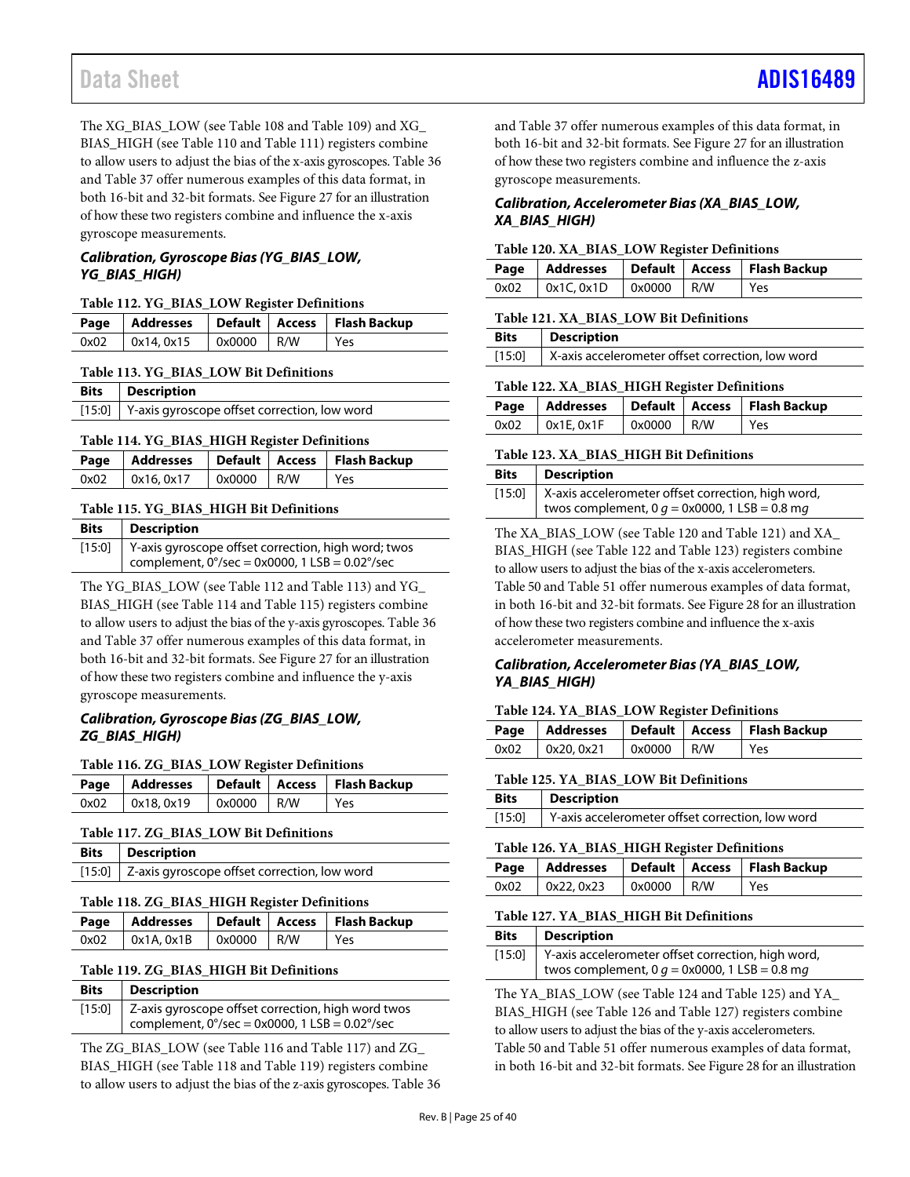The XG\_BIAS\_LOW (see [Table 108](#page-23-13) and [Table 109\)](#page-23-0) and XG\_ BIAS\_HIGH (se[e Table 110](#page-23-14) an[d Table 111\)](#page-23-15) registers combine to allow users to adjust the bias of the x-axis gyroscopes[. Table 36](#page-17-9) an[d Table 37](#page-17-10) offer numerous examples of this data format, in both 16-bit and 32-bit formats. Se[e Figure 27](#page-23-1) for an illustration of how these two registers combine and influence the x-axis gyroscope measurements.

#### *Calibration, Gyroscope Bias (YG\_BIAS\_LOW, YG\_BIAS\_HIGH)*

#### <span id="page-24-0"></span>**Table 112. YG\_BIAS\_LOW Register Definitions**

|      |            |                                 |  | Page   Addresses   Default   Access   Flash Backup |  |  |
|------|------------|---------------------------------|--|----------------------------------------------------|--|--|
| 0x02 | 0x14, 0x15 | $\sqrt{\frac{6}{x}}$ 0x0000 R/W |  | Yes                                                |  |  |

#### <span id="page-24-1"></span>**Table 113. YG\_BIAS\_LOW Bit Definitions**

| <b>Bits</b>   Description                           |
|-----------------------------------------------------|
| [15:0] Y-axis gyroscope offset correction, low word |
|                                                     |

#### <span id="page-24-2"></span>**Table 114. YG\_BIAS\_HIGH Register Definitions**

|      |           |                                 | Page   Addresses   Default   Access   Flash Backup |
|------|-----------|---------------------------------|----------------------------------------------------|
| 0x02 | 0x16.0x17 | $\sqrt{\frac{6}{x}}$ 0x0000 R/W | Yes                                                |

#### <span id="page-24-3"></span>**Table 115. YG\_BIAS\_HIGH Bit Definitions**

| <b>Bits</b> | <b>Description</b>                                                 |
|-------------|--------------------------------------------------------------------|
|             | [15:0] Y-axis gyroscope offset correction, high word; twos         |
|             | complement, $0^{\circ}/sec = 0x0000$ , 1 LSB = 0.02 $^{\circ}/sec$ |

The YG\_BIAS\_LOW (see [Table 112](#page-24-0) and [Table 113\)](#page-24-1) and YG\_ BIAS\_HIGH (se[e Table 114](#page-24-2) an[d Table 115\)](#page-24-3) registers combine to allow users to adjust the bias of the y-axis gyroscopes[. Table 36](#page-17-9) an[d Table 37](#page-17-10) offer numerous examples of this data format, in both 16-bit and 32-bit formats. Se[e Figure 27](#page-23-1) for an illustration of how these two registers combine and influence the y-axis gyroscope measurements.

#### *Calibration, Gyroscope Bias (ZG\_BIAS\_LOW, ZG\_BIAS\_HIGH)*

#### <span id="page-24-4"></span>**Table 116. ZG\_BIAS\_LOW Register Definitions**

|      |            |              | Page   Addresses   Default   Access   Flash Backup |
|------|------------|--------------|----------------------------------------------------|
| 0x02 | 0x18, 0x19 | $0x0000$ R/W | Yes                                                |

#### <span id="page-24-5"></span>**Table 117. ZG\_BIAS\_LOW Bit Definitions**

| <b>Bits</b> Description                             |
|-----------------------------------------------------|
| [15:0] Z-axis gyroscope offset correction, low word |

#### <span id="page-24-6"></span>**Table 118. ZG\_BIAS\_HIGH Register Definitions**

|      |                                               |  | Page   Addresses   Default   Access   Flash Backup |
|------|-----------------------------------------------|--|----------------------------------------------------|
| 0x02 | $\vert$ 0x1A, 0x1B $\vert$ 0x0000 $\vert$ R/W |  | l Yes                                              |

#### <span id="page-24-7"></span>**Table 119. ZG\_BIAS\_HIGH Bit Definitions**

| <b>Bits</b> | <b>Description</b>                                                 |
|-------------|--------------------------------------------------------------------|
|             | [15:0]   Z-axis gyroscope offset correction, high word twos        |
|             | complement, $0^{\circ}/sec = 0x0000$ , 1 LSB = 0.02 $^{\circ}/sec$ |

The ZG\_BIAS\_LOW (se[e Table 116](#page-24-4) an[d Table 117\)](#page-24-5) and ZG\_ BIAS\_HIGH (se[e Table 118](#page-24-6) an[d Table 119\)](#page-24-7) registers combine to allow users to adjust the bias of the z-axis gyroscopes[. Table 36](#page-17-9) an[d Table 37](#page-17-10) offer numerous examples of this data format, in both 16-bit and 32-bit formats. Se[e Figure 27](#page-23-1) for an illustration of how these two registers combine and influence the z-axis gyroscope measurements.

### *Calibration, Accelerometer Bias (XA\_BIAS\_LOW, XA\_BIAS\_HIGH)*

#### <span id="page-24-8"></span>**Table 120. XA\_BIAS\_LOW Register Definitions**

|                                        |  | Page   Addresses   Default   Access   Flash Backup |
|----------------------------------------|--|----------------------------------------------------|
| $0x02$   $0x1C, 0x1D$   $0x0000$   R/W |  | l Yes                                              |

#### <span id="page-24-9"></span>**Table 121. XA\_BIAS\_LOW Bit Definitions**

| <b>Bits</b> | Description                                             |
|-------------|---------------------------------------------------------|
|             | [15:0] X-axis accelerometer offset correction, low word |

#### <span id="page-24-10"></span>**Table 122. XA\_BIAS\_HIGH Register Definitions**

|                       |              | Page   Addresses   Default   Access   Flash Backup |
|-----------------------|--------------|----------------------------------------------------|
| $0x02$   $0x1E, 0x1F$ | $0x0000$ R/W | l Yes                                              |

#### <span id="page-24-11"></span>**Table 123. XA\_BIAS\_HIGH Bit Definitions**

| <b>Bits</b> | <b>Description</b>                                          |
|-------------|-------------------------------------------------------------|
|             | [15:0]   X-axis accelerometer offset correction, high word, |
|             | twos complement, 0 $q = 0 \times 0000$ , 1 LSB = 0.8 mg     |

The XA\_BIAS\_LOW (see [Table 120](#page-24-8) an[d Table 121\)](#page-24-9) and XA\_ BIAS\_HIGH (se[e Table 122](#page-24-10) an[d Table 123\)](#page-24-11) registers combine to allow users to adjust the bias of the x-axis accelerometers. [Table 50](#page-18-14) an[d Table 51](#page-18-15) offer numerous examples of data format, in both 16-bit and 32-bit formats. Se[e Figure 28](#page-23-8) for an illustration of how these two registers combine and influence the x-axis accelerometer measurements.

#### *Calibration, Accelerometer Bias (YA\_BIAS\_LOW, YA\_BIAS\_HIGH)*

#### <span id="page-24-12"></span>**Table 124. YA\_BIAS\_LOW Register Definitions**

|                                        |  | Page   Addresses   Default   Access   Flash Backup |
|----------------------------------------|--|----------------------------------------------------|
| $0x02$   $0x20, 0x21$   $0x0000$   R/W |  | <b>Yes</b>                                         |

# <span id="page-24-13"></span>**Table 125. YA\_BIAS\_LOW Bit Definitions**

| <b>Bits</b> | Description                                      |
|-------------|--------------------------------------------------|
| [15:0]      | Y-axis accelerometer offset correction, low word |

#### <span id="page-24-14"></span>**Table 126. YA\_BIAS\_HIGH Register Definitions**

|                                        |  | Page   Addresses   Default   Access   Flash Backup |
|----------------------------------------|--|----------------------------------------------------|
| $0x02$   $0x22, 0x23$   $0x0000$   R/W |  | Yes                                                |

#### <span id="page-24-15"></span>**Table 127. YA\_BIAS\_HIGH Bit Definitions**

| <b>Bits</b> | <b>Description</b>                                        |
|-------------|-----------------------------------------------------------|
|             | [15:0] Y-axis accelerometer offset correction, high word, |
|             | twos complement, 0 $g$ = 0x0000, 1 LSB = 0.8 mg           |

The YA\_BIAS\_LOW (se[e Table 124](#page-24-12) an[d Table 125\)](#page-24-13) and YA\_ BIAS\_HIGH (se[e Table 126](#page-24-14) and [Table 127\)](#page-24-15) registers combine to allow users to adjust the bias of the y-axis accelerometers. [Table 50](#page-18-14) an[d Table 51](#page-18-15) offer numerous examples of data format, in both 16-bit and 32-bit formats. Se[e Figure 28](#page-23-8) for an illustration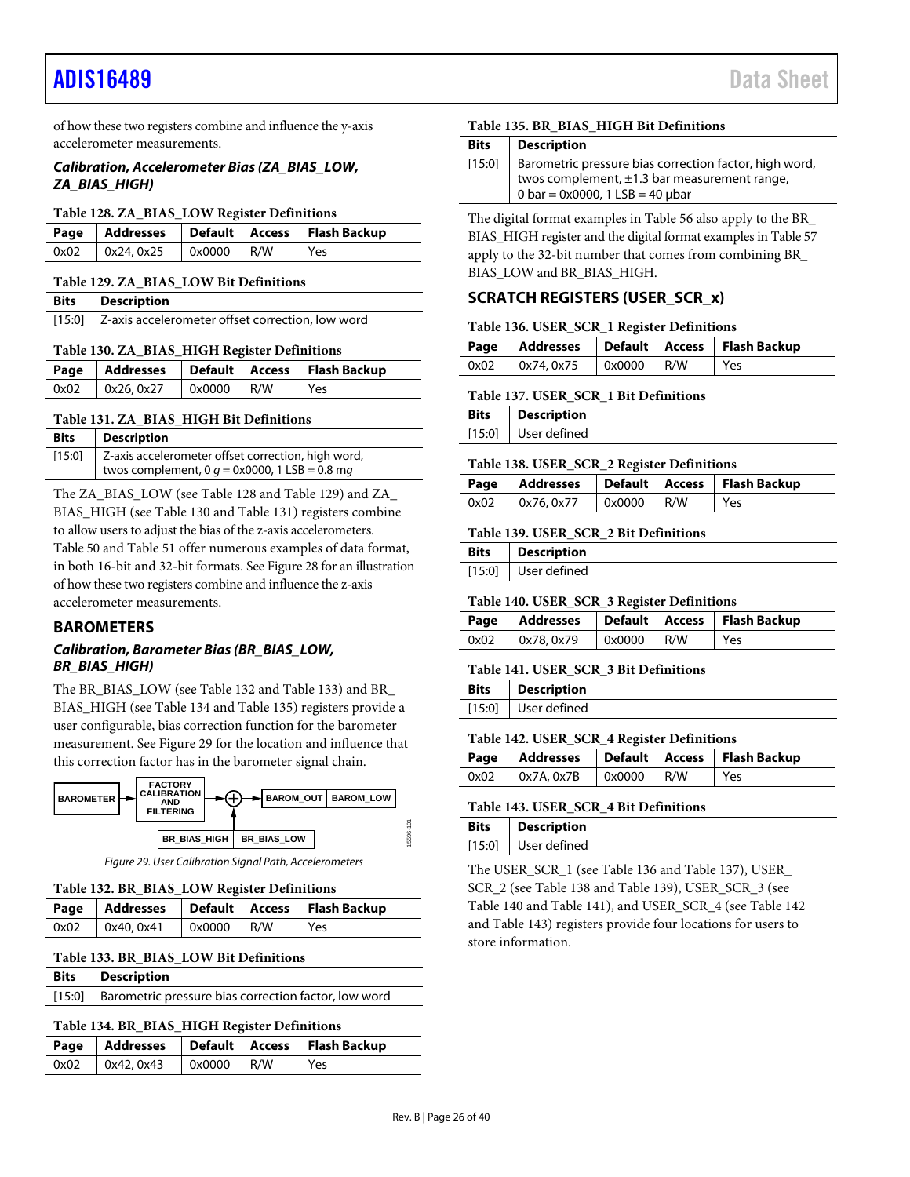of how these two registers combine and influence the y-axis accelerometer measurements.

#### *Calibration, Accelerometer Bias (ZA\_BIAS\_LOW, ZA\_BIAS\_HIGH)*

#### <span id="page-25-2"></span>**Table 128. ZA\_BIAS\_LOW Register Definitions**

|      |            |              | Page   Addresses   Default   Access   Flash Backup |
|------|------------|--------------|----------------------------------------------------|
| 0x02 | 0x24, 0x25 | $0x0000$ R/W | Yes                                                |

#### <span id="page-25-3"></span>**Table 129. ZA\_BIAS\_LOW Bit Definitions**

| <b>Bits</b>   Description                               |
|---------------------------------------------------------|
| [15:0] Z-axis accelerometer offset correction, low word |

#### <span id="page-25-4"></span>**Table 130. ZA\_BIAS\_HIGH Register Definitions**

|      |           |              | Page   Addresses   Default   Access   Flash Backup |
|------|-----------|--------------|----------------------------------------------------|
| 0x02 | 0x26.0x27 | $0x0000$ R/W | Yes                                                |

#### <span id="page-25-5"></span>**Table 131. ZA\_BIAS\_HIGH Bit Definitions**

| <b>Bits</b> | <b>Description</b>                                          |
|-------------|-------------------------------------------------------------|
|             | [15:0]   Z-axis accelerometer offset correction, high word, |
|             | twos complement, 0 $g = 0$ x0000, 1 LSB = 0.8 mg            |

The ZA\_BIAS\_LOW (se[e Table 128](#page-25-2) an[d Table 129\)](#page-25-3) and ZA\_ BIAS\_HIGH (se[e Table 130](#page-25-4) an[d Table 131\)](#page-25-5) registers combine to allow users to adjust the bias of the z-axis accelerometers. [Table 50](#page-18-14) an[d Table 51](#page-18-15) offer numerous examples of data format, in both 16-bit and 32-bit formats. Se[e Figure 28](#page-23-8) for an illustration of how these two registers combine and influence the z-axis accelerometer measurements.

#### <span id="page-25-0"></span>**BAROMETERS**

### *Calibration, Barometer Bias (BR\_BIAS\_LOW, BR\_BIAS\_HIGH)*

The BR\_BIAS\_LOW (se[e Table 132](#page-25-6) an[d Table 133\)](#page-25-7) and BR\_ BIAS\_HIGH (se[e Table 134](#page-25-8) an[d Table 135\)](#page-25-9) registers provide a user configurable, bias correction function for the barometer measurement. See [Figure 29](#page-25-10) for the location and influence that this correction factor has in the barometer signal chain.



*Figure 29. User Calibration Signal Path, Accelerometers*

#### <span id="page-25-10"></span><span id="page-25-6"></span>**Table 132. BR\_BIAS\_LOW Register Definitions**

|                                        |  | Page   Addresses   Default   Access   Flash Backup |
|----------------------------------------|--|----------------------------------------------------|
| $0x02$   $0x40, 0x41$   $0x0000$   R/W |  | Yes                                                |

#### <span id="page-25-7"></span>**Table 133. BR\_BIAS\_LOW Bit Definitions**

| <b>Bits</b> Description                                     |
|-------------------------------------------------------------|
| [15:0] Barometric pressure bias correction factor, low word |

#### <span id="page-25-8"></span>**Table 134. BR\_BIAS\_HIGH Register Definitions**

|                 |                     | Page   Addresses   Default   Access   Flash Backup |
|-----------------|---------------------|----------------------------------------------------|
| 0x02 0x42, 0x43 | $0 \times 0000$ R/W | Yes                                                |

#### <span id="page-25-9"></span>**Table 135. BR\_BIAS\_HIGH Bit Definitions**

| <b>Bits</b> | <b>Description</b>                                                                                                                             |
|-------------|------------------------------------------------------------------------------------------------------------------------------------------------|
| $[15:0]$    | Barometric pressure bias correction factor, high word,<br>twos complement, $\pm 1.3$ bar measurement range,<br>0 bar = 0x0000, 1 LSB = 40 µbar |

The digital format examples in [Table 56](#page-19-4) also apply to the BR\_ BIAS\_HIGH register and the digital format examples i[n Table 57](#page-19-5) apply to the 32-bit number that comes from combining BR\_ BIAS\_LOW and BR\_BIAS\_HIGH.

### <span id="page-25-1"></span>**SCRATCH REGISTERS (USER\_SCR\_x)**

#### <span id="page-25-11"></span>**Table 136. USER\_SCR\_1 Register Definitions**

|      |           |              | Page   Addresses   Default   Access   Flash Backup |
|------|-----------|--------------|----------------------------------------------------|
| 0x02 | 0x74.0x75 | $0x0000$ R/W | Yes                                                |

#### <span id="page-25-12"></span>**Table 137. USER\_SCR\_1 Bit Definitions**

| <b>Bits</b> | <b>Description</b>  |
|-------------|---------------------|
|             | [15:0] User defined |

#### <span id="page-25-13"></span>**Table 138. USER\_SCR\_2 Register Definitions**

|                   |                     | Page   Addresses   Default   Access   Flash Backup |
|-------------------|---------------------|----------------------------------------------------|
| $0x02$ 0x76, 0x77 | $0 \times 0000$ R/W | l Yes                                              |

#### <span id="page-25-14"></span>**Table 139. USER\_SCR\_2 Bit Definitions**

| Bits | Description           |
|------|-----------------------|
|      | $[15:0]$ User defined |

#### <span id="page-25-15"></span>**Table 140. USER\_SCR\_3 Register Definitions**

|                   |              | Page   Addresses   Default   Access   Flash Backup |
|-------------------|--------------|----------------------------------------------------|
| $0x02$ 0x78, 0x79 | $0x0000$ R/W | Yes                                                |

#### <span id="page-25-16"></span>**Table 141. USER\_SCR\_3 Bit Definitions**

| <b>Bits</b> | <b>Description</b>  |
|-------------|---------------------|
|             | [15:0] User defined |

### <span id="page-25-17"></span>**Table 142. USER\_SCR\_4 Register Definitions**

|                  |                     | Page   Addresses   Default   Access   Flash Backup |
|------------------|---------------------|----------------------------------------------------|
| 0x02  0x7A, 0x7B | $0 \times 0000$ R/W | Yes                                                |

#### <span id="page-25-18"></span>**Table 143. USER\_SCR\_4 Bit Definitions**

| Bits | <b>Description</b>    |
|------|-----------------------|
|      | $[15:0]$ User defined |
|      |                       |

The USER\_SCR\_1 (see [Table 136](#page-25-11) an[d Table 137\)](#page-25-12), USER\_ SCR\_2 (see [Table 138](#page-25-13) and [Table 139\)](#page-25-14), USER\_SCR\_3 (see [Table 140](#page-25-15) and [Table 141\)](#page-25-16), and USER\_SCR\_4 (see [Table 142](#page-25-17) an[d Table 143\)](#page-25-18) registers provide four locations for users to store information.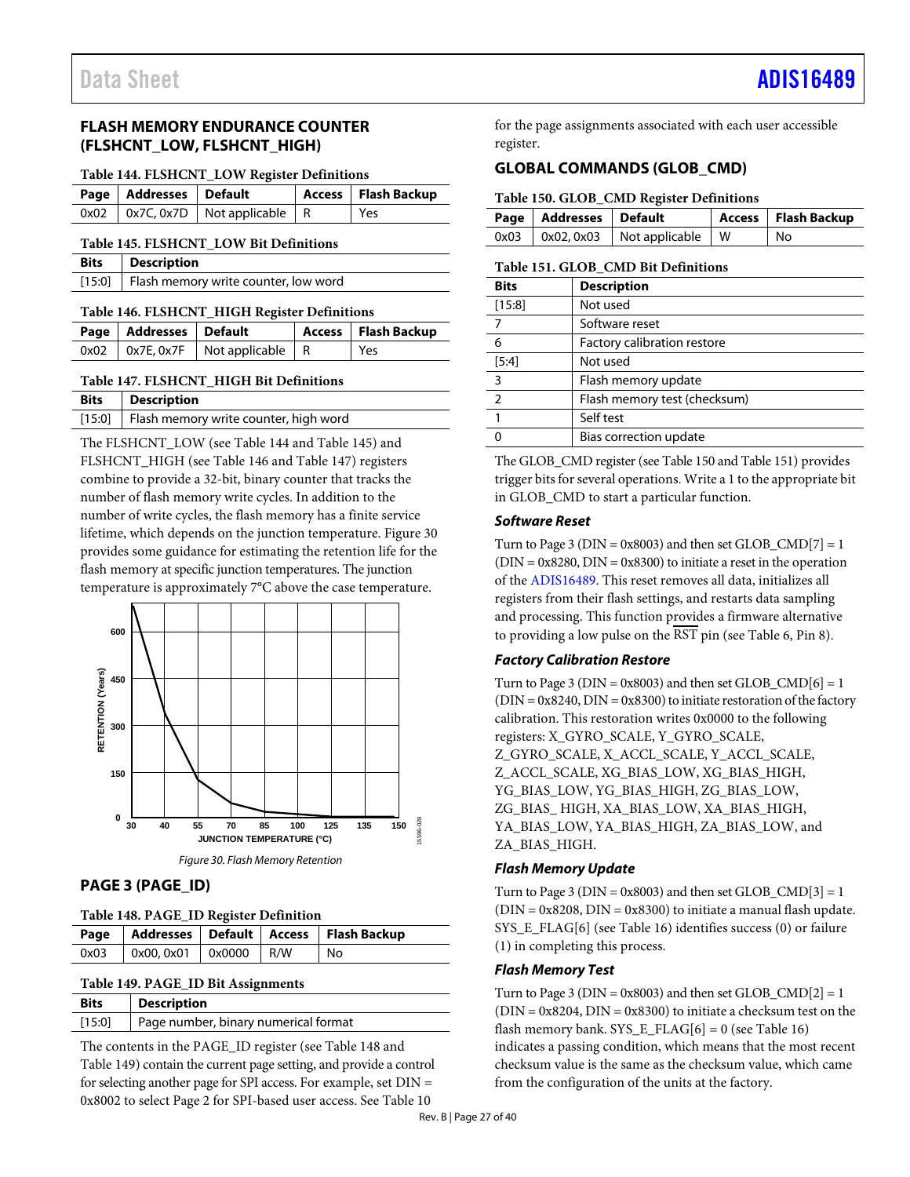# <span id="page-26-0"></span>**FLASH MEMORY ENDURANCE COUNTER (FLSHCNT\_LOW, FLSHCNT\_HIGH)**

#### <span id="page-26-4"></span>**Table 144. FLSHCNT\_LOW Register Definitions**

| Page   Addresses   Default |                                          | Access   Flash Backup |
|----------------------------|------------------------------------------|-----------------------|
|                            | $0x02$   0x7C, 0x7D   Not applicable   R | Yes                   |

### <span id="page-26-5"></span>**Table 145. FLSHCNT\_LOW Bit Definitions**

| Bits   Description                          |
|---------------------------------------------|
| [15:0] Flash memory write counter, low word |

#### <span id="page-26-6"></span>**Table 146. FLSHCNT\_HIGH Register Definitions**

| Page   Addresses   Default |                                          | Access   Flash Backup |
|----------------------------|------------------------------------------|-----------------------|
|                            | $0x02$   0x7E, 0x7F   Not applicable   R | Yes                   |

#### <span id="page-26-7"></span>**Table 147. FLSHCNT\_HIGH Bit Definitions**

| <b>Bits</b>   Description                      |
|------------------------------------------------|
| [15:0]   Flash memory write counter, high word |

The FLSHCNT\_LOW (se[e Table 144](#page-26-4) an[d Table 145\)](#page-26-5) and FLSHCNT\_HIGH (se[e Table 146](#page-26-6) an[d Table 147\)](#page-26-7) registers combine to provide a 32-bit, binary counter that tracks the number of flash memory write cycles. In addition to the number of write cycles, the flash memory has a finite service lifetime, which depends on the junction temperature[. Figure 30](#page-26-8) provides some guidance for estimating the retention life for the flash memory at specific junction temperatures. The junction temperature is approximately 7°C above the case temperature.



### *Figure 30. Flash Memory Retention*

## <span id="page-26-8"></span><span id="page-26-1"></span>**PAGE 3 (PAGE\_ID)**

<span id="page-26-9"></span>**Table 148. PAGE\_ID Register Definition**

|      |                                                             |  | Page   Addresses   Default   Access   Flash Backup |
|------|-------------------------------------------------------------|--|----------------------------------------------------|
| 0x03 | $\sqrt{0 \times 00.0 \times 01}$ $\sqrt{0 \times 0000}$ R/W |  | No                                                 |

#### <span id="page-26-10"></span>**Table 149. PAGE\_ID Bit Assignments**

| <b>Bits</b> | <b>Description</b>                            |
|-------------|-----------------------------------------------|
|             | [15:0]   Page number, binary numerical format |

The contents in the PAGE\_ID register (see [Table 148](#page-26-9) and [Table](#page-26-10) 149) contain the current page setting, and provide a control for selecting another page for SPI access. For example, set DIN = 0x8002 to select Page 2 for SPI-based user access. Se[e Table 10](#page-12-1)

for the page assignments associated with each user accessible register.

# <span id="page-26-2"></span>**GLOBAL COMMANDS (GLOB\_CMD)**

#### <span id="page-26-11"></span>**Table 150. GLOB\_CMD Register Definitions**

| Page   Addresses   Default |                                            | Access   Flash Backup |
|----------------------------|--------------------------------------------|-----------------------|
|                            | $0x03$   $0x02, 0x03$   Not applicable   W | l No                  |

#### <span id="page-26-3"></span>**Table 151. GLOB\_CMD Bit Definitions**

| <b>Bits</b>    | <b>Description</b>           |
|----------------|------------------------------|
| [15:8]         | Not used                     |
| 7              | Software reset               |
| 6              | Factory calibration restore  |
| $[5:4]$        | Not used                     |
| 3              | Flash memory update          |
| $\overline{2}$ | Flash memory test (checksum) |
|                | Self test                    |
|                | Bias correction update       |

The GLOB\_CMD register (se[e Table 150](#page-26-11) an[d Table 151\)](#page-26-3) provides trigger bits for several operations. Write a 1 to the appropriate bit in GLOB\_CMD to start a particular function.

#### *Software Reset*

Turn to Page 3 ( $DIN = 0x8003$ ) and then set  $GLOB_CMD[7] = 1$  $(DIN = 0x8280, DIN = 0x8300)$  to initiate a reset in the operation of the [ADIS16489.](http://www.analog.com/ADIS16489?doc=ADIS16489.pdf) This reset removes all data, initializes all registers from their flash settings, and restarts data sampling and processing. This function provides a firmware alternative to providing a low pulse on the  $\overline{\text{RST}}$  pin (see [Table 6,](#page-8-1) Pin 8).

### *Factory Calibration Restore*

Turn to Page 3 ( $DIN = 0x8003$ ) and then set  $GLOB\_CMD[6] = 1$  $(DIN = 0x8240, DIN = 0x8300)$  to initiate restoration of the factory calibration. This restoration writes 0x0000 to the following registers: X\_GYRO\_SCALE, Y\_GYRO\_SCALE, Z\_GYRO\_SCALE, X\_ACCL\_SCALE, Y\_ACCL\_SCALE, Z\_ACCL\_SCALE, XG\_BIAS\_LOW, XG\_BIAS\_HIGH, YG\_BIAS\_LOW, YG\_BIAS\_HIGH, ZG\_BIAS\_LOW, ZG\_BIAS\_ HIGH, XA\_BIAS\_LOW, XA\_BIAS\_HIGH, YA\_BIAS\_LOW, YA\_BIAS\_HIGH, ZA\_BIAS\_LOW, and ZA\_BIAS\_HIGH.

### *Flash Memory Update*

Turn to Page 3 ( $DIN = 0x8003$ ) and then set  $GLOB\_CMD[3] = 1$  $(DIN = 0x8208, DIN = 0x8300)$  to initiate a manual flash update. SYS\_E\_FLAG[6] (se[e Table 16\)](#page-15-7) identifies success (0) or failure (1) in completing this process.

### *Flash Memory Test*

Turn to Page 3 ( $DIN = 0x8003$ ) and then set GLOB  $\text{CMD}[2] = 1$  $(DIN = 0x8204, DIN = 0x8300)$  to initiate a checksum test on the flash memory bank. SYS\_E\_FLAG[6] = 0 (see [Table 16\)](#page-15-7) indicates a passing condition, which means that the most recent checksum value is the same as the checksum value, which came from the configuration of the units at the factory.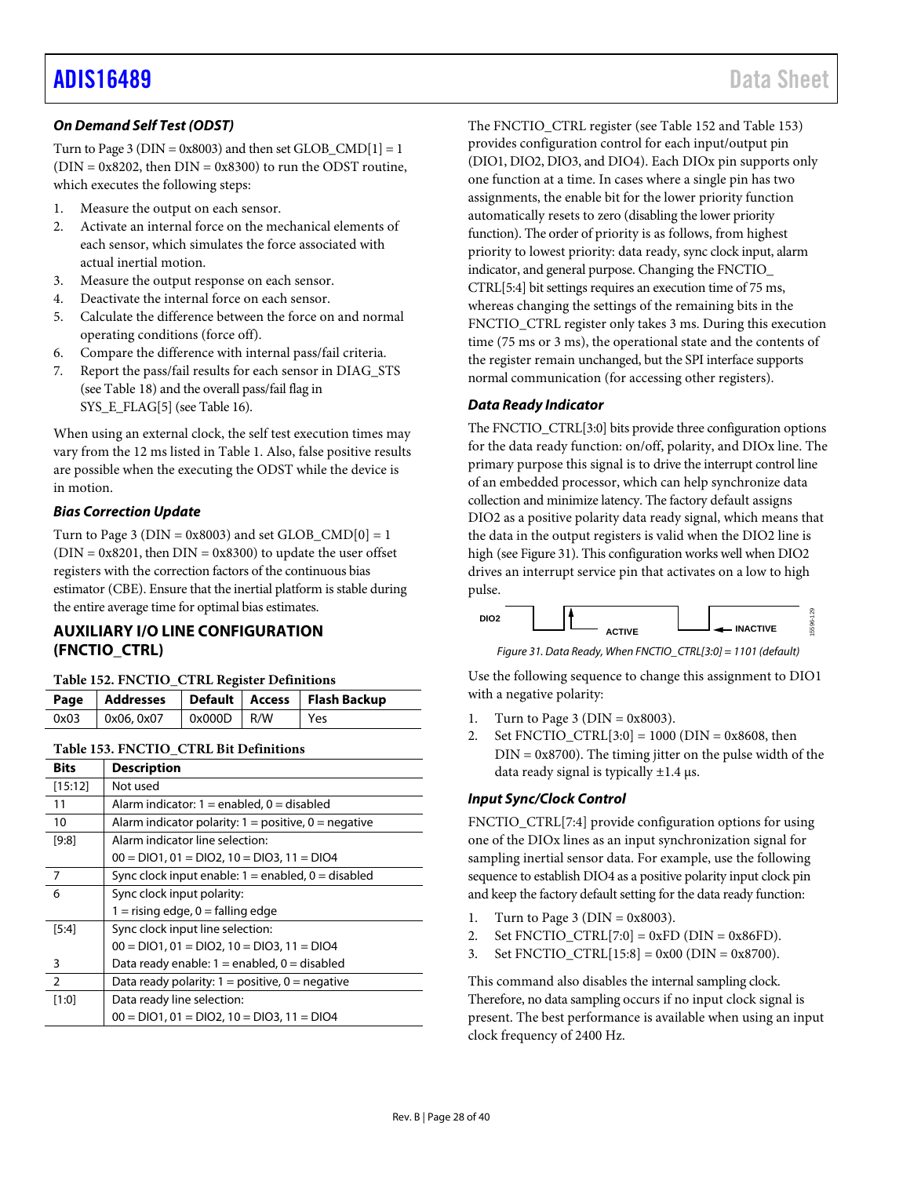# *On Demand Self Test (ODST)*

Turn to Page 3 ( $DIN = 0x8003$ ) and then set  $GLOB\_CMD[1] = 1$  $(DIN = 0x8202,$  then  $DIN = 0x8300)$  to run the ODST routine, which executes the following steps:

- 1. Measure the output on each sensor.
- 2. Activate an internal force on the mechanical elements of each sensor, which simulates the force associated with actual inertial motion.
- 3. Measure the output response on each sensor.
- 4. Deactivate the internal force on each sensor.
- 5. Calculate the difference between the force on and normal operating conditions (force off).
- 6. Compare the difference with internal pass/fail criteria.
- 7. Report the pass/fail results for each sensor in DIAG\_STS (see [Table 18\)](#page-16-3) and the overall pass/fail flag in SYS\_E\_FLAG[5] (se[e Table 16\)](#page-15-7).

When using an external clock, the self test execution times may vary from the 12 ms listed in [Table 1.](#page-3-1) Also, false positive results are possible when the executing the ODST while the device is in motion.

# *Bias Correction Update*

Turn to Page 3 ( $DIN = 0x8003$ ) and set GLOB  $CMD[0] = 1$  $(DIN = 0x8201,$  then  $DIN = 0x8300$  to update the user offset registers with the correction factors of the continuous bias estimator (CBE). Ensure that the inertial platform is stable during the entire average time for optimal bias estimates.

# <span id="page-27-0"></span>**AUXILIARY I/O LINE CONFIGURATION (FNCTIO\_CTRL)**

### <span id="page-27-3"></span>**Table 152. FNCTIO\_CTRL Register Definitions**

|      |            |              | Page   Addresses   Default   Access   Flash Backup |
|------|------------|--------------|----------------------------------------------------|
| 0x03 | 0x06, 0x07 | $0x000D$ R/W | Yes                                                |

### <span id="page-27-1"></span>**Table 153. FNCTIO\_CTRL Bit Definitions**

| <b>Bits</b>   | <b>Description</b>                                       |
|---------------|----------------------------------------------------------|
| [15:12]       | Not used                                                 |
| 11            | Alarm indicator: $1 =$ enabled, $0 =$ disabled           |
| 10            | Alarm indicator polarity: $1 =$ positive, $0 =$ negative |
| [9:8]         | Alarm indicator line selection:                          |
|               | $00 = DIO1, 01 = DIO2, 10 = DIO3, 11 = DIO4$             |
| 7             | Sync clock input enable: $1 =$ enabled, $0 =$ disabled   |
| 6             | Sync clock input polarity:                               |
|               | $1 =$ rising edge, $0 =$ falling edge                    |
| [5:4]         | Sync clock input line selection:                         |
|               | $00 = DIO1, 01 = DIO2, 10 = DIO3, 11 = DIO4$             |
| 3             | Data ready enable: $1 =$ enabled, $0 =$ disabled         |
| $\mathcal{P}$ | Data ready polarity: $1 =$ positive, $0 =$ negative      |
| [1:0]         | Data ready line selection:                               |
|               | $00 = DIO1, 01 = DIO2, 10 = DIO3, 11 = DIO4$             |

The FNCTIO\_CTRL register (se[e Table 152](#page-27-3) an[d Table 153\)](#page-27-1) provides configuration control for each input/output pin (DIO1, DIO2, DIO3, and DIO4). Each DIOx pin supports only one function at a time. In cases where a single pin has two assignments, the enable bit for the lower priority function automatically resets to zero (disabling the lower priority function). The order of priority is as follows, from highest priority to lowest priority: data ready, sync clock input, alarm indicator, and general purpose. Changing the FNCTIO\_ CTRL[5:4] bit settings requires an execution time of 75 ms, whereas changing the settings of the remaining bits in the FNCTIO\_CTRL register only takes 3 ms. During this execution time (75 ms or 3 ms), the operational state and the contents of the register remain unchanged, but the SPI interface supports normal communication (for accessing other registers).

# *Data Ready Indicator*

The FNCTIO\_CTRL[3:0] bits provide three configuration options for the data ready function: on/off, polarity, and DIOx line. The primary purpose this signal is to drive the interrupt control line of an embedded processor, which can help synchronize data collection and minimize latency. The factory default assigns DIO2 as a positive polarity data ready signal, which means that the data in the output registers is valid when the DIO2 line is high (se[e Figure 31\)](#page-27-2). This configuration works well when DIO2 drives an interrupt service pin that activates on a low to high pulse.



*Figure 31. Data Ready, When FNCTIO\_CTRL[3:0] = 1101 (default)*

<span id="page-27-2"></span>Use the following sequence to change this assignment to DIO1 with a negative polarity:

- 1. Turn to Page 3 ( $DIN = 0x8003$ ).
- 2. Set FNCTIO\_CTRL $[3:0] = 1000$  (DIN = 0x8608, then  $DIN = 0x8700$ . The timing jitter on the pulse width of the data ready signal is typically  $\pm 1.4$  µs.

# *Input Sync/Clock Control*

FNCTIO\_CTRL[7:4] provide configuration options for using one of the DIOx lines as an input synchronization signal for sampling inertial sensor data. For example, use the following sequence to establish DIO4 as a positive polarity input clock pin and keep the factory default setting for the data ready function:

- 1. Turn to Page 3 ( $DIN = 0x8003$ ).
- 2. Set FNCTIO\_CTRL[7:0] =  $0xFD$  (DIN =  $0x86FD$ ).
- 3. Set FNCTIO\_CTRL $[15:8] = 0x00$  (DIN = 0x8700).

This command also disables the internal sampling clock. Therefore, no data sampling occurs if no input clock signal is present. The best performance is available when using an input clock frequency of 2400 Hz.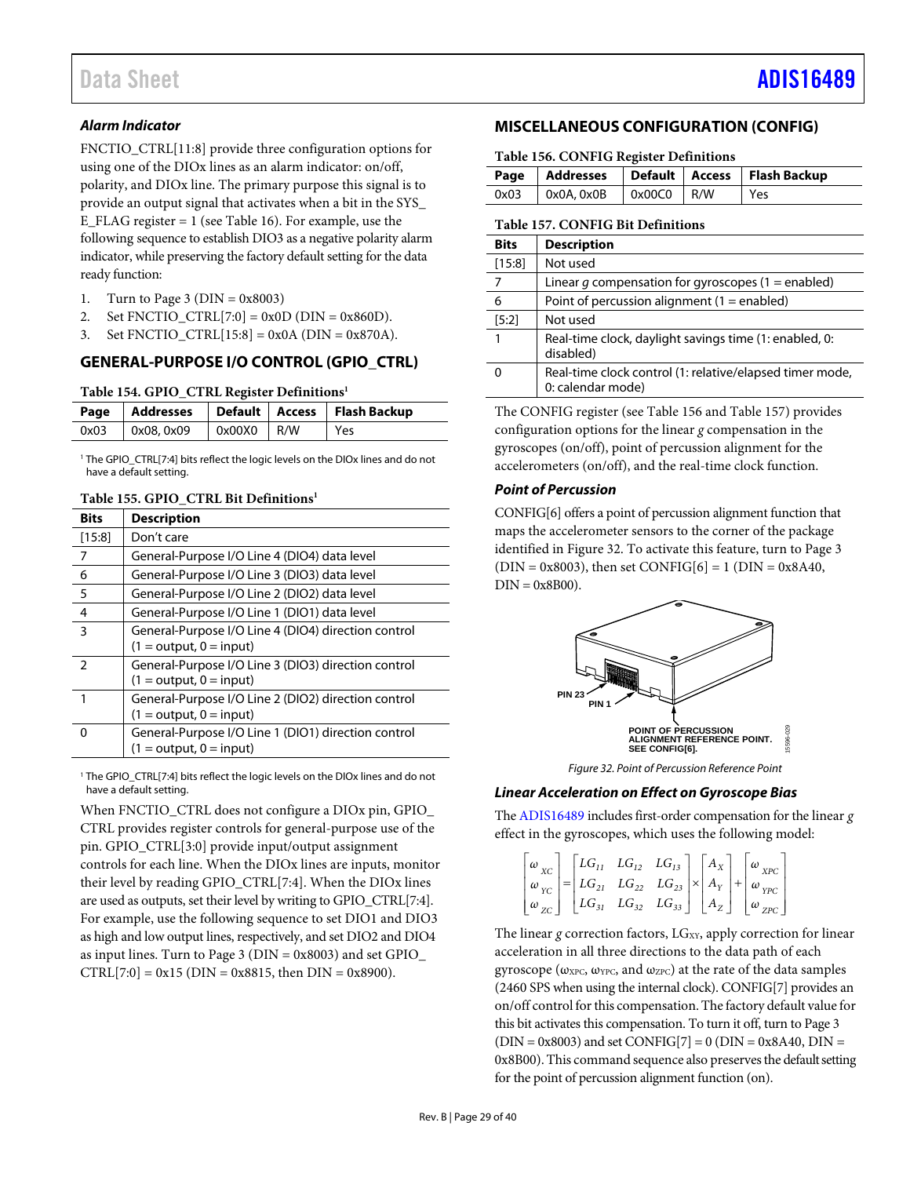# *Alarm Indicator*

FNCTIO\_CTRL[11:8] provide three configuration options for using one of the DIOx lines as an alarm indicator: on/off, polarity, and DIOx line. The primary purpose this signal is to provide an output signal that activates when a bit in the SYS\_ E\_FLAG register = 1 (see [Table 16\)](#page-15-7). For example, use the following sequence to establish DIO3 as a negative polarity alarm indicator, while preserving the factory default setting for the data ready function:

- 1. Turn to Page 3 ( $DIN = 0x8003$ )
- 2. Set FNCTIO\_CTRL[7:0] =  $0x0D$  (DIN =  $0x860D$ ).
- 3. Set FNCTIO\_CTRL $[15:8] = 0x0A$  (DIN = 0x870A).

# <span id="page-28-0"></span>**GENERAL-PURPOSE I/O CONTROL (GPIO\_CTRL)**

#### **Table 154. GPIO\_CTRL Register Definitions1**

|      |           |              | Page   Addresses   Default   Access   Flash Backup |
|------|-----------|--------------|----------------------------------------------------|
| 0x03 | 0x08.0x09 | $0x00X0$ R/W | Yes                                                |

<sup>1</sup> The GPIO\_CTRL[7:4] bits reflect the logic levels on the DIOx lines and do not have a default setting.

#### **Table 155. GPIO\_CTRL Bit Definitions1**

| <b>Bits</b>    | <b>Description</b>                                  |
|----------------|-----------------------------------------------------|
| $[15:8]$       | Don't care                                          |
| 7              | General-Purpose I/O Line 4 (DIO4) data level        |
| 6              | General-Purpose I/O Line 3 (DIO3) data level        |
| 5              | General-Purpose I/O Line 2 (DIO2) data level        |
| $\overline{4}$ | General-Purpose I/O Line 1 (DIO1) data level        |
| 3              | General-Purpose I/O Line 4 (DIO4) direction control |
|                | $(1 = output, 0 = input)$                           |
| $\mathcal{P}$  | General-Purpose I/O Line 3 (DIO3) direction control |
|                | $(1 = output, 0 = input)$                           |
|                | General-Purpose I/O Line 2 (DIO2) direction control |
|                | $(1 = output, 0 = input)$                           |
| n              | General-Purpose I/O Line 1 (DIO1) direction control |
|                | $(1 = output, 0 = input)$                           |

<sup>1</sup> The GPIO\_CTRL[7:4] bits reflect the logic levels on the DIOx lines and do not have a default setting.

When FNCTIO\_CTRL does not configure a DIOx pin, GPIO\_ CTRL provides register controls for general-purpose use of the pin. GPIO\_CTRL[3:0] provide input/output assignment controls for each line. When the DIOx lines are inputs, monitor their level by reading GPIO\_CTRL[7:4]. When the DIOx lines are used as outputs, set their level by writing to GPIO\_CTRL[7:4]. For example, use the following sequence to set DIO1 and DIO3 as high and low output lines, respectively, and set DIO2 and DIO4 as input lines. Turn to Page 3 (DIN = 0x8003) and set GPIO\_  $CTRL[7:0] = 0x15$  (DIN = 0x8815, then DIN = 0x8900).

# <span id="page-28-1"></span>**MISCELLANEOUS CONFIGURATION (CONFIG)**

#### <span id="page-28-3"></span>**Table 156. CONFIG Register Definitions**

|                                        |  | Page   Addresses   Default   Access   Flash Backup |
|----------------------------------------|--|----------------------------------------------------|
|                                        |  |                                                    |
| $0x03$   $0x0A, 0x0B$   $0x00C0$   R/W |  | l Yes                                              |

#### <span id="page-28-2"></span>**Table 157. CONFIG Bit Definitions**

| <b>Bits</b> | <b>Description</b>                                                            |
|-------------|-------------------------------------------------------------------------------|
| [15:8]      | Not used                                                                      |
| 7           | Linear $g$ compensation for gyroscopes (1 = enabled)                          |
| 6           | Point of percussion alignment $(1 =$ enabled)                                 |
| [5:2]       | Not used                                                                      |
|             | Real-time clock, daylight savings time (1: enabled, 0:<br>disabled)           |
| O           | Real-time clock control (1: relative/elapsed timer mode,<br>0: calendar mode) |

The CONFIG register (se[e Table 156](#page-28-3) an[d Table 157\)](#page-28-2) provides configuration options for the linear *g* compensation in the gyroscopes (on/off), point of percussion alignment for the accelerometers (on/off), and the real-time clock function.

## *Point of Percussion*

CONFIG[6] offers a point of percussion alignment function that maps the accelerometer sensors to the corner of the package identified i[n Figure 32.](#page-28-4) To activate this feature, turn to Page 3  $(DIN = 0x8003)$ , then set CONFIG[6] = 1 (DIN = 0x8A40,  $DIN = 0x8B00$ ).



*Figure 32. Point of Percussion Reference Point*

# <span id="page-28-4"></span>*Linear Acceleration on Effect on Gyroscope Bias*

Th[e ADIS16489](http://www.analog.com/ADIS16489?doc=ADIS16489.pdf) includes first-order compensation for the linear *g* effect in the gyroscopes, which uses the following model:

|  |  | $\begin{bmatrix} \omega_{XC} \\ \omega_{YC} \\ \omega_{ZC} \end{bmatrix} = \begin{bmatrix} LG_{11} & LG_{12} & LG_{13} \\ LG_{21} & LG_{22} & LG_{23} \\ LG_{31} & LG_{32} & LG_{33} \end{bmatrix} \times \begin{bmatrix} A_X \\ A_Y \\ A_Z \end{bmatrix} + \begin{bmatrix} \omega_{XPC} \\ \omega_{YPC} \\ \omega_{ZPC} \end{bmatrix}$ |  |  |
|--|--|-----------------------------------------------------------------------------------------------------------------------------------------------------------------------------------------------------------------------------------------------------------------------------------------------------------------------------------------|--|--|
|  |  |                                                                                                                                                                                                                                                                                                                                         |  |  |
|  |  |                                                                                                                                                                                                                                                                                                                                         |  |  |

The linear *g* correction factors, LG<sub>XY</sub>, apply correction for linear acceleration in all three directions to the data path of each gyroscope ( $\omega_{\text{XPC}}$ ,  $\omega_{\text{YPC}}$ , and  $\omega_{\text{ZPC}}$ ) at the rate of the data samples (2460 SPS when using the internal clock). CONFIG[7] provides an on/off control for this compensation. The factory default value for this bit activates this compensation. To turn it off, turn to Page 3  $(DIN = 0x8003)$  and set CONFIG[7] = 0 (DIN = 0x8A40, DIN = 0x8B00). This command sequence also preserves the default setting for the point of percussion alignment function (on).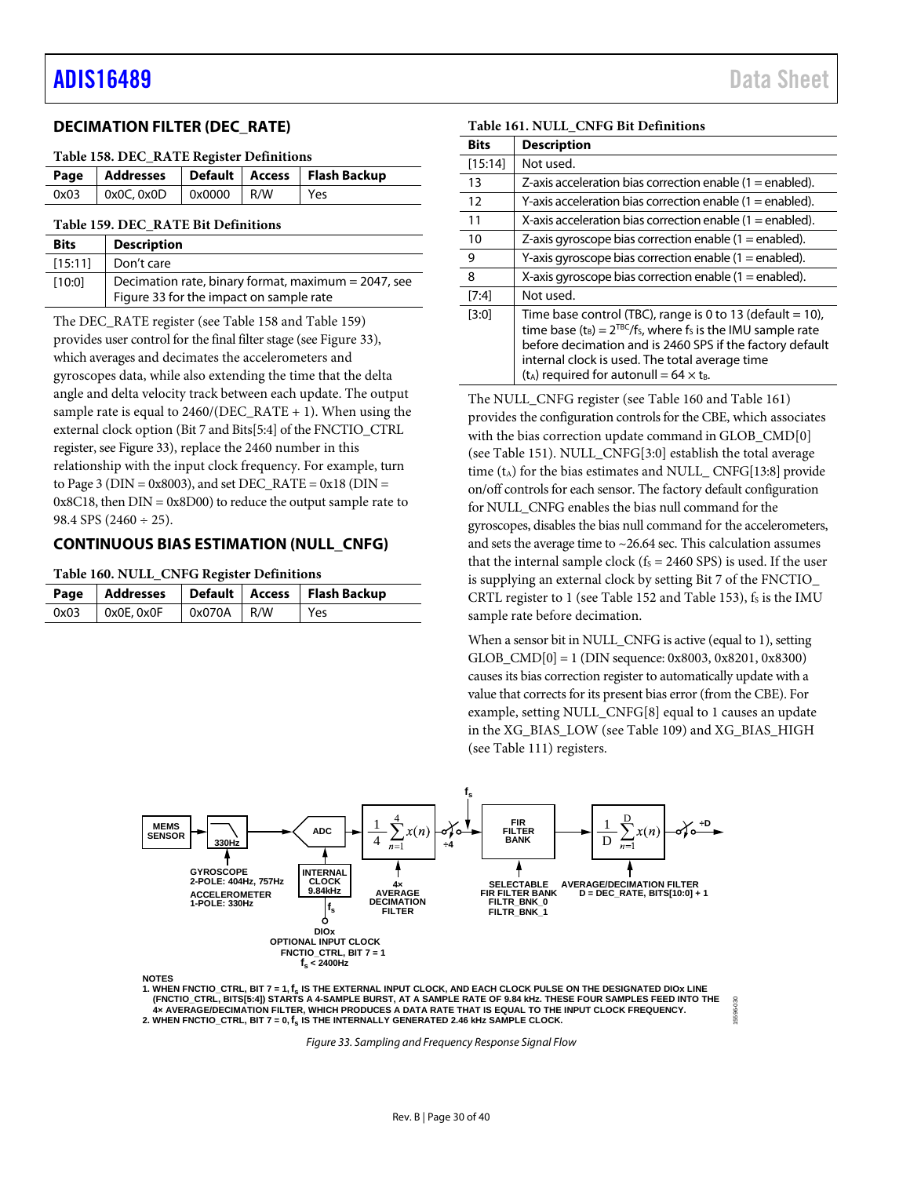# <span id="page-29-0"></span>**DECIMATION FILTER (DEC\_RATE)**

#### <span id="page-29-4"></span>**Table 158. DEC\_RATE Register Definitions**

|                                  |  | Page   Addresses   Default   Access   Flash Backup |
|----------------------------------|--|----------------------------------------------------|
| 0x03   0x0C, 0x0D   0x0000   R/W |  | Yes                                                |

#### <span id="page-29-2"></span>**Table 159. DEC\_RATE Bit Definitions**

| <b>Bits</b> | <b>Description</b>                                                                             |
|-------------|------------------------------------------------------------------------------------------------|
| [15:11]     | Don't care                                                                                     |
| [10:0]      | Decimation rate, binary format, maximum = 2047, see<br>Figure 33 for the impact on sample rate |

The DEC\_RATE register (see [Table 158](#page-29-4) and [Table 159\)](#page-29-2) provides user control for the final filter stage (se[e Figure 33\)](#page-29-3), which averages and decimates the accelerometers and gyroscopes data, while also extending the time that the delta angle and delta velocity track between each update. The output sample rate is equal to  $2460/(\text{DEC RATE} + 1)$ . When using the external clock option (Bit 7 and Bits[5:4] of the FNCTIO\_CTRL register, se[e Figure 33\)](#page-29-3), replace the 2460 number in this relationship with the input clock frequency. For example, turn to Page 3 ( $DIN = 0x8003$ ), and set  $DEC_RATE = 0x18$  ( $DIN =$  $0x8C18$ , then  $DIN = 0x8D00$  to reduce the output sample rate to 98.4 SPS (2460  $\div$  25).

## <span id="page-29-1"></span>**CONTINUOUS BIAS ESTIMATION (NULL\_CNFG)**

#### <span id="page-29-5"></span>**Table 160. NULL\_CNFG Register Definitions**

|      |                   |            | Page   Addresses   Default   Access   Flash Backup |
|------|-------------------|------------|----------------------------------------------------|
| 0x03 | $\mid$ 0x0E, 0x0F | 0x070A R/W | Yes                                                |

| <b>Bits</b> | <b>Description</b>                                                                                                                                                                                                                                                                                             |
|-------------|----------------------------------------------------------------------------------------------------------------------------------------------------------------------------------------------------------------------------------------------------------------------------------------------------------------|
|             |                                                                                                                                                                                                                                                                                                                |
| [15:14]     | Not used.                                                                                                                                                                                                                                                                                                      |
| 13          | Z-axis acceleration bias correction enable $(1 = \text{enable})$ .                                                                                                                                                                                                                                             |
| 12          | Y-axis acceleration bias correction enable (1 = enabled).                                                                                                                                                                                                                                                      |
| 11          | X-axis acceleration bias correction enable $(1 = \text{enabeled})$ .                                                                                                                                                                                                                                           |
| 10          | Z-axis gyroscope bias correction enable $(1 = \text{enabeled})$ .                                                                                                                                                                                                                                              |
| 9           | Y-axis gyroscope bias correction enable $(1 = \text{enabeled})$ .                                                                                                                                                                                                                                              |
| 8           | X-axis gyroscope bias correction enable $(1 = \text{enabeled})$ .                                                                                                                                                                                                                                              |
| [7:4]       | Not used.                                                                                                                                                                                                                                                                                                      |
| $[3:0]$     | Time base control (TBC), range is 0 to 13 (default $=$ 10),<br>time base $(t_B) = 2^{TBC}/f_S$ , where fs is the IMU sample rate<br>before decimation and is 2460 SPS if the factory default<br>internal clock is used. The total average time<br>$(t_A)$ required for autonull = 64 $\times$ t <sub>B</sub> . |

<span id="page-29-6"></span>**Table 161. NULL\_CNFG Bit Definitions**

The NULL\_CNFG register (see [Table 160](#page-29-5) and [Table 161\)](#page-29-6) provides the configuration controls for the CBE, which associates with the bias correction update command in GLOB\_CMD[0] (see [Table 151\)](#page-26-3). NULL\_CNFG[3:0] establish the total average time  $(t_A)$  for the bias estimates and NULL CNFG[13:8] provide on/off controls for each sensor. The factory default configuration for NULL\_CNFG enables the bias null command for the gyroscopes, disables the bias null command for the accelerometers, and sets the average time to  $\sim$ 26.64 sec. This calculation assumes that the internal sample clock ( $f_s = 2460$  SPS) is used. If the user is supplying an external clock by setting Bit 7 of the FNCTIO\_ CRTL register to 1 (se[e Table 152](#page-27-3) an[d Table 153\)](#page-27-1),  $f_s$  is the IMU sample rate before decimation.

When a sensor bit in NULL\_CNFG is active (equal to 1), setting GLOB\_CMD[0] = 1 (DIN sequence: 0x8003, 0x8201, 0x8300) causes its bias correction register to automatically update with a value that corrects for its present bias error (from the CBE). For example, setting NULL\_CNFG[8] equal to 1 causes an update in the XG\_BIAS\_LOW (see [Table 109\)](#page-23-0) and XG\_BIAS\_HIGH (see [Table 111\)](#page-23-15) registers.

15596-030

30



<span id="page-29-3"></span>**1. WHEN FNCTIO\_CTRL, BIT 7 = 1,fs IS THE EXTERNAL INPUT CLOCK, AND EACH CLOCK PULSE ON THE DESIGNATED DIOx LINE** (FNCTIO\_CTRL, BITS[5:4]) STARTS A 4-SAMPLE BURST, AT A SAMPLE RATE OF 9.84 kHz. THESE FOUR SAMPLES FEED INTO THE<br>4× AVERAGE/DECIMATION FILTER, WHICH PRODUCES A DATA RATE THAT IS EQUAL TO THE INPUT CLOCK FREQUENCY. 2. WHEN FNCTIO\_CTRL, BIT  $7 = 0, f_s$  IS THE INTERNALLY GENERATED 2.46 KHz SAMPLE CLOCK.

*Figure 33. Sampling and Frequency Response Signal Flow*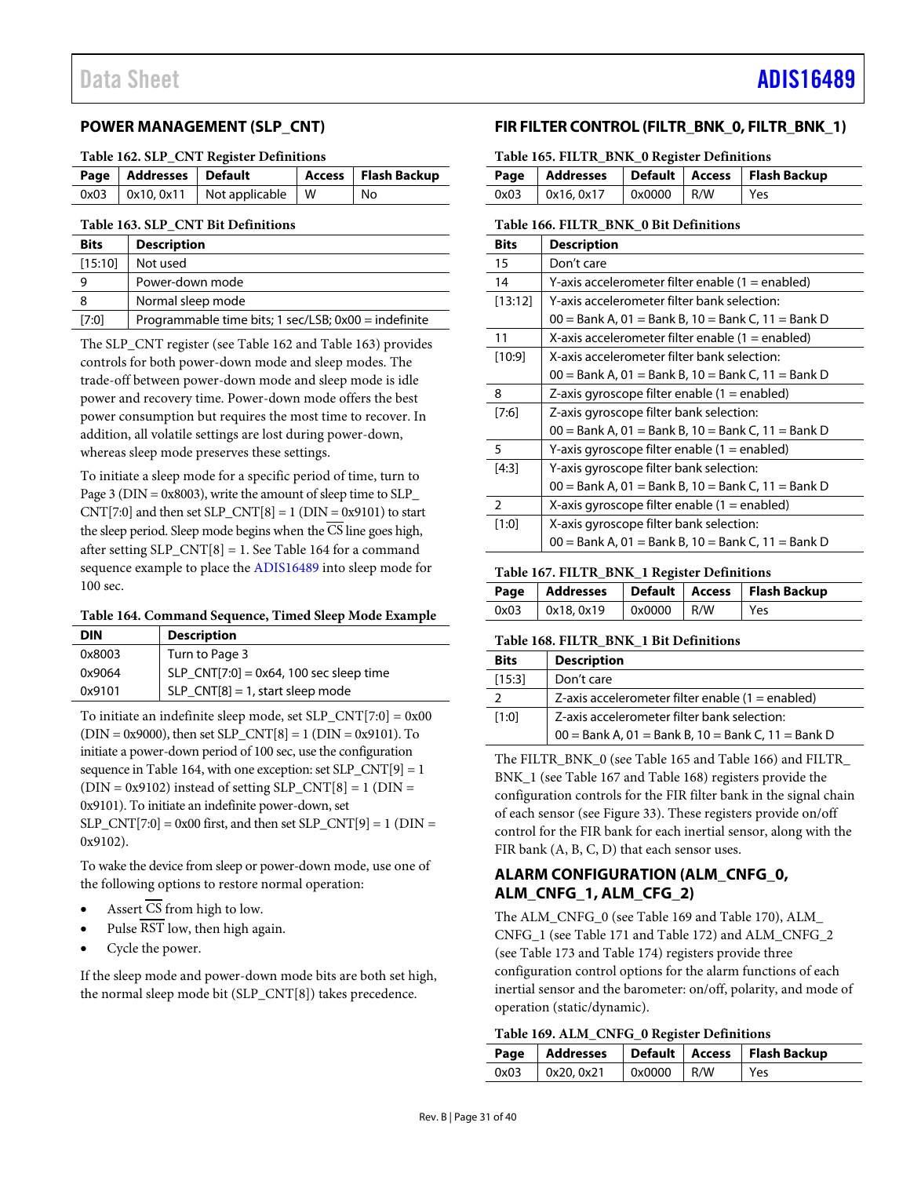# <span id="page-30-0"></span>**POWER MANAGEMENT (SLP\_CNT)**

<span id="page-30-3"></span>

| Page   Addresses   Default |                                            | Access   Flash Backup |
|----------------------------|--------------------------------------------|-----------------------|
|                            | $0x03$   $0x10, 0x11$   Not applicable   W | No                    |

#### <span id="page-30-4"></span>**Table 163. SLP\_CNT Bit Definitions**

| <b>Bits</b> | <b>Description</b>                                   |
|-------------|------------------------------------------------------|
| [15:10]     | Not used                                             |
| 9           | Power-down mode                                      |
| 8           | Normal sleep mode                                    |
| [7:0]       | Programmable time bits; 1 sec/LSB; 0x00 = indefinite |

The SLP\_CNT register (see [Table 162](#page-30-3) an[d Table 163\)](#page-30-4) provides controls for both power-down mode and sleep modes. The trade-off between power-down mode and sleep mode is idle power and recovery time. Power-down mode offers the best power consumption but requires the most time to recover. In addition, all volatile settings are lost during power-down, whereas sleep mode preserves these settings.

To initiate a sleep mode for a specific period of time, turn to Page 3 ( $DIN = 0x8003$ ), write the amount of sleep time to SLP CNT[7:0] and then set  $SLP$ \_CNT[8] = 1 (DIN = 0x9101) to start the sleep period. Sleep mode begins when the CS line goes high, after setting SLP  $CNT[8] = 1$ . See [Table 164](#page-30-5) for a command sequence example to place th[e ADIS16489](http://www.analog.com/ADIS16489?doc=ADIS16489.pdf) into sleep mode for 100 sec.

<span id="page-30-5"></span>**Table 164. Command Sequence, Timed Sleep Mode Example**

| <b>DIN</b> | <b>Description</b>                      |
|------------|-----------------------------------------|
| 0x8003     | Turn to Page 3                          |
| 0x9064     | SLP_CNT[7:0] = 0x64, 100 sec sleep time |
| 0x9101     | $SLP_CNT[8] = 1$ , start sleep mode     |
|            |                                         |

To initiate an indefinite sleep mode, set SLP\_CNT[7:0] = 0x00  $(DIN = 0x9000)$ , then set  $SLP_CNT[8] = 1$   $(DIN = 0x9101)$ . To initiate a power-down period of 100 sec, use the configuration sequence i[n Table 164,](#page-30-5) with one exception: set  $SLP$   $CNT[9] = 1$  $(DIN = 0x9102)$  instead of setting SLP\_CNT[8] = 1 (DIN = 0x9101). To initiate an indefinite power-down, set  $SLP_CNT[7:0] = 0x00$  first, and then set  $SLP_CNT[9] = 1$  (DIN = 0x9102).

To wake the device from sleep or power-down mode, use one of the following options to restore normal operation:

- Assert  $\overline{\text{CS}}$  from high to low.
- Pulse RST low, then high again.
- Cycle the power.

If the sleep mode and power-down mode bits are both set high, the normal sleep mode bit (SLP\_CNT[8]) takes precedence.

# <span id="page-30-1"></span>**FIR FILTER CONTROL (FILTR\_BNK\_0, FILTR\_BNK\_1)**

<span id="page-30-6"></span>**Table 165. FILTR\_BNK\_0 Register Definitions**

|      |            |                     | Page   Addresses   Default   Access   Flash Backup |
|------|------------|---------------------|----------------------------------------------------|
| 0x03 | 0x16, 0x17 | $0 \times 0000$ R/W | Yes                                                |

#### <span id="page-30-7"></span>**Table 166. FILTR\_BNK\_0 Bit Definitions**

| <b>Bits</b> | <b>Description</b>                                   |
|-------------|------------------------------------------------------|
| 15          | Don't care                                           |
| 14          | Y-axis accelerometer filter enable (1 = enabled)     |
| [13:12]     | Y-axis accelerometer filter bank selection:          |
|             | $00 =$ Bank A, 01 = Bank B, 10 = Bank C, 11 = Bank D |
| 11          | X-axis accelerometer filter enable (1 = enabled)     |
| [10:9]      | X-axis accelerometer filter bank selection:          |
|             | $00 =$ Bank A, 01 = Bank B, 10 = Bank C, 11 = Bank D |
| 8           | Z-axis gyroscope filter enable (1 = enabled)         |
| [7:6]       | Z-axis gyroscope filter bank selection:              |
|             | $00 =$ Bank A, 01 = Bank B, 10 = Bank C, 11 = Bank D |
| 5           | Y-axis gyroscope filter enable $(1 =$ enabled)       |
| [4:3]       | Y-axis gyroscope filter bank selection:              |
|             | $00 =$ Bank A, 01 = Bank B, 10 = Bank C, 11 = Bank D |
| 2           | X-axis gyroscope filter enable $(1 =$ enabled)       |
| [1:0]       | X-axis gyroscope filter bank selection:              |
|             | $00 =$ Bank A, 01 = Bank B, 10 = Bank C, 11 = Bank D |

#### <span id="page-30-8"></span>**Table 167. FILTR\_BNK\_1 Register Definitions**

|      |           |              | Page   Addresses   Default   Access   Flash Backup |
|------|-----------|--------------|----------------------------------------------------|
| 0x03 | 0x18.0x19 | $0x0000$ R/W | Yes                                                |

#### <span id="page-30-9"></span>**Table 168. FILTR\_BNK\_1 Bit Definitions**

| <b>Bits</b>   | <b>Description</b>                                   |
|---------------|------------------------------------------------------|
| [15:3]        | Don't care                                           |
| $\mathcal{P}$ | Z-axis accelerometer filter enable $(1 =$ enabled)   |
| [1:0]         | Z-axis accelerometer filter bank selection:          |
|               | $00 =$ Bank A, 01 = Bank B, 10 = Bank C, 11 = Bank D |

The FILTR\_BNK\_0 (se[e Table 165](#page-30-6) an[d Table 166\)](#page-30-7) and FILTR\_ BNK\_1 (se[e Table 167](#page-30-8) an[d Table 168\)](#page-30-9) registers provide the configuration controls for the FIR filter bank in the signal chain of each sensor (see [Figure 33\)](#page-29-3). These registers provide on/off control for the FIR bank for each inertial sensor, along with the FIR bank (A, B, C, D) that each sensor uses.

# <span id="page-30-2"></span>**ALARM CONFIGURATION (ALM\_CNFG\_0, ALM\_CNFG\_1, ALM\_CFG\_2)**

The ALM\_CNFG\_0 (se[e Table 169](#page-30-10) an[d Table 170\)](#page-31-0), ALM\_ CNFG\_1 (se[e Table 171](#page-31-2) an[d Table 172\)](#page-31-1) and ALM\_CNFG\_2 (see [Table 173](#page-31-3) and [Table 174\)](#page-32-5) registers provide three configuration control options for the alarm functions of each inertial sensor and the barometer: on/off, polarity, and mode of operation (static/dynamic).

#### <span id="page-30-10"></span>**Table 169. ALM\_CNFG\_0 Register Definitions**

|                       |                                            | Page   Addresses   Default   Access   Flash Backup |
|-----------------------|--------------------------------------------|----------------------------------------------------|
| $0x03$   $0x20, 0x21$ | $\sqrt{\alpha}$ 0x0000 $\sqrt{\alpha}$ R/W | l Yes                                              |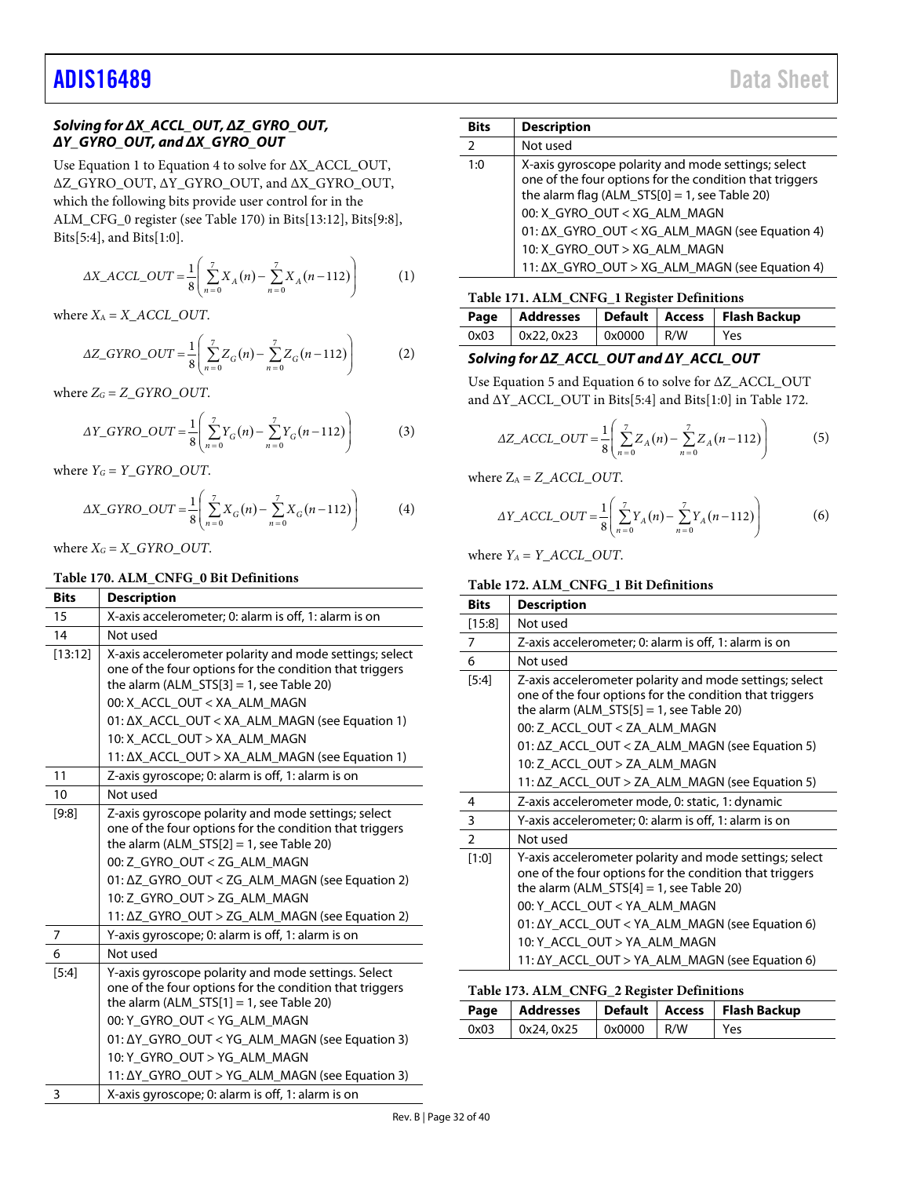# *Solving for ΔX\_ACCL\_OUT, ΔZ\_GYRO\_OUT, ΔY\_GYRO\_OUT, and ΔX\_GYRO\_OUT*

Use Equation 1 to Equation 4 to solve for ΔX\_ACCL\_OUT, ΔZ\_GYRO\_OUT, ΔY\_GYRO\_OUT, and ΔX\_GYRO\_OUT, which the following bits provide user control for in the ALM\_CFG\_0 register (see [Table 170\)](#page-31-0) in Bits[13:12], Bits[9:8], Bits[5:4], and Bits[1:0].

$$
\Delta X\_ACCL\_OUT = \frac{1}{8} \left( \sum_{n=0}^{7} X_A(n) - \sum_{n=0}^{7} X_A(n-112) \right) \tag{1}
$$

where  $X_A = X \_ACCL \_OUT$ .

$$
\Delta Z\_GYRO\_OUT = \frac{1}{8} \left( \sum_{n=0}^{7} Z_G(n) - \sum_{n=0}^{7} Z_G(n-112) \right) \tag{2}
$$

where  $Z_G = Z_GYRO_OUT$ .

$$
\Delta Y\_GYRO\_OUT = \frac{1}{8} \left( \sum_{n=0}^{7} Y_G(n) - \sum_{n=0}^{7} Y_G(n-112) \right)
$$
 (3)

where  $Y_G = Y_GYRO_OUT$ .

$$
\Delta X\_GYRO\_OUT = \frac{1}{8} \left( \sum_{n=0}^{7} X_G(n) - \sum_{n=0}^{7} X_G(n-112) \right) \tag{4}
$$

where  $X_G = X_GYRO\_OUT$ .

#### <span id="page-31-0"></span>**Table 170. ALM\_CNFG\_0 Bit Definitions**

| <b>Bits</b>    | <b>Description</b>                                                                                                                                                                                                                              |  |  |  |
|----------------|-------------------------------------------------------------------------------------------------------------------------------------------------------------------------------------------------------------------------------------------------|--|--|--|
| 15             | X-axis accelerometer; 0: alarm is off, 1: alarm is on                                                                                                                                                                                           |  |  |  |
| 14             | Not used                                                                                                                                                                                                                                        |  |  |  |
| [13:12]        | X-axis accelerometer polarity and mode settings; select<br>one of the four options for the condition that triggers<br>the alarm (ALM $STS[3] = 1$ , see Table 20)                                                                               |  |  |  |
|                | 00: X_ACCL_OUT < XA_ALM_MAGN                                                                                                                                                                                                                    |  |  |  |
|                | 01: ΔX_ACCL_OUT < XA_ALM_MAGN (see Equation 1)                                                                                                                                                                                                  |  |  |  |
|                | 10: X ACCL OUT > XA ALM MAGN                                                                                                                                                                                                                    |  |  |  |
|                | 11: ΔX_ACCL_OUT > XA_ALM_MAGN (see Equation 1)                                                                                                                                                                                                  |  |  |  |
| 11             | Z-axis gyroscope; 0: alarm is off, 1: alarm is on                                                                                                                                                                                               |  |  |  |
| 10             | Not used                                                                                                                                                                                                                                        |  |  |  |
| [9:8]          | Z-axis gyroscope polarity and mode settings; select<br>one of the four options for the condition that triggers<br>the alarm (ALM_STS $[2] = 1$ , see Table 20)                                                                                  |  |  |  |
|                | 00: Z GYRO OUT < ZG ALM MAGN                                                                                                                                                                                                                    |  |  |  |
|                | 01: ΔZ GYRO OUT < ZG ALM MAGN (see Equation 2)<br>10: Z GYRO OUT > ZG ALM MAGN                                                                                                                                                                  |  |  |  |
|                | 11: ΔZ_GYRO_OUT > ZG_ALM_MAGN (see Equation 2)                                                                                                                                                                                                  |  |  |  |
| $\overline{7}$ | Y-axis gyroscope; 0: alarm is off, 1: alarm is on                                                                                                                                                                                               |  |  |  |
| 6              | Not used                                                                                                                                                                                                                                        |  |  |  |
| [5:4]          | Y-axis gyroscope polarity and mode settings. Select<br>one of the four options for the condition that triggers<br>the alarm (ALM $STS[1] = 1$ , see Table 20)<br>00: Y GYRO OUT < YG ALM MAGN<br>01: ΔY_GYRO_OUT < YG_ALM_MAGN (see Equation 3) |  |  |  |
|                | 10: Y_GYRO_OUT > YG_ALM_MAGN                                                                                                                                                                                                                    |  |  |  |
|                | 11: ΔY_GYRO_OUT > YG_ALM_MAGN (see Equation 3)                                                                                                                                                                                                  |  |  |  |
| 3              | X-axis gyroscope; 0: alarm is off, 1: alarm is on                                                                                                                                                                                               |  |  |  |

| <b>Bits</b> | <b>Description</b>                                                                                                                                                                                                                                   |
|-------------|------------------------------------------------------------------------------------------------------------------------------------------------------------------------------------------------------------------------------------------------------|
| 2           | Not used                                                                                                                                                                                                                                             |
| 1:0         | X-axis gyroscope polarity and mode settings; select<br>one of the four options for the condition that triggers<br>the alarm flag $(ALM_STS[0] = 1$ , see Table 20)<br>00: X_GYRO_OUT < XG_ALM_MAGN<br>01: ΔX_GYRO_OUT < XG_ALM_MAGN (see Equation 4) |
|             | 10: X_GYRO_OUT > XG_ALM_MAGN                                                                                                                                                                                                                         |
|             | 11: ΔX_GYRO_OUT > XG_ALM_MAGN (see Equation 4)                                                                                                                                                                                                       |

#### <span id="page-31-2"></span>**Table 171. ALM\_CNFG\_1 Register Definitions**

|      |                |                            | Page   Addresses   Default   Access   Flash Backup |
|------|----------------|----------------------------|----------------------------------------------------|
| 0x03 | $\log 22.0x23$ | $\sqrt{0 \times 0000}$ R/W | Yes                                                |

### *Solving for ΔZ\_ACCL\_OUT and ΔY\_ACCL\_OUT*

Use Equation 5 and Equation 6 to solve for ΔZ\_ACCL\_OUT and ΔY\_ACCL\_OUT in Bits[5:4] and Bits[1:0] in [Table 172.](#page-31-1)

$$
\Delta Z\_ACCL\_OUT = \frac{1}{8} \left( \sum_{n=0}^{7} Z_A(n) - \sum_{n=0}^{7} Z_A(n-112) \right) \tag{5}
$$

where  $Z_A = Z_A CCL_OUT$ .

$$
\Delta Y\_ACCL\_OUT = \frac{1}{8} \left( \sum_{n=0}^{7} Y_A(n) - \sum_{n=0}^{7} Y_A(n-112) \right)
$$
 (6)

where  $Y_A = Y \_ACCL \_OUT$ .

#### <span id="page-31-1"></span>**Table 172. ALM\_CNFG\_1 Bit Definitions**

| <b>Bits</b>    | <b>Description</b>                                                                                                                                                                                                                                                                                                                 |  |  |  |
|----------------|------------------------------------------------------------------------------------------------------------------------------------------------------------------------------------------------------------------------------------------------------------------------------------------------------------------------------------|--|--|--|
| $[15:8]$       | Not used                                                                                                                                                                                                                                                                                                                           |  |  |  |
| $\overline{7}$ | Z-axis accelerometer; 0: alarm is off, 1: alarm is on                                                                                                                                                                                                                                                                              |  |  |  |
| 6              | Not used                                                                                                                                                                                                                                                                                                                           |  |  |  |
| [5:4]          | Z-axis accelerometer polarity and mode settings; select<br>one of the four options for the condition that triggers<br>the alarm (ALM $STSI = 1$ , see Table 20)<br>00: Z ACCL OUT < ZA ALM MAGN                                                                                                                                    |  |  |  |
|                | 01: ΔZ_ACCL_OUT < ZA_ALM_MAGN (see Equation 5)                                                                                                                                                                                                                                                                                     |  |  |  |
|                | 10: Z_ACCL_OUT > ZA_ALM_MAGN                                                                                                                                                                                                                                                                                                       |  |  |  |
|                | 11: ΔZ_ACCL_OUT > ZA_ALM_MAGN (see Equation 5)                                                                                                                                                                                                                                                                                     |  |  |  |
| 4              | Z-axis accelerometer mode, 0: static, 1: dynamic                                                                                                                                                                                                                                                                                   |  |  |  |
| 3              | Y-axis accelerometer; 0: alarm is off, 1: alarm is on                                                                                                                                                                                                                                                                              |  |  |  |
| $\overline{2}$ | Not used                                                                                                                                                                                                                                                                                                                           |  |  |  |
| [1:0]          | Y-axis accelerometer polarity and mode settings; select<br>one of the four options for the condition that triggers<br>the alarm (ALM_STS[4] = 1, see Table 20)<br>00: Y_ACCL_OUT < YA_ALM_MAGN<br>01: ΔY_ACCL_OUT < YA_ALM_MAGN (see Equation 6)<br>10: Y_ACCL_OUT > YA_ALM_MAGN<br>11: ΔY_ACCL_OUT > YA_ALM_MAGN (see Equation 6) |  |  |  |

#### <span id="page-31-3"></span>**Table 173. ALM\_CNFG\_2 Register Definitions**

|  |                                        |  | Page   Addresses   Default   Access   Flash Backup |
|--|----------------------------------------|--|----------------------------------------------------|
|  | $0x03$   $0x24, 0x25$   $0x0000$   R/W |  | l Yes                                              |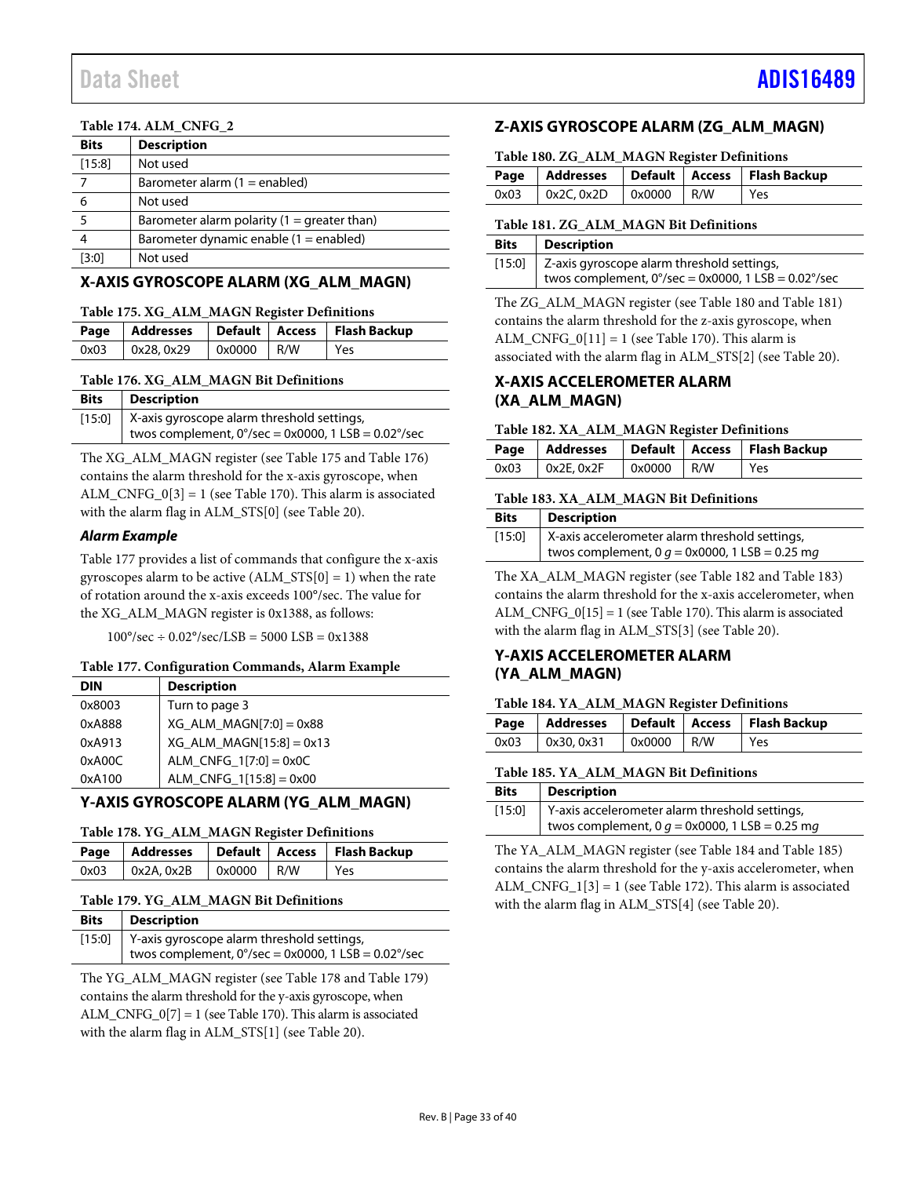### <span id="page-32-5"></span>**Table 174. ALM\_CNFG\_2**

| <b>Bits</b> | <b>Description</b>                            |
|-------------|-----------------------------------------------|
| [15:8]      | Not used                                      |
|             | Barometer alarm $(1 =$ enabled)               |
| 6           | Not used                                      |
| 5           | Barometer alarm polarity $(1 =$ greater than) |
|             | Barometer dynamic enable $(1 =$ enabled)      |
| [3:0]       | Not used                                      |

# <span id="page-32-0"></span>**X-AXIS GYROSCOPE ALARM (XG\_ALM\_MAGN)**

#### <span id="page-32-6"></span>**Table 175. XG\_ALM\_MAGN Register Definitions**

|      |                                               |  |  | Page   Addresses   Default   Access   Flash Backup |  |
|------|-----------------------------------------------|--|--|----------------------------------------------------|--|
| 0x03 | $\vert$ 0x28, 0x29 $\vert$ 0x0000 $\vert$ R/W |  |  | Yes                                                |  |

#### <span id="page-32-7"></span>**Table 176. XG\_ALM\_MAGN Bit Definitions**

| <b>Bits</b> | <b>Description</b>                                                                                          |
|-------------|-------------------------------------------------------------------------------------------------------------|
| [15:0]      | X-axis gyroscope alarm threshold settings,<br>twos complement, $0^{\circ}/sec = 0x0000$ , 1 LSB = 0.02°/sec |
|             |                                                                                                             |

The XG\_ALM\_MAGN register (se[e Table 175](#page-32-6) an[d Table 176\)](#page-32-7) contains the alarm threshold for the x-axis gyroscope, when ALM\_CNFG\_0[3] = 1 (see [Table 170\)](#page-31-0). This alarm is associated with the alarm flag in ALM\_STS[0] (se[e Table 20\)](#page-16-5).

#### *Alarm Example*

[Table 177](#page-32-8) provides a list of commands that configure the x-axis gyroscopes alarm to be active  $(ALM\_STS[0] = 1)$  when the rate of rotation around the x-axis exceeds 100°/sec. The value for the XG\_ALM\_MAGN register is 0x1388, as follows:

 $100^{\circ}/sec \div 0.02^{\circ}/sec/LSB = 5000$  LSB = 0x1388

#### <span id="page-32-8"></span>**Table 177. Configuration Commands, Alarm Example**

| DIN    | <b>Description</b>                                  |
|--------|-----------------------------------------------------|
| 0x8003 | Turn to page 3                                      |
| 0xA888 | $KG$ <sub>ML</sub> M <sub>MAGN</sub> $[7:0] = 0x88$ |
| 0xA913 | $XG$ _ALM_MAGN[15:8] = 0x13                         |
| 0xA00C | ALM CNFG $1[7:0] = 0x0C$                            |
| 0xA100 | $ALM_CNFG_1[15:8] = 0x00$                           |

### <span id="page-32-1"></span>**Y-AXIS GYROSCOPE ALARM (YG\_ALM\_MAGN)**

#### <span id="page-32-9"></span>**Table 178. YG\_ALM\_MAGN Register Definitions**

|      |            |                     | Page   Addresses   Default   Access   Flash Backup |
|------|------------|---------------------|----------------------------------------------------|
| 0x03 | 0x2A, 0x2B | $0 \times 0000$ R/W | l Yes                                              |

#### <span id="page-32-10"></span>**Table 179. YG\_ALM\_MAGN Bit Definitions**

| <b>Bits</b>   Description                                     |
|---------------------------------------------------------------|
| [15:0]   Y-axis gyroscope alarm threshold settings,           |
| twos complement, $0^{\circ}/sec = 0x0000$ , 1 LSB = 0.02°/sec |

The YG\_ALM\_MAGN register (se[e Table 178](#page-32-9) and [Table 179\)](#page-32-10) contains the alarm threshold for the y-axis gyroscope, when ALM\_CNFG\_0[7] = 1 (se[e Table 170\)](#page-31-0). This alarm is associated with the alarm flag in ALM\_STS[1] (se[e Table 20\)](#page-16-5).

## <span id="page-32-2"></span>**Z-AXIS GYROSCOPE ALARM (ZG\_ALM\_MAGN)**

#### <span id="page-32-11"></span>**Table 180. ZG\_ALM\_MAGN Register Definitions**

|                                        |  | Page   Addresses   Default   Access   Flash Backup |
|----------------------------------------|--|----------------------------------------------------|
| $0x03$   $0x2C, 0x2D$   $0x0000$   R/W |  | Yes                                                |

#### <span id="page-32-12"></span>**Table 181. ZG\_ALM\_MAGN Bit Definitions**

| <b>Bits</b> | <b>Description</b>                                            |  |  |
|-------------|---------------------------------------------------------------|--|--|
|             | [15:0] Z-axis gyroscope alarm threshold settings,             |  |  |
|             | twos complement, $0^{\circ}/sec = 0x0000$ , 1 LSB = 0.02°/sec |  |  |

The ZG\_ALM\_MAGN register (see [Table 180](#page-32-11) and [Table 181\)](#page-32-12) contains the alarm threshold for the z-axis gyroscope, when ALM\_CNFG\_0[11] = 1 (se[e Table 170\)](#page-31-0). This alarm is associated with the alarm flag in ALM\_STS[2] (se[e Table 20\)](#page-16-5).

# <span id="page-32-3"></span>**X-AXIS ACCELEROMETER ALARM (XA\_ALM\_MAGN)**

#### <span id="page-32-13"></span>**Table 182. XA\_ALM\_MAGN Register Definitions**

|      | Page   Addresses |              | Default   Access   Flash Backup |
|------|------------------|--------------|---------------------------------|
| 0x03 | $0x2E$ , $0x2F$  | $0x0000$ R/W | Yes                             |

#### <span id="page-32-14"></span>**Table 183. XA\_ALM\_MAGN Bit Definitions**

| <b>Bits</b> | <b>Description</b>                                |
|-------------|---------------------------------------------------|
| [15:0]      | X-axis accelerometer alarm threshold settings,    |
|             | twos complement, 0 $q = 0x0000$ , 1 LSB = 0.25 mg |

The XA\_ALM\_MAGN register (se[e Table 182](#page-32-13) and [Table 183\)](#page-32-14) contains the alarm threshold for the x-axis accelerometer, when ALM\_CNFG\_0[15] = 1 (see [Table 170\)](#page-31-0). This alarm is associated with the alarm flag in ALM\_STS[3] (se[e Table 20\)](#page-16-5).

# <span id="page-32-4"></span>**Y-AXIS ACCELEROMETER ALARM (YA\_ALM\_MAGN)**

#### <span id="page-32-15"></span>**Table 184. YA\_ALM\_MAGN Register Definitions**

|      |                    |                     | Page   Addresses   Default   Access   Flash Backup |
|------|--------------------|---------------------|----------------------------------------------------|
| 0x03 | $\sqrt{0x30.0x31}$ | $0 \times 0000$ R/W | Yes                                                |

#### <span id="page-32-16"></span>**Table 185. YA\_ALM\_MAGN Bit Definitions**

| <b>Bits</b> | <b>Description</b>                               |
|-------------|--------------------------------------------------|
| [15:0]      | Y-axis accelerometer alarm threshold settings,   |
|             | twos complement, 0 $g$ = 0x0000, 1 LSB = 0.25 mg |

The YA\_ALM\_MAGN register (see [Table 184](#page-32-15) and [Table 185\)](#page-32-16) contains the alarm threshold for the y-axis accelerometer, when ALM\_CNFG\_1[3] = 1 (see [Table 172\)](#page-31-1). This alarm is associated with the alarm flag in ALM\_STS[4] (se[e Table 20\)](#page-16-5).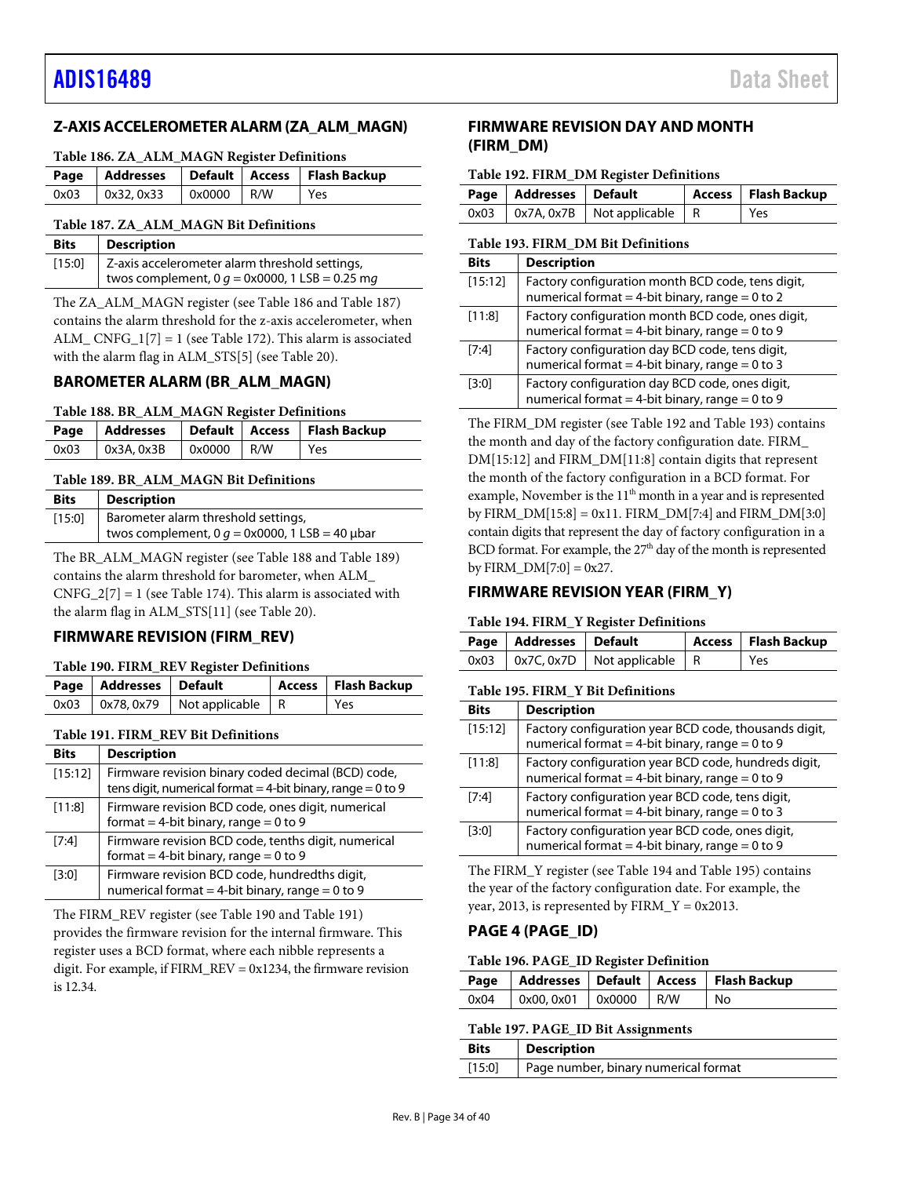# <span id="page-33-0"></span>**Z-AXIS ACCELEROMETER ALARM (ZA\_ALM\_MAGN)**

#### <span id="page-33-6"></span>**Table 186. ZA\_ALM\_MAGN Register Definitions**

|      |            |              | Page   Addresses   Default   Access   Flash Backup |
|------|------------|--------------|----------------------------------------------------|
| 0x03 | 0x32, 0x33 | $0x0000$ R/W | Yes                                                |

#### <span id="page-33-7"></span>**Table 187. ZA\_ALM\_MAGN Bit Definitions**

| <b>Bits</b> | <b>Description</b>                                      |
|-------------|---------------------------------------------------------|
|             | $[15:0]$ Z-axis accelerometer alarm threshold settings, |
|             | twos complement, 0 $g = 0x0000$ , 1 LSB = 0.25 mg       |

The ZA\_ALM\_MAGN register (see [Table 186](#page-33-6) an[d Table 187\)](#page-33-7) contains the alarm threshold for the z-axis accelerometer, when ALM\_CNFG\_1[7] = 1 (se[e Table 172\)](#page-31-1). This alarm is associated with the alarm flag in ALM\_STS[5] (se[e Table 20\)](#page-16-5).

## <span id="page-33-1"></span>**BAROMETER ALARM (BR\_ALM\_MAGN)**

<span id="page-33-8"></span>

|  |  | Table 188. BR_ALM_MAGN Register Definitions |  |
|--|--|---------------------------------------------|--|
|--|--|---------------------------------------------|--|

|      |                   |              | Page   Addresses   Default   Access   Flash Backup |
|------|-------------------|--------------|----------------------------------------------------|
| 0x03 | $\alpha$ 3A, 0x3B | $0x0000$ R/W | Yes                                                |

#### <span id="page-33-9"></span>**Table 189. BR\_ALM\_MAGN Bit Definitions**

| <b>Bits</b> | <b>Description</b>                                            |
|-------------|---------------------------------------------------------------|
| [15:0]      | Barometer alarm threshold settings,                           |
|             | twos complement, 0 $q = 0 \times 0000$ , 1 LSB = 40 $\mu$ bar |

The BR\_ALM\_MAGN register (see [Table 188](#page-33-8) and [Table 189\)](#page-33-9) contains the alarm threshold for barometer, when ALM\_  $CNFG_2[7] = 1$  (see [Table 174\)](#page-32-5). This alarm is associated with the alarm flag in ALM\_STS[11] (see [Table 20\)](#page-16-5).

# <span id="page-33-2"></span>**FIRMWARE REVISION (FIRM\_REV)**

#### <span id="page-33-10"></span>**Table 190. FIRM\_REV Register Definitions**

| Page   Addresses   Default |                                            | Access   Flash Backup |
|----------------------------|--------------------------------------------|-----------------------|
|                            | $0x03$   $0x78, 0x79$   Not applicable   R | l Yes                 |

#### <span id="page-33-11"></span>**Table 191. FIRM\_REV Bit Definitions**

| <b>Bits</b> | <b>Description</b>                                                                                                    |
|-------------|-----------------------------------------------------------------------------------------------------------------------|
| [15:12]     | Firmware revision binary coded decimal (BCD) code,<br>tens digit, numerical format = 4-bit binary, range = $0$ to $9$ |
| [11:8]      | Firmware revision BCD code, ones digit, numerical<br>format = 4-bit binary, range = $0$ to $9$                        |
| $[7:4]$     | Firmware revision BCD code, tenths digit, numerical<br>format = 4-bit binary, range = $0$ to 9                        |
| [3:0]       | Firmware revision BCD code, hundredths digit,<br>numerical format = 4-bit binary, range = $0$ to $9$                  |

The FIRM\_REV register (se[e Table 190](#page-33-10) and [Table 191\)](#page-33-11) provides the firmware revision for the internal firmware. This register uses a BCD format, where each nibble represents a digit. For example, if FIRM\_REV = 0x1234, the firmware revision is 12.34.

# <span id="page-33-3"></span>**FIRMWARE REVISION DAY AND MONTH (FIRM\_DM)**

#### <span id="page-33-12"></span>**Table 192. FIRM\_DM Register Definitions**

| Page   Addresses   Default |                                          | Access   Flash Backup |
|----------------------------|------------------------------------------|-----------------------|
|                            | $0x03$   0x7A, 0x7B   Not applicable   R | l Yes                 |

#### <span id="page-33-13"></span>**Table 193. FIRM\_DM Bit Definitions**

| <b>Bits</b> | <b>Description</b>                                                                                       |
|-------------|----------------------------------------------------------------------------------------------------------|
| [15:12]     | Factory configuration month BCD code, tens digit,<br>numerical format = 4-bit binary, range = 0 to 2     |
| [11:8]      | Factory configuration month BCD code, ones digit,<br>numerical format = 4-bit binary, range = $0$ to $9$ |
| [7:4]       | Factory configuration day BCD code, tens digit,<br>numerical format = 4-bit binary, range = $0$ to 3     |
| [3:0]       | Factory configuration day BCD code, ones digit,<br>numerical format = 4-bit binary, range = $0$ to $9$   |

The FIRM\_DM register (see [Table 192](#page-33-12) an[d Table 193\)](#page-33-13) contains the month and day of the factory configuration date. FIRM\_ DM[15:12] and FIRM\_DM[11:8] contain digits that represent the month of the factory configuration in a BCD format. For example, November is the 11<sup>th</sup> month in a year and is represented by FIRM\_DM $[15:8] = 0x11$ . FIRM\_DM $[7:4]$  and FIRM\_DM $[3:0]$ contain digits that represent the day of factory configuration in a BCD format. For example, the 27<sup>th</sup> day of the month is represented by FIRM  $DM[7:0] = 0x27$ .

### <span id="page-33-4"></span>**FIRMWARE REVISION YEAR (FIRM\_Y)**

#### <span id="page-33-14"></span>**Table 194. FIRM\_Y Register Definitions**

| Page   Addresses   Default |                                            | Access   Flash Backup |
|----------------------------|--------------------------------------------|-----------------------|
|                            | $0x03$   $0x7C, 0x7D$   Not applicable   R | l Yes                 |

#### <span id="page-33-15"></span>**Table 195. FIRM\_Y Bit Definitions**

| <b>Bits</b> | <b>Description</b>                                                                                          |
|-------------|-------------------------------------------------------------------------------------------------------------|
| [15:12]     | Factory configuration year BCD code, thousands digit,<br>numerical format = 4-bit binary, range = $0$ to 9  |
| [11:8]      | Factory configuration year BCD code, hundreds digit,<br>numerical format = 4-bit binary, range = $0$ to $9$ |
| [7:4]       | Factory configuration year BCD code, tens digit,<br>numerical format = 4-bit binary, range = $0$ to 3       |
| [3:0]       | Factory configuration year BCD code, ones digit,<br>numerical format = 4-bit binary, range = $0$ to $9$     |

The FIRM\_Y register (se[e Table 194](#page-33-14) and [Table 195\)](#page-33-15) contains the year of the factory configuration date. For example, the year, 2013, is represented by  $FIRM_Y = 0x2013$ .

### <span id="page-33-5"></span>**PAGE 4 (PAGE\_ID)**

#### <span id="page-33-16"></span>**Table 196. PAGE\_ID Register Definition**

|                                  |  | Page   Addresses   Default   Access   Flash Backup |
|----------------------------------|--|----------------------------------------------------|
| 0x04   0x00, 0x01   0x0000   R/W |  | l No                                               |

# <span id="page-33-17"></span>**Table 197. PAGE\_ID Bit Assignments**

| <b>Bits</b> | <b>Description</b>                   |  |
|-------------|--------------------------------------|--|
| [15:0]      | Page number, binary numerical format |  |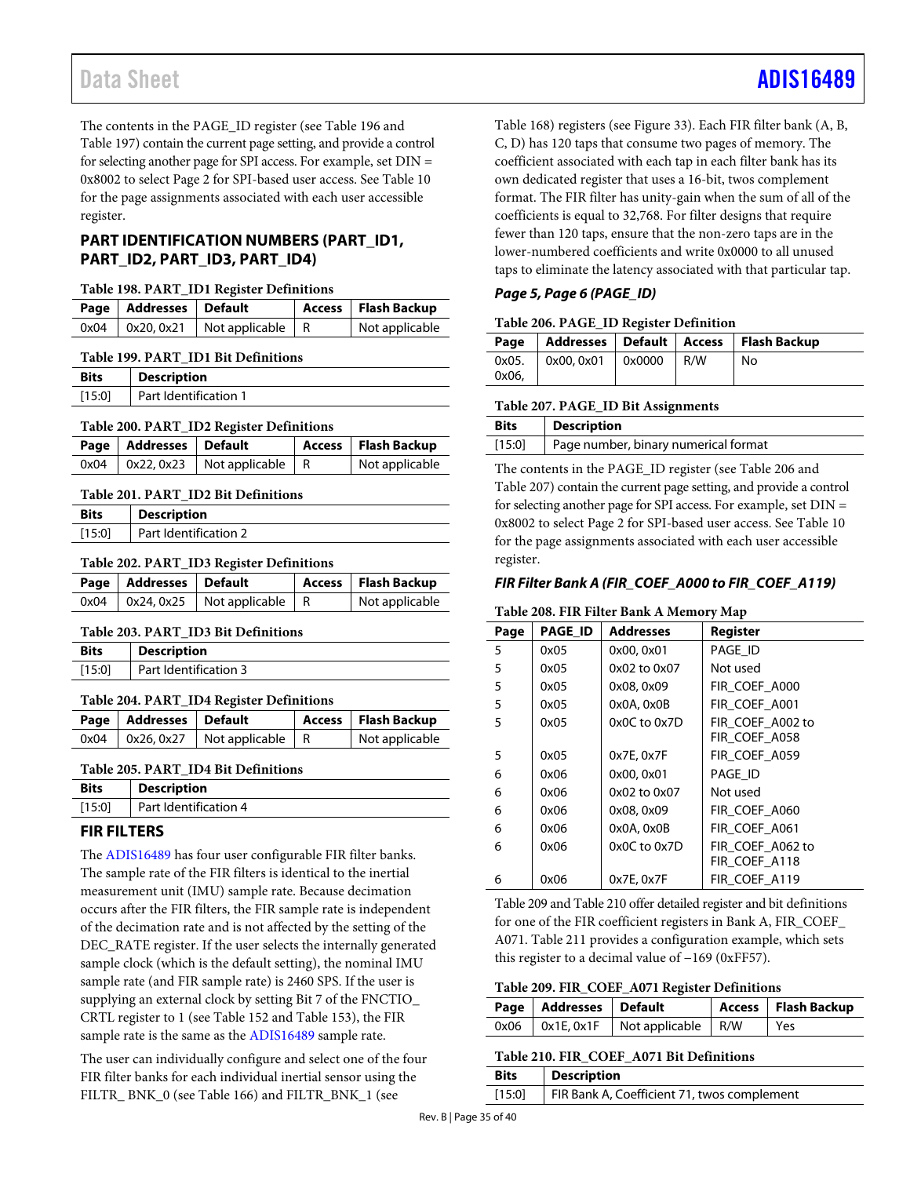The contents in the PAGE\_ID register (see [Table 196](#page-33-16) and [Table 197\)](#page-33-17) contain the current page setting, and provide a control for selecting another page for SPI access. For example, set DIN = 0x8002 to select Page 2 for SPI-based user access. Se[e Table 10](#page-12-1) for the page assignments associated with each user accessible register.

# <span id="page-34-0"></span>**PART IDENTIFICATION NUMBERS (PART\_ID1, PART\_ID2, PART\_ID3, PART\_ID4)**

#### **Table 198. PART\_ID1 Register Definitions**

|      | Page   Addresses   Default |                                                     | Access   Flash Backup |
|------|----------------------------|-----------------------------------------------------|-----------------------|
| 0x04 |                            | $\vert$ 0x20, 0x21 $\vert$ Not applicable $\vert$ R | Not applicable        |

#### **Table 199. PART\_ID1 Bit Definitions**

| <b>Bits</b> | <b>Description</b>    |
|-------------|-----------------------|
| [15:0]      | Part Identification 1 |

#### **Table 200. PART\_ID2 Register Definitions**

| Page   Addresses   Default |                                            | Access   Flash Backup |
|----------------------------|--------------------------------------------|-----------------------|
|                            | $0x04$   $0x22, 0x23$   Not applicable   R | Not applicable        |

#### **Table 201. PART\_ID2 Bit Definitions**

| <b>Bits</b> | <b>Description</b>    |
|-------------|-----------------------|
| [15:0]      | Part Identification 2 |

#### **Table 202. PART\_ID3 Register Definitions**

|      | Page   Addresses   Default |                                  | Access   Flash Backup |
|------|----------------------------|----------------------------------|-----------------------|
| 0x04 |                            | $\log 24, 0x25$ Not applicable R | Not applicable        |

### **Table 203. PART\_ID3 Bit Definitions**

| <b>Bits</b> | <b>Description</b>    |
|-------------|-----------------------|
| [15:0]      | Part Identification 3 |

### **Table 204. PART\_ID4 Register Definitions**

| Page   Addresses   Default |                                            | Access   Flash Backup |
|----------------------------|--------------------------------------------|-----------------------|
|                            | $0x04$   $0x26, 0x27$   Not applicable   R | Not applicable        |
|                            |                                            |                       |

### **Table 205. PART\_ID4 Bit Definitions**

| <b>Bits</b> | <b>Description</b>    |
|-------------|-----------------------|
| [15:0]      | Part Identification 4 |

# <span id="page-34-1"></span>**FIR FILTERS**

The [ADIS16489](http://www.analog.com/ADIS16489?doc=ADIS16489.pdf) has four user configurable FIR filter banks. The sample rate of the FIR filters is identical to the inertial measurement unit (IMU) sample rate. Because decimation occurs after the FIR filters, the FIR sample rate is independent of the decimation rate and is not affected by the setting of the DEC\_RATE register. If the user selects the internally generated sample clock (which is the default setting), the nominal IMU sample rate (and FIR sample rate) is 2460 SPS. If the user is supplying an external clock by setting Bit 7 of the FNCTIO\_ CRTL register to 1 (se[e Table 152](#page-27-3) an[d Table 153\)](#page-27-1), the FIR sample rate is the same as the [ADIS16489](http://www.analog.com/ADIS16489?doc=ADIS16489.pdf) sample rate.

The user can individually configure and select one of the four FIR filter banks for each individual inertial sensor using the FILTR\_ BNK\_0 (se[e Table 166\)](#page-30-7) and FILTR\_BNK\_1 (see

[Table 168\)](#page-30-9) registers (se[e Figure 33\)](#page-29-3). Each FIR filter bank (A, B, C, D) has 120 taps that consume two pages of memory. The coefficient associated with each tap in each filter bank has its own dedicated register that uses a 16-bit, twos complement format. The FIR filter has unity-gain when the sum of all of the coefficients is equal to 32,768. For filter designs that require fewer than 120 taps, ensure that the non-zero taps are in the lower-numbered coefficients and write 0x0000 to all unused taps to eliminate the latency associated with that particular tap.

## *Page 5, Page 6 (PAGE\_ID)*

#### <span id="page-34-2"></span>**Table 206. PAGE\_ID Register Definition**

| Page           |                                               |  | Addresses   Default   Access   Flash Backup |
|----------------|-----------------------------------------------|--|---------------------------------------------|
| 0x05.<br>0x06. | $\vert$ 0x00, 0x01 $\vert$ 0x0000 $\vert$ R/W |  | No                                          |

#### <span id="page-34-3"></span>**Table 207. PAGE\_ID Bit Assignments**

| <b>Bits</b> | <b>Description</b>                   |
|-------------|--------------------------------------|
| $[15:0]$    | Page number, binary numerical format |

The contents in the PAGE\_ID register (see [Table 206](#page-34-2) and [Table 207\)](#page-34-3) contain the current page setting, and provide a control for selecting another page for SPI access. For example, set DIN = 0x8002 to select Page 2 for SPI-based user access. Se[e Table 10](#page-12-1) for the page assignments associated with each user accessible register.

# *FIR Filter Bank A (FIR\_COEF\_A000 to FIR\_COEF\_A119)*

#### **Table 208. FIR Filter Bank A Memory Map**

| $\cdots$ |         |                  |                  |  |
|----------|---------|------------------|------------------|--|
| Page     | PAGE_ID | <b>Addresses</b> | <b>Register</b>  |  |
| 5        | 0x05    | 0x00, 0x01       | PAGE ID          |  |
| 5        | 0x05    | 0x02 to 0x07     | Not used         |  |
| 5        | 0x05    | 0x08, 0x09       | FIR COEF A000    |  |
| 5        | 0x05    | 0x0A, 0x0B       | FIR COEF A001    |  |
| 5        | 0x05    | 0x0C to 0x7D     | FIR COEF A002 to |  |
|          |         |                  | FIR COEF A058    |  |
| 5        | 0x05    | 0x7E, 0x7F       | FIR COEF A059    |  |
| 6        | 0x06    | 0x00, 0x01       | PAGE ID          |  |
| 6        | 0x06    | 0x02 to 0x07     | Not used         |  |
| 6        | 0x06    | 0x08, 0x09       | FIR_COEF_A060    |  |
| 6        | 0x06    | $0x0A$ , $0x0B$  | FIR COEF A061    |  |
| 6        | 0x06    | 0x0C to 0x7D     | FIR COEF A062 to |  |
|          |         |                  | FIR COEF A118    |  |
| 6        | 0x06    | 0x7E, 0x7F       | FIR COEF A119    |  |

[Table 209](#page-34-4) an[d Table 210](#page-34-5) offer detailed register and bit definitions for one of the FIR coefficient registers in Bank A, FIR\_COEF\_ A071[. Table 211](#page-35-0) provides a configuration example, which sets this register to a decimal value of −169 (0xFF57).

#### <span id="page-34-4"></span>**Table 209. FIR\_COEF\_A071 Register Definitions**

| Page   Addresses   Default |                                                 | Access   Flash Backup |
|----------------------------|-------------------------------------------------|-----------------------|
|                            | $0x06$   $0x1E$ , $0x1F$   Not applicable   R/W | l Yes                 |
|                            |                                                 |                       |

<span id="page-34-5"></span>

| Table 210. FIR COEF A071 Bit Definitions |                                             |  |
|------------------------------------------|---------------------------------------------|--|
| <b>Bits</b>                              | <b>Description</b>                          |  |
| [15:0]                                   | FIR Bank A, Coefficient 71, twos complement |  |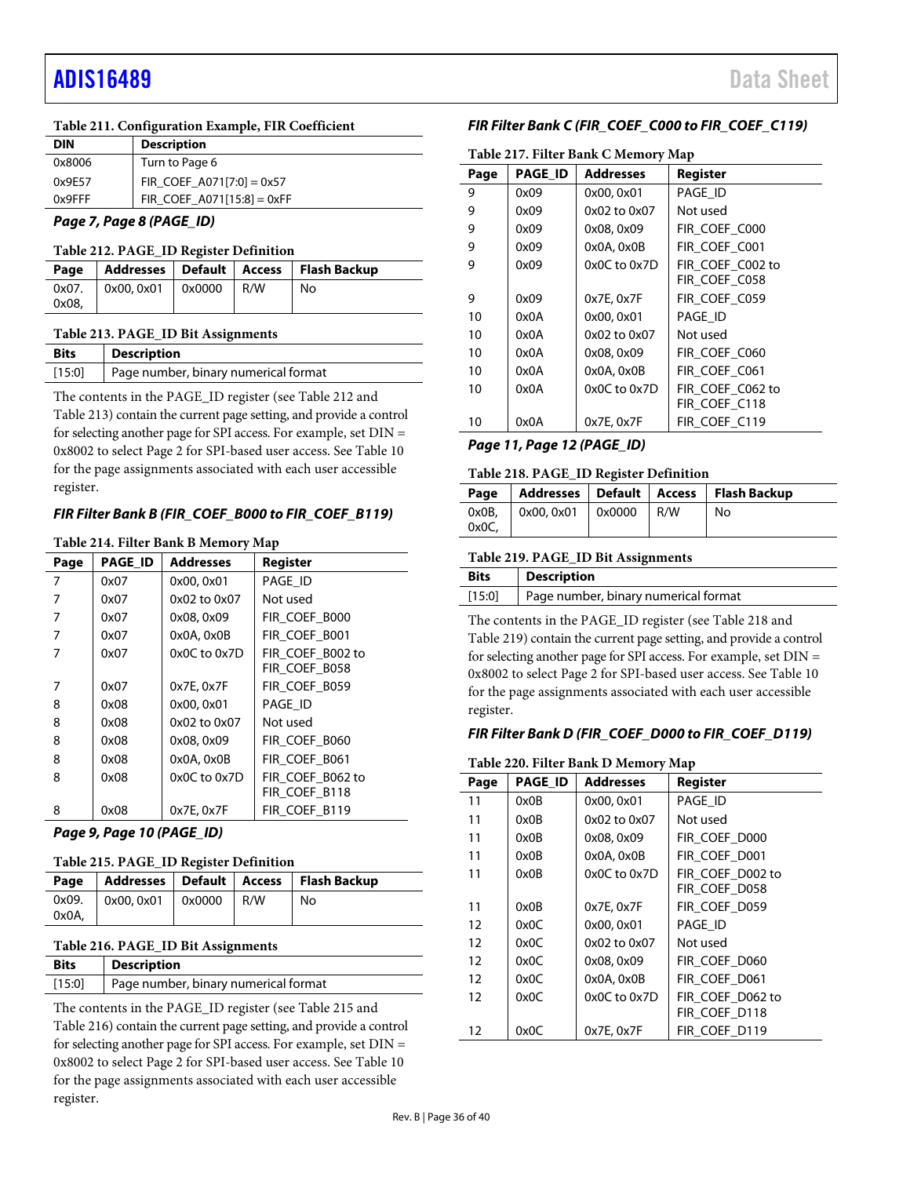#### <span id="page-35-0"></span>**Table 211. Configuration Example, FIR Coefficient**

| <b>DIN</b> | <b>Description</b>           |
|------------|------------------------------|
| 0x8006     | Turn to Page 6               |
| 0x9E57     | FIR COEF A071[7:0] = $0x57$  |
| 0x9FFF     | FIR COEF $A071[15:8] = 0xFF$ |

#### *Page 7, Page 8 (PAGE\_ID)*

#### <span id="page-35-1"></span>**Table 212. PAGE\_ID Register Definition**

|       |                               |  | Page   Addresses   Default   Access   Flash Backup |
|-------|-------------------------------|--|----------------------------------------------------|
|       | $0x07.$ 0x00, 0x01 0x0000 R/W |  | No                                                 |
| 0x08, |                               |  |                                                    |

#### <span id="page-35-2"></span>**Table 213. PAGE\_ID Bit Assignments**

| <b>Bits</b> | <b>Description</b>                   |
|-------------|--------------------------------------|
| $[15:0]$    | Page number, binary numerical format |

The contents in the PAGE\_ID register (see [Table 212](#page-35-1) and [Table 213\)](#page-35-2) contain the current page setting, and provide a control for selecting another page for SPI access. For example, set DIN = 0x8002 to select Page 2 for SPI-based user access. Se[e Table 10](#page-12-1) for the page assignments associated with each user accessible register.

#### *FIR Filter Bank B (FIR\_COEF\_B000 to FIR\_COEF\_B119)*

#### **Table 214. Filter Bank B Memory Map**

| Page | <b>PAGE ID</b> | <b>Addresses</b> | Register         |
|------|----------------|------------------|------------------|
| 7    | 0x07           | 0x00, 0x01       | PAGE ID          |
| 7    | 0x07           | 0x02 to 0x07     | Not used         |
| 7    | 0x07           | 0x08, 0x09       | FIR COEF B000    |
| 7    | 0x07           | $0x0A$ , $0x0B$  | FIR COEF B001    |
| 7    | 0x07           | $0x0C$ to $0x7D$ | FIR COEF B002 to |
|      |                |                  | FIR COEF B058    |
| 7    | 0x07           | 0x7E, 0x7F       | FIR_COEF_B059    |
| 8    | 0x08           | 0x00, 0x01       | PAGE_ID          |
| 8    | 0x08           | 0x02 to 0x07     | Not used         |
| 8    | 0x08           | 0x08, 0x09       | FIR_COEF_B060    |
| 8    | 0x08           | 0x0A, 0x0B       | FIR COEF B061    |
| 8    | 0x08           | $0x0C$ to $0x7D$ | FIR_COEF_B062 to |
|      |                |                  | FIR COEF B118    |
| 8    | 0x08           | 0x7E, 0x7F       | FIR COEF B119    |

#### <span id="page-35-3"></span>*Page 9, Page 10 (PAGE\_ID)*

#### **Table 215. PAGE\_ID Register Definition**

|       |                                         |  | Page   Addresses   Default   Access   Flash Backup |
|-------|-----------------------------------------|--|----------------------------------------------------|
|       | $0x09.$   $0x00, 0x01$   $0x0000$   R/W |  | No                                                 |
| 0x0A, |                                         |  |                                                    |

#### <span id="page-35-4"></span>**Table 216. PAGE\_ID Bit Assignments**

| Bits   | <b>Description</b>                   |
|--------|--------------------------------------|
| [15:0] | Page number, binary numerical format |

The contents in the PAGE\_ID register (see [Table 215](#page-35-3) and [Table 216\)](#page-35-4) contain the current page setting, and provide a control for selecting another page for SPI access. For example, set DIN = 0x8002 to select Page 2 for SPI-based user access. Se[e Table 10](#page-12-1) for the page assignments associated with each user accessible register.

#### *FIR Filter Bank C (FIR\_COEF\_C000 to FIR\_COEF\_C119)*

| Table 217. Filter Bank C Memory Map |                |                  |                  |  |
|-------------------------------------|----------------|------------------|------------------|--|
| Page                                | <b>PAGE ID</b> | <b>Addresses</b> | Register         |  |
| 9                                   | 0x09           | 0x00, 0x01       | PAGE ID          |  |
| 9                                   | 0x09           | 0x02 to 0x07     | Not used         |  |
| 9                                   | 0x09           | 0x08, 0x09       | FIR COEF C000    |  |
| 9                                   | 0x09           | 0x0A, 0x0B       | FIR_COEF_C001    |  |
| 9                                   | 0x09           | $0x0C$ to $0x7D$ | FIR COEF C002 to |  |
|                                     |                |                  | FIR COEF C058    |  |
| 9                                   | 0x09           | 0x7E, 0x7F       | FIR COEF C059    |  |
| 10                                  | 0x0A           | 0x00, 0x01       | PAGE ID          |  |
| 10                                  | 0x0A           | 0x02 to 0x07     | Not used         |  |
| 10                                  | 0x0A           | 0x08, 0x09       | FIR COEF C060    |  |
| 10                                  | 0x0A           | 0x0A, 0x0B       | FIR COEF C061    |  |
| 10                                  | 0x0A           | $0x0C$ to $0x7D$ | FIR COEF C062 to |  |
|                                     |                |                  | FIR COEF C118    |  |
| 10                                  | 0x0A           | 0x7E, 0x7F       | FIR COEF C119    |  |

#### <span id="page-35-5"></span>*Page 11, Page 12 (PAGE\_ID)*

#### **Table 218. PAGE\_ID Register Definition**

| Page           |                    |     | Addresses   Default   Access   Flash Backup |
|----------------|--------------------|-----|---------------------------------------------|
| 0x0B.<br>0x0C. | $0x00.0x01$ 0x0000 | R/W | No                                          |

#### <span id="page-35-6"></span>**Table 219. PAGE\_ID Bit Assignments**

| <b>Bits</b> | <b>Description</b>                   |
|-------------|--------------------------------------|
| [15:0]      | Page number, binary numerical format |
|             |                                      |

The contents in the PAGE\_ID register (see [Table 218](#page-35-5) and [Table 219\)](#page-35-6) contain the current page setting, and provide a control for selecting another page for SPI access. For example, set DIN = 0x8002 to select Page 2 for SPI-based user access. Se[e Table 10](#page-12-1) for the page assignments associated with each user accessible register.

#### *FIR Filter Bank D (FIR\_COEF\_D000 to FIR\_COEF\_D119)*

#### **Table 220. Filter Bank D Memory Map**

| Page | <b>PAGE ID</b> | <b>Addresses</b> | Register                          |
|------|----------------|------------------|-----------------------------------|
| 11   | 0x0B           | 0x00, 0x01       | PAGE ID                           |
| 11   | 0x0B           | $0x02$ to $0x07$ | Not used                          |
| 11   | 0x0B           | 0x08, 0x09       | FIR COEF D000                     |
| 11   | 0x0B           | $0x0A$ , $0x0B$  | FIR COEF D001                     |
| 11   | 0x0B           | $0x0C$ to $0x7D$ | FIR COEF D002 to<br>FIR COEF D058 |
| 11   | 0x0B           | 0x7E, 0x7F       | FIR COEF D059                     |
| 12   | 0x0C           | 0x00, 0x01       | PAGE ID                           |
| 12   | 0x0C           | 0x02 to 0x07     | Not used                          |
| 12   | 0x0C           | 0x08, 0x09       | FIR COEF D060                     |
| 12   | 0x0C           | $0x0A$ , $0x0B$  | FIR COEF D061                     |
| 12   | 0x0C           | $0x0C$ to $0x7D$ | FIR COEF D062 to<br>FIR COEF_D118 |
| 12   | 0x0C           | 0x7E, 0x7F       | FIR COEF D119                     |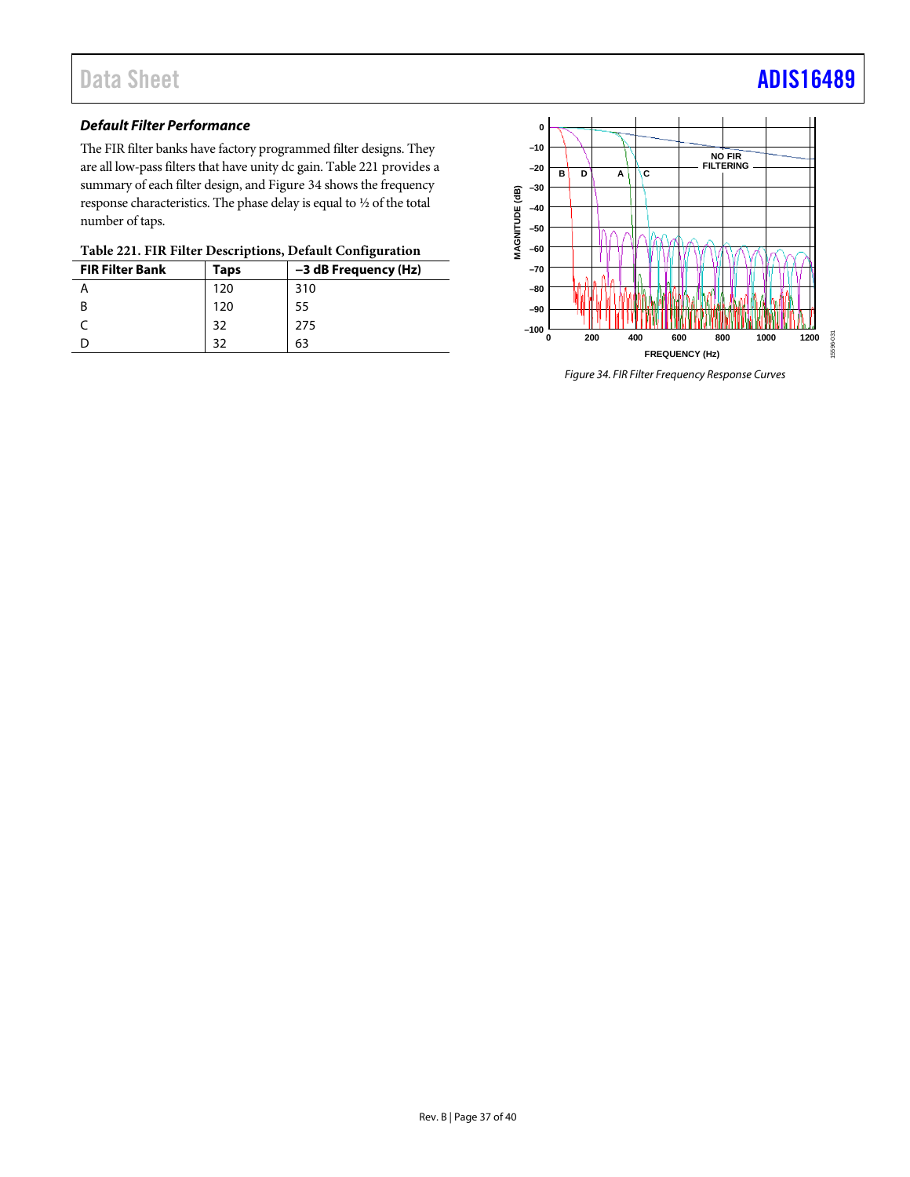# *Default Filter Performance*

The FIR filter banks have factory programmed filter designs. They are all low-pass filters that have unity dc gain[. Table 221](#page-36-0) provides a summary of each filter design, an[d Figure 34](#page-36-1) shows the frequency response characteristics. The phase delay is equal to ½ of the total number of taps.

<span id="page-36-0"></span>

| Table 221. FIR Filter Descriptions, Default Configuration |  |
|-----------------------------------------------------------|--|
|-----------------------------------------------------------|--|

| <b>FIR Filter Bank</b> | Taps | -3 dB Frequency (Hz) |
|------------------------|------|----------------------|
|                        | 120  | 310                  |
| B                      | 120  | 55                   |
|                        | 32   | 275                  |
|                        | 20   | 63                   |



<span id="page-36-1"></span>*Figure 34. FIR Filter Frequency Response Curves*

# Data Sheet **[ADIS16489](https://www.analog.com/ADIS16489?doc=ADIS16489.pdf)**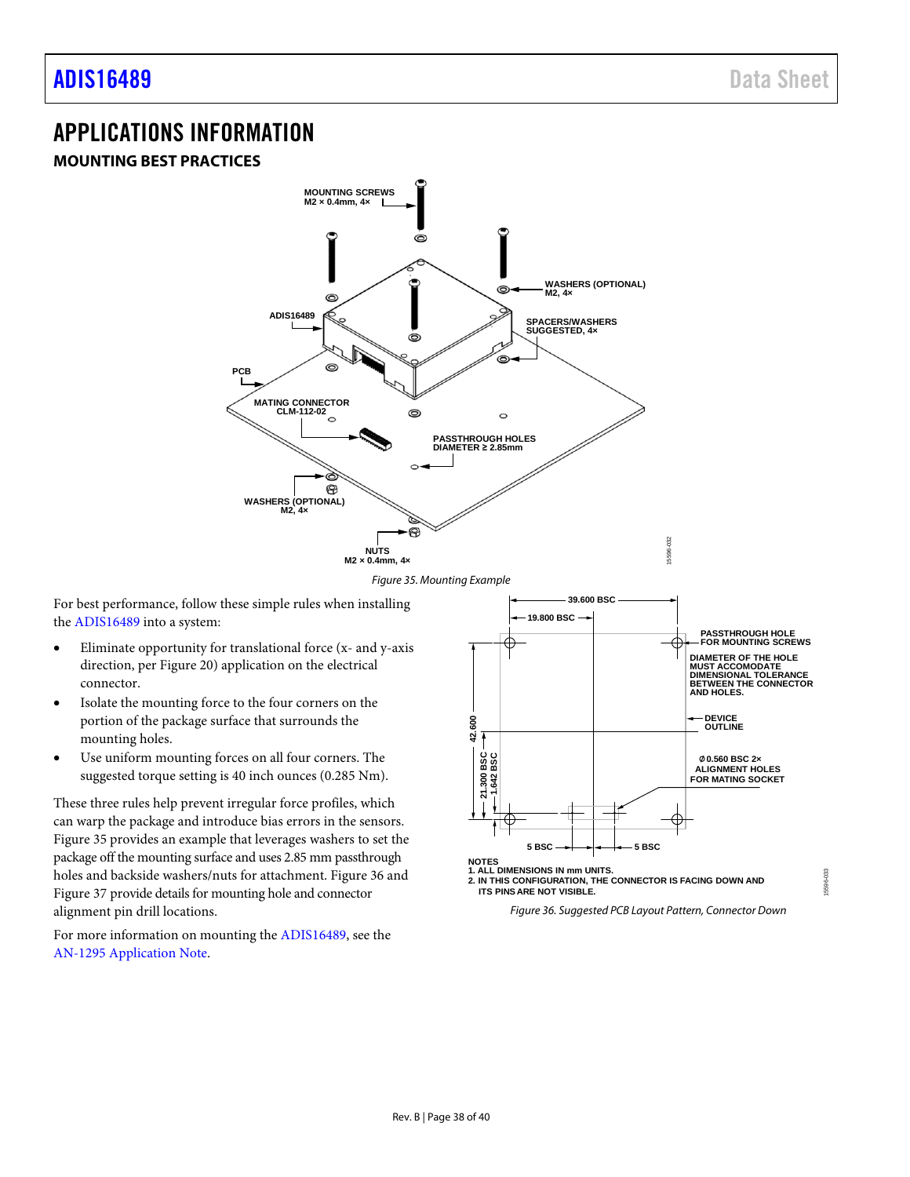# <span id="page-37-0"></span>APPLICATIONS INFORMATION

# <span id="page-37-1"></span>**MOUNTING BEST PRACTICES**



*Figure 35. Mounting Example*

<span id="page-37-2"></span>For best performance, follow these simple rules when installing the [ADIS16489](http://www.analog.com/ADIS16489?doc=ADIS16489.pdf) into a system:

- Eliminate opportunity for translational force (x- and y-axis direction, pe[r Figure 20\)](#page-17-11) application on the electrical connector.
- Isolate the mounting force to the four corners on the portion of the package surface that surrounds the mounting holes.
- Use uniform mountin[g forces](http://www.analog.com/AN-1295?doc=ADIS16487.pdf) on all four corners. The suggested torque setting is 40 inch ounces (0.285 Nm).

These three rules help prevent irregular force profiles, which can warp the package and introduce bias errors in the sensors. [Figure 35](#page-37-2) provides an example that leverages washers to set the package off the mounting surface and uses 2.85 mm passthrough holes and backside washers/nuts for attachment[. Figure 36](#page-37-3) and [Figure 37](#page-38-3) provide details for mounting hole and connector alignment pin drill locations.

For more information on mounting the [ADIS16489,](http://www.analog.com/ADIS16489?doc=ADIS16489.pdf) see the [AN-1295 Application Note.](http://www.analog.com/AN-1295?doc=ADIS16489.pdf)



<span id="page-37-3"></span>*Figure 36. Suggested PCB Layout Pattern, Connector Down*

15596-033

33 596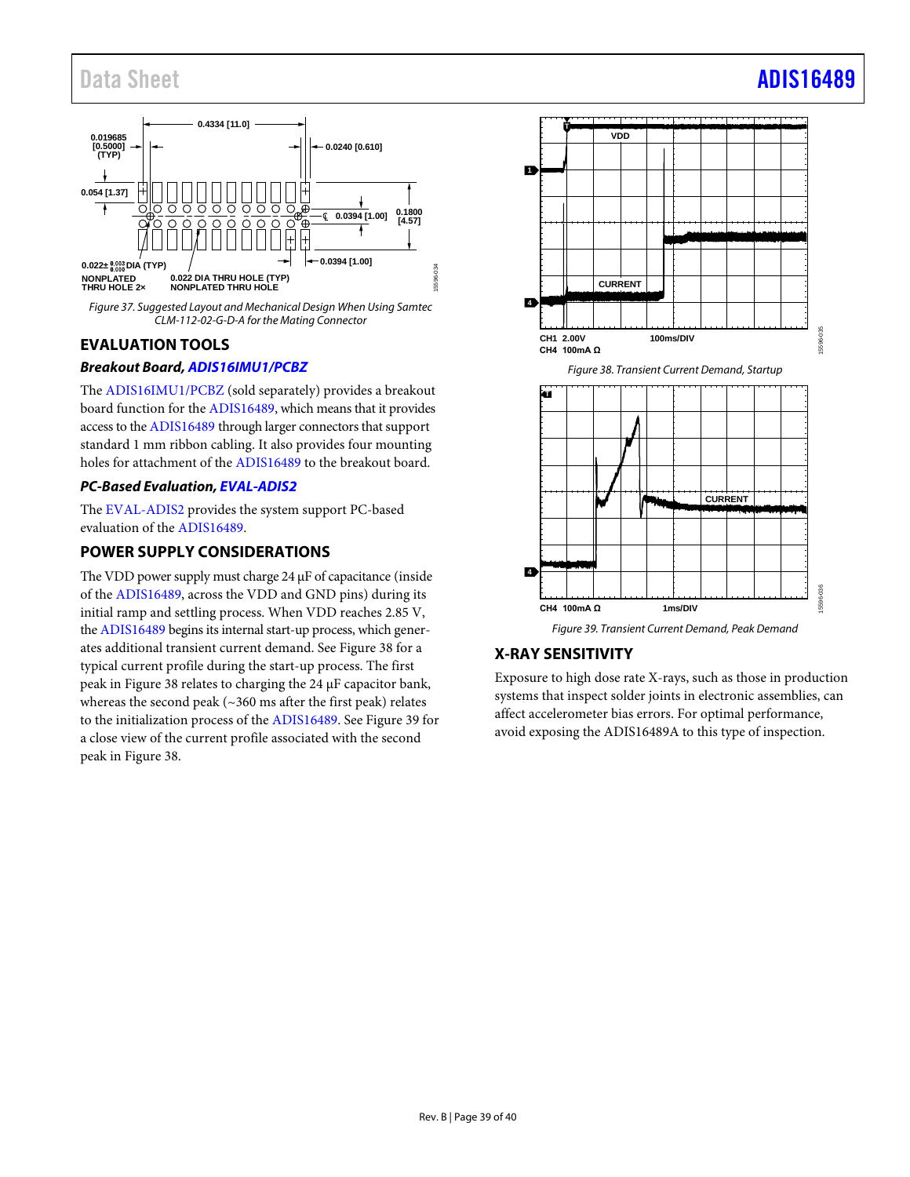

<span id="page-38-3"></span>*Figure 37. Suggested Layout and Mechanical Design When Using Samtec CLM-112-02-G-D-A for the Mating Connector*

# <span id="page-38-0"></span>**EVALUATION TOOLS**

# *Breakout Board[, ADIS16IMU1/PCBZ](http://www.analog.com/ADIS16IMU1/PCBZ?doc=ADIS16489.pdf)*

The [ADIS16IMU1/PCBZ](http://www.analog.com/ADIS16IMU1/PCBZ?doc=ADIS16489.pdf) (sold separately) provides a breakout board function for the [ADIS16489,](http://www.analog.com/ADIS16489?doc=ADIS16489.pdf) which means that it provides access to th[e ADIS16489](http://www.analog.com/ADIS16489?doc=ADIS16489.pdf) through larger connectors that support standard 1 mm ribbon cabling. It also provides four mounting holes for attachment of th[e ADIS16489](http://www.analog.com/ADIS16489?doc=ADIS16489.pdf) to the breakout board.

## *PC-Based Evaluation[, EVAL-ADIS2](http://www.analog.com/EVAL-ADIS2?doc=ADIS16489.pdf)*

The [EVAL-ADIS2](http://www.analog.com/EVAL-ADIS2?doc=ADIS16489.pdf) provides the system support PC-based evaluation of the [ADIS16489.](http://www.analog.com/ADIS16489?doc=ADIS16489.pdf)

# <span id="page-38-1"></span>**POWER SUPPLY CONSIDERATIONS**

The VDD power supply must charge 24 µF of capacitance (inside of the [ADIS16489,](http://www.analog.com/ADIS16489?doc=ADIS16489.pdf) across the VDD and GND pins) during its initial ramp and settling process. When VDD reaches 2.85 V, th[e ADIS16489](http://www.analog.com/ADIS16489?doc=ADIS16489.pdf) begins its internal start-up process, which generates additional transient current demand. Se[e Figure 38](#page-38-4) for a typical current profile during the start-up process. The first peak in [Figure 38](#page-38-4) relates to charging the 24 µF capacitor bank, whereas the second peak (~360 ms after the first peak) relates to the initialization process of the [ADIS16489.](http://www.analog.com/ADIS16489?doc=ADIS16489.pdf) Se[e Figure 39](#page-38-5) for a close view of the current profile associated with the second peak in [Figure 38.](#page-38-4) 

<span id="page-38-4"></span>

# <span id="page-38-5"></span><span id="page-38-2"></span>**X-RAY SENSITIVITY**

Exposure to high dose rate X-rays, such as those in production systems that inspect solder joints in electronic assemblies, can affect accelerometer bias errors. For optimal performance, avoid exposing the ADIS16489A to this type of inspection.

# Data Sheet **[ADIS16489](https://www.analog.com/ADIS16489?doc=ADIS16489.pdf)**